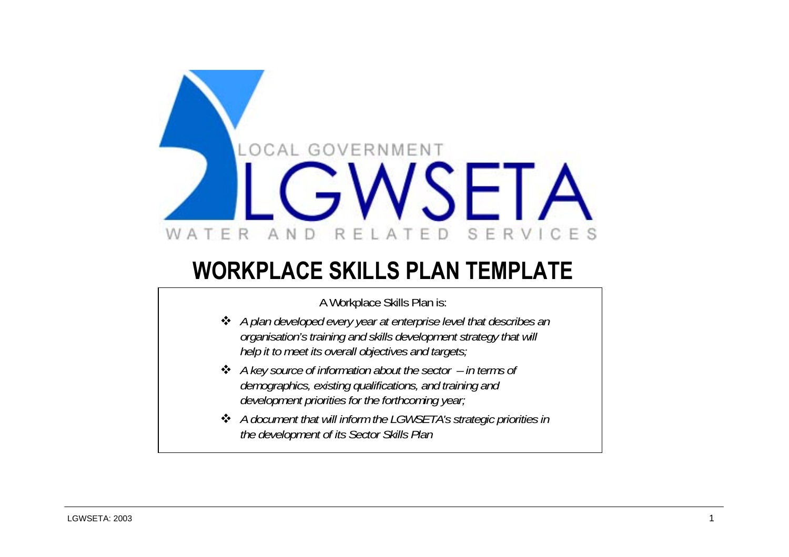

# **WORKPLACE SKILLS PLAN TEMPLATE**

A Workplace Skills Plan is:

- *A plan developed every year at enterprise level that describes an organisation's training and skills development strategy that will help it to meet its overall objectives and targets;*
- *A key source of information about the sector in terms of demographics, existing qualifications, and training and development priorities for the forthcoming year;*
- *A document that will inform the LGWSETA's strategic priorities in the development of its Sector Skills Plan*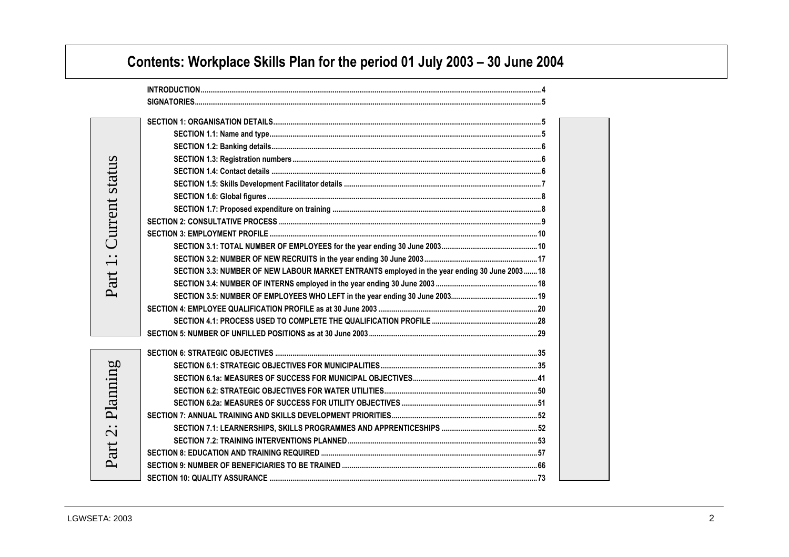# **Contents: Workplace Skills Plan for the period 01 July 2003 – 30 June 2004**

**Local Government, Water and Related Services SETA Workplace Skills Plan Template -**

| Current status    |                                                                                               |  |
|-------------------|-----------------------------------------------------------------------------------------------|--|
|                   |                                                                                               |  |
|                   |                                                                                               |  |
|                   |                                                                                               |  |
| $\ddot{ }$ :      |                                                                                               |  |
| art               | SECTION 3.3: NUMBER OF NEW LABOUR MARKET ENTRANTS employed in the year ending 30 June 2003 18 |  |
|                   |                                                                                               |  |
|                   |                                                                                               |  |
|                   |                                                                                               |  |
|                   |                                                                                               |  |
|                   |                                                                                               |  |
|                   |                                                                                               |  |
| Planning          |                                                                                               |  |
|                   |                                                                                               |  |
|                   |                                                                                               |  |
|                   |                                                                                               |  |
|                   |                                                                                               |  |
| $\dot{\tilde{c}}$ |                                                                                               |  |
|                   |                                                                                               |  |
| Part              |                                                                                               |  |
|                   |                                                                                               |  |
|                   |                                                                                               |  |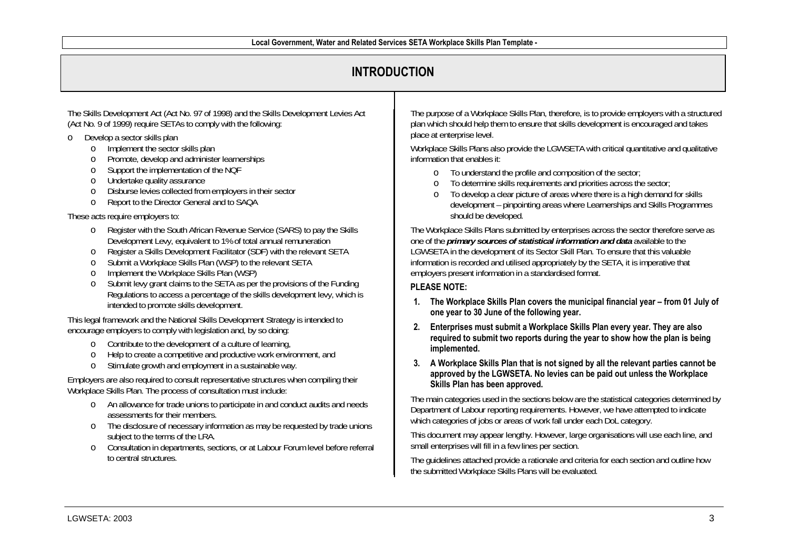## **INTRODUCTION**

The Skills Development Act (Act No. 97 of 1998) and the Skills Development Levies Act (Act No. 9 of 1999) require SETAs to comply with the following:

- o Develop a sector skills plan
	- oImplement the sector skills plan
	- oPromote, develop and administer learnerships
	- oSupport the implementation of the NQF
	- oUndertake quality assurance
	- oDisburse levies collected from employers in their sector
	- oReport to the Director General and to SAQA

These acts require employers to:

- o Register with the South African Revenue Service (SARS) to pay the Skills Development Levy, equivalent to 1% of total annual remuneration
- oRegister a Skills Development Facilitator (SDF) with the relevant SETA
- oSubmit a Workplace Skills Plan (WSP) to the relevant SETA
- oImplement the Workplace Skills Plan (WSP)
- o Submit levy grant claims to the SETA as per the provisions of the Funding Regulations to access a percentage of the skills development levy, which is intended to promote skills development.

This legal framework and the National Skills Development Strategy is intended to encourage employers to comply with legislation and, by so doing:

- o Contribute to the development of a culture of learning,
- oHelp to create a competitive and productive work environment, and
- oStimulate growth and employment in a sustainable way.

Employers are also required to consult representative structures when compiling their Workplace Skills Plan. The process of consultation must include:

- o An allowance for trade unions to participate in and conduct audits and needs assessments for their members.
- o The disclosure of necessary information as may be requested by trade unions subject to the terms of the LRA.
- o Consultation in departments, sections, or at Labour Forum level before referral to central structures.

The purpose of a Workplace Skills Plan, therefore, is to provide employers with a structured plan which should help them to ensure that skills development is encouraged and takes place at enterprise level.

Workplace Skills Plans also provide the LGWSETA with critical quantitative and qualitative information that enables it:

- o To understand the profile and composition of the sector;
- o To determine skills requirements and priorities across the sector;
- o To develop a clear picture of areas where there is a high demand for skills development – pinpointing areas where Learnerships and Skills Programmes should be developed.

The Workplace Skills Plans submitted by enterprises across the sector therefore serve as one of the *primary sources of statistical information and data* available to the LGWSETA in the development of its Sector Skill Plan. To ensure that this valuable information is recorded and utilised appropriately by the SETA, it is imperative that employers present information in a standardised format.

#### **PLEASE NOTE:**

- **1. The Workplace Skills Plan covers the municipal financial year from 01 July of one year to 30 June of the following year.**
- **2. Enterprises must submit a Workplace Skills Plan every year. They are also required to submit two reports during the year to show how the plan is being implemented.**
- **3. A Workplace Skills Plan that is not signed by all the relevant parties cannot be approved by the LGWSETA. No levies can be paid out unless the Workplace Skills Plan has been approved.**

The main categories used in the sections below are the statistical categories determined by Department of Labour reporting requirements. However, we have attempted to indicate which categories of jobs or areas of work fall under each DoL category.

This document may appear lengthy. However, large organisations will use each line, and small enterprises will fill in a few lines per section.

The guidelines attached provide a rationale and criteria for each section and outline how the submitted Workplace Skills Plans will be evaluated.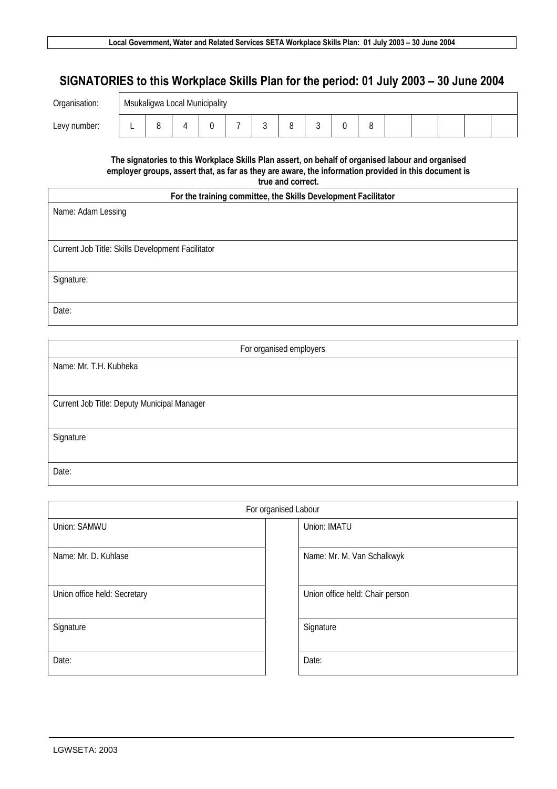## **SIGNATORIES to this Workplace Skills Plan for the period: 01 July 2003 – 30 June 2004**

| Organisation: | Msukaligwa Local Municipality |                          |  |  |  |             |  |  |  |  |  |  |  |  |  |
|---------------|-------------------------------|--------------------------|--|--|--|-------------|--|--|--|--|--|--|--|--|--|
| Levy number:  |                               | $\overline{\phantom{0}}$ |  |  |  | $\sim$<br>ັ |  |  |  |  |  |  |  |  |  |

**The signatories to this Workplace Skills Plan assert, on behalf of organised labour and organised employer groups, assert that, as far as they are aware, the information provided in this document is true and correct.** 

٦

| For the training committee, the Skills Development Facilitator |  |  |  |  |  |  |
|----------------------------------------------------------------|--|--|--|--|--|--|
|----------------------------------------------------------------|--|--|--|--|--|--|

| <b>TVI the training committee, the online bevereprisht i admitter</b> |
|-----------------------------------------------------------------------|
| Name: Adam Lessing                                                    |
|                                                                       |
| Current Job Title: Skills Development Facilitator                     |
|                                                                       |
| Signature:                                                            |
|                                                                       |
| Date:                                                                 |

| For organised employers                     |
|---------------------------------------------|
| Name: Mr. T.H. Kubheka                      |
|                                             |
| Current Job Title: Deputy Municipal Manager |
|                                             |
| Signature                                   |
|                                             |
| Date:                                       |

|                              | For organised Labour            |
|------------------------------|---------------------------------|
| Union: SAMWU                 | Union: IMATU                    |
| Name: Mr. D. Kuhlase         | Name: Mr. M. Van Schalkwyk      |
| Union office held: Secretary | Union office held: Chair person |
| Signature                    | Signature                       |
| Date:                        | Date:                           |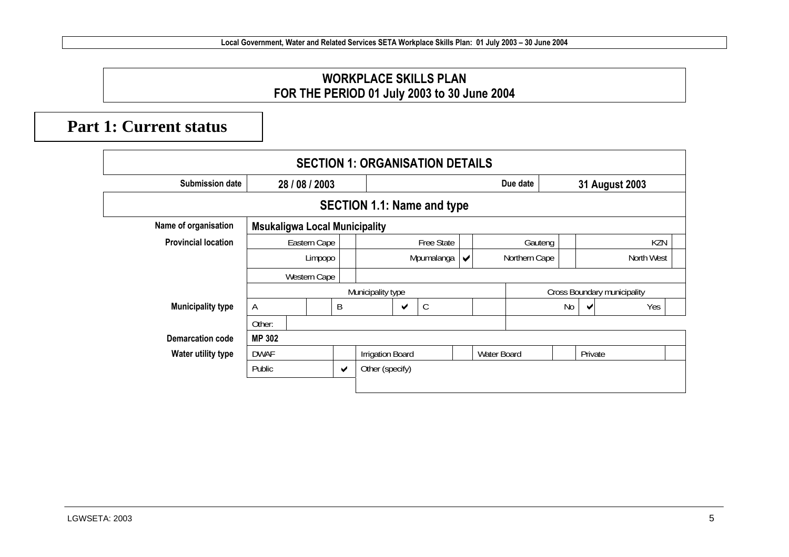#### **WORKPLACE SKILLS PLAN FOR THE PERIOD 01 July 2003 to 30 June 2004**

## **Part 1: Current status**

|                            | <b>SECTION 1: ORGANISATION DETAILS</b> |                |   |                      |                         |            |                                   |  |                                       |                             |    |            |                |  |  |
|----------------------------|----------------------------------------|----------------|---|----------------------|-------------------------|------------|-----------------------------------|--|---------------------------------------|-----------------------------|----|------------|----------------|--|--|
| <b>Submission date</b>     |                                        | 28 / 08 / 2003 |   |                      |                         |            |                                   |  |                                       | Due date                    |    |            | 31 August 2003 |  |  |
|                            |                                        |                |   |                      |                         |            | <b>SECTION 1.1: Name and type</b> |  |                                       |                             |    |            |                |  |  |
| Name of organisation       | <b>Msukaligwa Local Municipality</b>   |                |   |                      |                         |            |                                   |  |                                       |                             |    |            |                |  |  |
| <b>Provincial location</b> |                                        | Eastern Cape   |   |                      |                         |            | <b>Free State</b>                 |  |                                       | Gauteng                     |    |            | KZN            |  |  |
|                            |                                        | Limpopo        |   |                      |                         | Mpumalanga |                                   |  | Northern Cape<br>$\blacktriangledown$ |                             |    | North West |                |  |  |
|                            |                                        | Western Cape   |   |                      |                         |            |                                   |  |                                       |                             |    |            |                |  |  |
|                            |                                        |                |   |                      | Municipality type       |            |                                   |  |                                       | Cross Boundary municipality |    |            |                |  |  |
| <b>Municipality type</b>   | A                                      |                | B |                      |                         | ✔          | $\mathsf{C}$                      |  |                                       |                             | No | ✔          | Yes            |  |  |
|                            | Other:                                 |                |   |                      |                         |            |                                   |  |                                       |                             |    |            |                |  |  |
| Demarcation code           | <b>MP 302</b>                          |                |   |                      |                         |            |                                   |  |                                       |                             |    |            |                |  |  |
| Water utility type         | DWAF                                   |                |   |                      | <b>Irrigation Board</b> |            |                                   |  | Water Board                           |                             |    | Private    |                |  |  |
|                            | Public                                 |                |   | $\blacktriangledown$ | Other (specify)         |            |                                   |  |                                       |                             |    |            |                |  |  |
|                            |                                        |                |   |                      |                         |            |                                   |  |                                       |                             |    |            |                |  |  |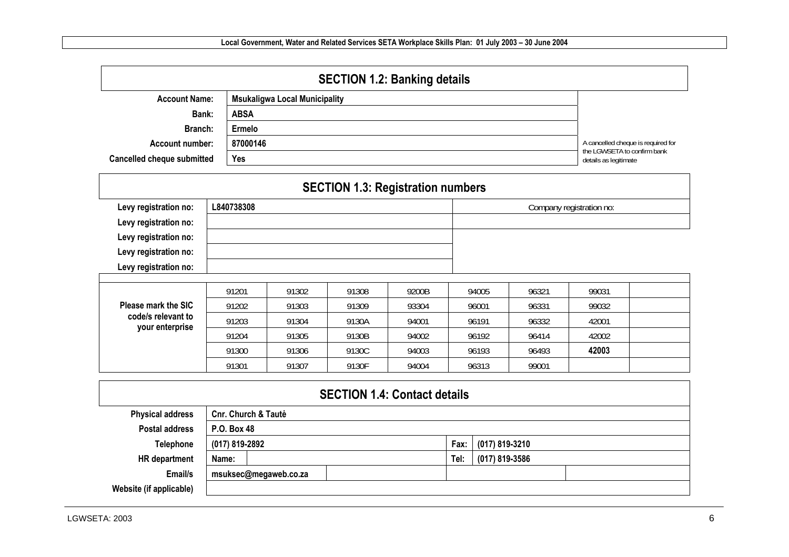| <b>SECTION 1.2: Banking details</b> |                                      |                                                      |  |  |  |  |  |  |  |
|-------------------------------------|--------------------------------------|------------------------------------------------------|--|--|--|--|--|--|--|
| <b>Account Name:</b>                | <b>Msukaligwa Local Municipality</b> |                                                      |  |  |  |  |  |  |  |
| Bank:                               | <b>ABSA</b>                          |                                                      |  |  |  |  |  |  |  |
| Branch:                             | Ermelo                               |                                                      |  |  |  |  |  |  |  |
| <b>Account number:</b>              | 87000146                             | A cancelled cheque is required for                   |  |  |  |  |  |  |  |
| <b>Cancelled cheque submitted</b>   | Yes                                  | the LGWSETA to confirm bank<br>details as legitimate |  |  |  |  |  |  |  |
|                                     |                                      |                                                      |  |  |  |  |  |  |  |

|                                                                         |            | <b>SECTION 1.3: Registration numbers</b> |       |       |       |         |                          |  |
|-------------------------------------------------------------------------|------------|------------------------------------------|-------|-------|-------|---------|--------------------------|--|
| Levy registration no:<br>Levy registration no:                          | L840738308 |                                          |       |       |       |         | Company registration no: |  |
| Levy registration no:<br>Levy registration no:<br>Levy registration no: |            |                                          |       |       |       |         |                          |  |
|                                                                         |            |                                          |       |       |       |         |                          |  |
|                                                                         | 91201      | 91302                                    | 91308 | 9200B | 94005 | 96321   | 99031                    |  |
| Please mark the SIC                                                     | 91202      | 91303                                    | 91309 | 93304 | 96001 | 96331   | 99032                    |  |
| code/s relevant to<br>your enterprise                                   | 91203      | 91304                                    | 9130A | 94001 | 96191 | 96332   | 42001                    |  |
|                                                                         |            |                                          |       |       |       | _ _ _ _ |                          |  |

91204 | 91305 | 9130B | 94002 | 96192 | 96414 | 42002

91300 91306 9130C 94003 96193 96493 **42003**

|                         | 91301                          | 91307 | 9130F | 94004                               |      | 96313          | 99001          |  |  |  |
|-------------------------|--------------------------------|-------|-------|-------------------------------------|------|----------------|----------------|--|--|--|
|                         |                                |       |       |                                     |      |                |                |  |  |  |
|                         |                                |       |       | <b>SECTION 1.4: Contact details</b> |      |                |                |  |  |  |
| <b>Physical address</b> | <b>Cnr. Church &amp; Tautė</b> |       |       |                                     |      |                |                |  |  |  |
| <b>Postal address</b>   | P.O. Box 48                    |       |       |                                     |      |                |                |  |  |  |
| <b>Telephone</b>        | (017) 819-2892                 |       |       |                                     | Fax: | (017) 819-3210 |                |  |  |  |
| HR department           | Name:                          |       |       |                                     | Tel: |                | (017) 819-3586 |  |  |  |
| Email/s                 | msuksec@megaweb.co.za          |       |       |                                     |      |                |                |  |  |  |
| Website (if applicable) |                                |       |       |                                     |      |                |                |  |  |  |

42002

42003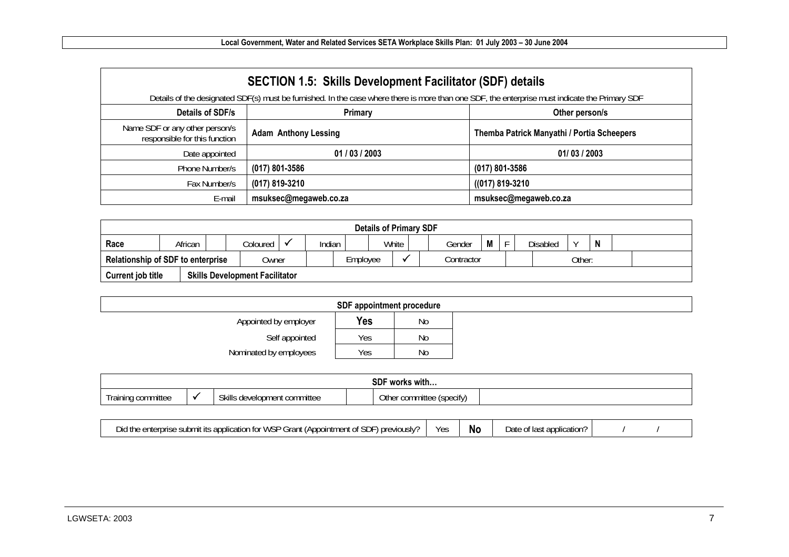|                                                                 | <b>SECTION 1.5: Skills Development Facilitator (SDF) details</b><br>Details of the designated SDF(s) must be furnished. In the case where there is more than one SDF, the enterprise must indicate the Primary SDF |                                            |  |  |  |  |  |  |  |  |  |  |  |
|-----------------------------------------------------------------|--------------------------------------------------------------------------------------------------------------------------------------------------------------------------------------------------------------------|--------------------------------------------|--|--|--|--|--|--|--|--|--|--|--|
| Details of SDF/s                                                | Primary                                                                                                                                                                                                            | Other person/s                             |  |  |  |  |  |  |  |  |  |  |  |
| Name SDF or any other person/s<br>responsible for this function | <b>Adam Anthony Lessing</b>                                                                                                                                                                                        | Themba Patrick Manyathi / Portia Scheepers |  |  |  |  |  |  |  |  |  |  |  |
| Date appointed                                                  | 01/03/2003                                                                                                                                                                                                         | 01/03/2003                                 |  |  |  |  |  |  |  |  |  |  |  |
| Phone Number/s                                                  | $(017)$ 801-3586                                                                                                                                                                                                   | $(017)$ 801-3586                           |  |  |  |  |  |  |  |  |  |  |  |
| Fax Number/s                                                    | (017) 819-3210                                                                                                                                                                                                     | $((017) 819 - 3210)$                       |  |  |  |  |  |  |  |  |  |  |  |
| E-mail                                                          | msuksec@megaweb.co.za                                                                                                                                                                                              | msuksec@megaweb.co.za                      |  |  |  |  |  |  |  |  |  |  |  |

|                                                   | <b>Details of Primary SDF</b>         |  |          |          |        |  |            |  |        |        |  |  |                 |  |  |  |  |
|---------------------------------------------------|---------------------------------------|--|----------|----------|--------|--|------------|--|--------|--------|--|--|-----------------|--|--|--|--|
| Race                                              | African                               |  | Coloured | ◡        | Indian |  | White      |  | Gender | M      |  |  | <b>Disabled</b> |  |  |  |  |
| <b>Relationship of SDF to enterprise</b><br>Owner |                                       |  |          | Employee |        |  | Contractor |  |        | Other: |  |  |                 |  |  |  |  |
| <b>Current job title</b>                          | <b>Skills Development Facilitator</b> |  |          |          |        |  |            |  |        |        |  |  |                 |  |  |  |  |

| SDF appointment procedure |     |                |  |  |  |  |  |  |  |  |  |
|---------------------------|-----|----------------|--|--|--|--|--|--|--|--|--|
| Appointed by employer     | Yes | N <sub>o</sub> |  |  |  |  |  |  |  |  |  |
| Self appointed            | Yes | No             |  |  |  |  |  |  |  |  |  |
| Nominated by employees    | Yes | No             |  |  |  |  |  |  |  |  |  |

|                    |         |                              | <b>SDF</b><br>.<br>works with |  |
|--------------------|---------|------------------------------|-------------------------------|--|
| Training committee | $\cdot$ | Skills development committee | Other committee (specify)     |  |

| r WSP Grant<br><b>SDF</b><br>previously?<br>' Appointment of) ،<br>; application for<br>, submit<br>enterprise<br>Did thr | Yes | <b>N</b> | Date<br>$.$ $\alpha$ t lact<br>i application'<br>. id.S.<br>UL |  |  |
|---------------------------------------------------------------------------------------------------------------------------|-----|----------|----------------------------------------------------------------|--|--|
|---------------------------------------------------------------------------------------------------------------------------|-----|----------|----------------------------------------------------------------|--|--|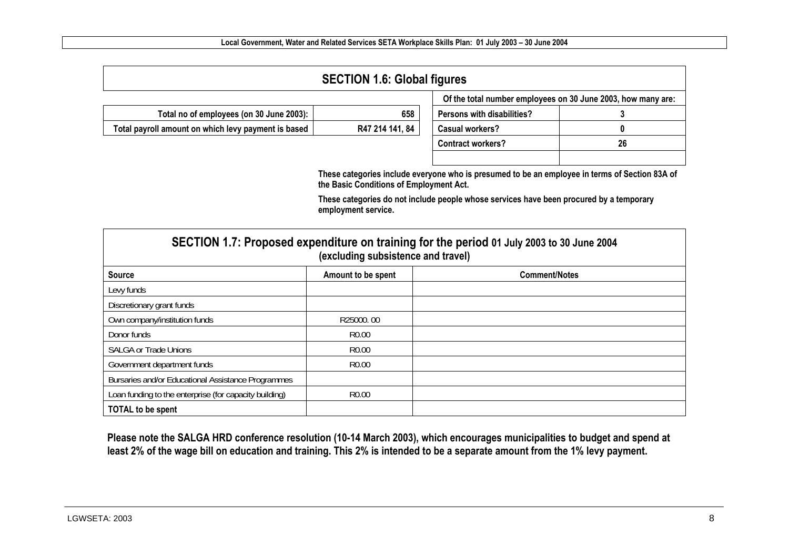| <b>SECTION 1.6: Global figures</b>                  |                 |                            |                                                              |  |  |  |  |  |  |  |  |  |
|-----------------------------------------------------|-----------------|----------------------------|--------------------------------------------------------------|--|--|--|--|--|--|--|--|--|
|                                                     |                 |                            | Of the total number employees on 30 June 2003, how many are: |  |  |  |  |  |  |  |  |  |
| Total no of employees (on 30 June 2003):            | 658             | Persons with disabilities? |                                                              |  |  |  |  |  |  |  |  |  |
| Total payroll amount on which levy payment is based | R47 214 141, 84 | <b>Casual workers?</b>     |                                                              |  |  |  |  |  |  |  |  |  |
|                                                     |                 | <b>Contract workers?</b>   | 26                                                           |  |  |  |  |  |  |  |  |  |
|                                                     |                 |                            |                                                              |  |  |  |  |  |  |  |  |  |

**These categories include everyone who is presumed to be an employee in terms of Section 83A of the Basic Conditions of Employment Act.** 

**These categories do not include people whose services have been procured by a temporary employment service.** 

|                                                        | (excluding subsistence and travel) | SECTION 1.7: Proposed expenditure on training for the period 01 July 2003 to 30 June 2004 |
|--------------------------------------------------------|------------------------------------|-------------------------------------------------------------------------------------------|
| <b>Source</b>                                          | Amount to be spent                 | <b>Comment/Notes</b>                                                                      |
| Levy funds                                             |                                    |                                                                                           |
| Discretionary grant funds                              |                                    |                                                                                           |
| Own company/institution funds                          | R25000.00                          |                                                                                           |
| Donor funds                                            | R <sub>0.00</sub>                  |                                                                                           |
| <b>SALGA or Trade Unions</b>                           | R <sub>0.00</sub>                  |                                                                                           |
| Government department funds                            | R <sub>0.00</sub>                  |                                                                                           |
| Bursaries and/or Educational Assistance Programmes     |                                    |                                                                                           |
| Loan funding to the enterprise (for capacity building) | R <sub>0.00</sub>                  |                                                                                           |
| <b>TOTAL to be spent</b>                               |                                    |                                                                                           |

**Please note the SALGA HRD conference resolution (10-14 March 2003), which encourages municipalities to budget and spend at least 2% of the wage bill on education and training. This 2% is intended to be a separate amount from the 1% levy payment.**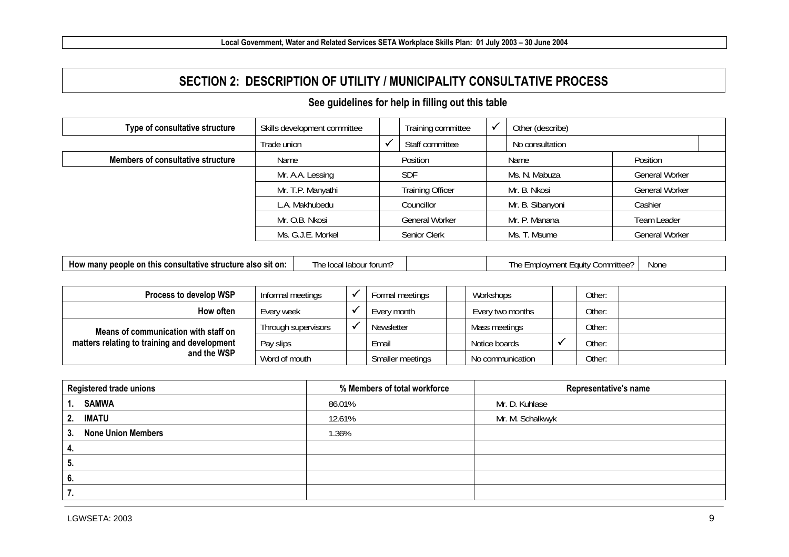#### **SECTION 2: DESCRIPTION OF UTILITY / MUNICIPALITY CONSULTATIVE PROCESS**

#### **See guidelines for help in filling out this table**

| Type of consultative structure    | Skills development committee | Training committee      | Other (describe) |                       |  |  |  |  |
|-----------------------------------|------------------------------|-------------------------|------------------|-----------------------|--|--|--|--|
|                                   | Trade union                  | Staff committee         | No consultation  |                       |  |  |  |  |
| Members of consultative structure | Name                         | Position                | Name             | Position              |  |  |  |  |
|                                   | Mr. A.A. Lessing             | <b>SDF</b>              | Ms. N. Mabuza    | <b>General Worker</b> |  |  |  |  |
|                                   | Mr. T.P. Manyathi            | <b>Training Officer</b> | Mr. B. Nkosi     | General Worker        |  |  |  |  |
|                                   | L.A. Makhubedu               | Councillor              | Mr. B. Sibanyoni | Cashier               |  |  |  |  |
|                                   | Mr. O.B. Nkosi               | General Worker          | Mr. P. Manana    | Team Leader           |  |  |  |  |
|                                   | Ms. G.J.E. Morkel            | Senior Clerk            | Ms. T. Msume     | <b>General Worker</b> |  |  |  |  |

|  | How many people on this consultative structure also sit on: | The |
|--|-------------------------------------------------------------|-----|
|--|-------------------------------------------------------------|-----|

**How many people on this consultative structure also sit on the Local labour forum?** The Employment Equity Committee? None

| Process to develop WSP                                                                              | Informal meetings   |  | Formal meetings   | Workshops        | Other: |  |
|-----------------------------------------------------------------------------------------------------|---------------------|--|-------------------|------------------|--------|--|
| How often                                                                                           | Every week          |  | Every month       | Every two months | Other: |  |
| Means of communication with staff on<br>matters relating to training and development<br>and the WSP | Through supervisors |  | <b>Newsletter</b> | Mass meetings    | Other: |  |
|                                                                                                     | Pay slips           |  | Email             | Notice boards    | Other: |  |
|                                                                                                     | Word of mouth       |  | Smaller meetings  | No communication | Other: |  |

| <b>Registered trade unions</b>              | % Members of total workforce | Representative's name |
|---------------------------------------------|------------------------------|-----------------------|
| <b>SAMWA</b><br>1.                          | 86.01%                       | Mr. D. Kuhlase        |
| 2. IMATU                                    | 12.61%                       | Mr. M. Schalkwyk      |
| <b>None Union Members</b><br>3 <sub>1</sub> | 1.36%                        |                       |
| 4.                                          |                              |                       |
| 5.                                          |                              |                       |
| 6.                                          |                              |                       |
|                                             |                              |                       |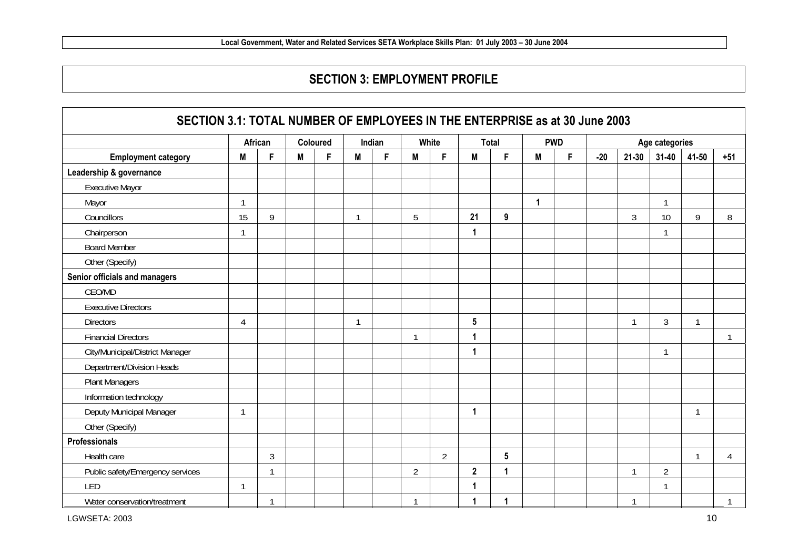#### **SECTION 3: EMPLOYMENT PROFILE**

| SECTION 3.1: TOTAL NUMBER OF EMPLOYEES IN THE ENTERPRISE as at 30 June 2003 |    |                |   |          |                |        |                |                |                |                  |              |            |       |                |                |                |       |  |
|-----------------------------------------------------------------------------|----|----------------|---|----------|----------------|--------|----------------|----------------|----------------|------------------|--------------|------------|-------|----------------|----------------|----------------|-------|--|
|                                                                             |    | African        |   | Coloured |                | Indian |                | White          |                | <b>Total</b>     |              | <b>PWD</b> |       |                |                | Age categories |       |  |
| <b>Employment category</b>                                                  | M  | F              | M | F        | M              | F.     | M              | F              | M              | F                | M            | F.         | $-20$ | $21 - 30$      | $31 - 40$      | 41-50          | $+51$ |  |
| Leadership & governance                                                     |    |                |   |          |                |        |                |                |                |                  |              |            |       |                |                |                |       |  |
| <b>Executive Mayor</b>                                                      |    |                |   |          |                |        |                |                |                |                  |              |            |       |                |                |                |       |  |
| Mayor                                                                       |    |                |   |          |                |        |                |                |                |                  | $\mathbf{1}$ |            |       |                | $\mathbf{1}$   |                |       |  |
| Councillors                                                                 | 15 | 9              |   |          | $\mathbf{1}$   |        | 5              |                | 21             | $\boldsymbol{9}$ |              |            |       | $\mathfrak{Z}$ | 10             | 9              | 8     |  |
| Chairperson                                                                 |    |                |   |          |                |        |                |                | 1              |                  |              |            |       |                | $\mathbf{1}$   |                |       |  |
| <b>Board Member</b>                                                         |    |                |   |          |                |        |                |                |                |                  |              |            |       |                |                |                |       |  |
| Other (Specify)                                                             |    |                |   |          |                |        |                |                |                |                  |              |            |       |                |                |                |       |  |
| Senior officials and managers                                               |    |                |   |          |                |        |                |                |                |                  |              |            |       |                |                |                |       |  |
| CEO/MD                                                                      |    |                |   |          |                |        |                |                |                |                  |              |            |       |                |                |                |       |  |
| <b>Executive Directors</b>                                                  |    |                |   |          |                |        |                |                |                |                  |              |            |       |                |                |                |       |  |
| <b>Directors</b>                                                            | 4  |                |   |          | $\overline{1}$ |        |                |                | 5              |                  |              |            |       | $\mathbf{1}$   | $\mathfrak{Z}$ | $\mathbf{1}$   |       |  |
| <b>Financial Directors</b>                                                  |    |                |   |          |                |        | $\mathbf{1}$   |                |                |                  |              |            |       |                |                |                | 1     |  |
| City/Municipal/District Manager                                             |    |                |   |          |                |        |                |                |                |                  |              |            |       |                | $\mathbf{1}$   |                |       |  |
| Department/Division Heads                                                   |    |                |   |          |                |        |                |                |                |                  |              |            |       |                |                |                |       |  |
| <b>Plant Managers</b>                                                       |    |                |   |          |                |        |                |                |                |                  |              |            |       |                |                |                |       |  |
| Information technology                                                      |    |                |   |          |                |        |                |                |                |                  |              |            |       |                |                |                |       |  |
| Deputy Municipal Manager                                                    |    |                |   |          |                |        |                |                | 1              |                  |              |            |       |                |                | $\mathbf{1}$   |       |  |
| Other (Specify)                                                             |    |                |   |          |                |        |                |                |                |                  |              |            |       |                |                |                |       |  |
| <b>Professionals</b>                                                        |    |                |   |          |                |        |                |                |                |                  |              |            |       |                |                |                |       |  |
| Health care                                                                 |    | $\mathfrak{Z}$ |   |          |                |        |                | $\overline{2}$ |                | $5\phantom{.0}$  |              |            |       |                |                | 1              | 4     |  |
| Public safety/Emergency services                                            |    | $\mathbf{1}$   |   |          |                |        | $\overline{2}$ |                | $\overline{2}$ | $\overline{1}$   |              |            |       | $\mathbf{1}$   | $\overline{2}$ |                |       |  |
| LED                                                                         |    |                |   |          |                |        |                |                | 1              |                  |              |            |       |                | 1              |                |       |  |
| Water conservation/treatment                                                |    |                |   |          |                |        |                |                |                |                  |              |            |       |                |                |                |       |  |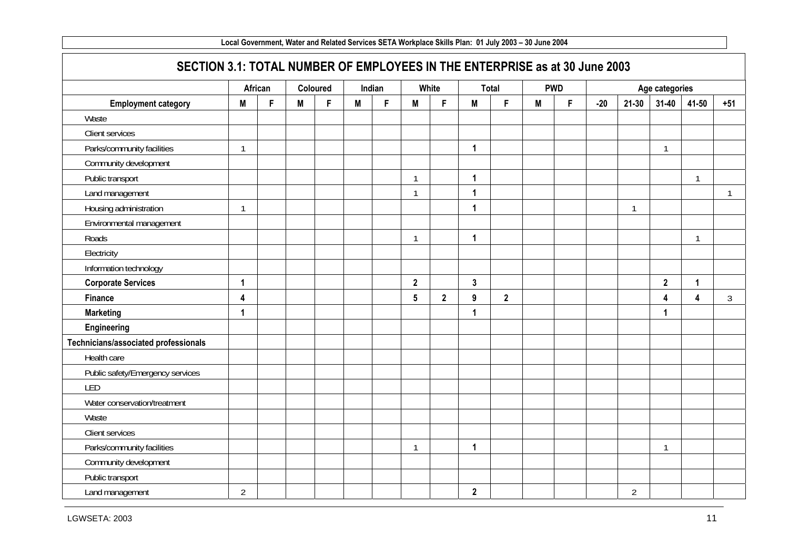|                                      | SECTION 3.1: TOTAL NUMBER OF EMPLOYEES IN THE ENTERPRISE as at 30 June 2003 |         |   |          |   |        |                 |              |              |                |   |            |       |                |                |                |                |
|--------------------------------------|-----------------------------------------------------------------------------|---------|---|----------|---|--------|-----------------|--------------|--------------|----------------|---|------------|-------|----------------|----------------|----------------|----------------|
|                                      |                                                                             | African |   | Coloured |   | Indian |                 | White        |              | Total          |   | <b>PWD</b> |       |                | Age categories |                |                |
| <b>Employment category</b>           | M                                                                           | F       | M | F        | M | F      | M               | F            | M            | F              | M | F          | $-20$ | $21 - 30$      | $31 - 40$      | 41-50          | $+51$          |
| Waste                                |                                                                             |         |   |          |   |        |                 |              |              |                |   |            |       |                |                |                |                |
| Client services                      |                                                                             |         |   |          |   |        |                 |              |              |                |   |            |       |                |                |                |                |
| Parks/community facilities           | $\mathbf{1}$                                                                |         |   |          |   |        |                 |              | 1            |                |   |            |       |                | $\mathbf{1}$   |                |                |
| Community development                |                                                                             |         |   |          |   |        |                 |              |              |                |   |            |       |                |                |                |                |
| Public transport                     |                                                                             |         |   |          |   |        | $\overline{1}$  |              | $\mathbf{1}$ |                |   |            |       |                |                | $\mathbf{1}$   |                |
| Land management                      |                                                                             |         |   |          |   |        | $\overline{1}$  |              | $\mathbf{1}$ |                |   |            |       |                |                |                | $\mathbf{1}$   |
| Housing administration               | $\mathbf{1}$                                                                |         |   |          |   |        |                 |              | 1            |                |   |            |       | $\mathbf{1}$   |                |                |                |
| Environmental management             |                                                                             |         |   |          |   |        |                 |              |              |                |   |            |       |                |                |                |                |
| Roads                                |                                                                             |         |   |          |   |        | $\overline{1}$  |              | $\mathbf{1}$ |                |   |            |       |                |                | $\mathbf{1}$   |                |
| Electricity                          |                                                                             |         |   |          |   |        |                 |              |              |                |   |            |       |                |                |                |                |
| Information technology               |                                                                             |         |   |          |   |        |                 |              |              |                |   |            |       |                |                |                |                |
| <b>Corporate Services</b>            | $\mathbf{1}$                                                                |         |   |          |   |        | $\overline{2}$  |              | $\mathbf{3}$ |                |   |            |       |                | $\mathbf{2}$   | $\overline{1}$ |                |
| Finance                              | 4                                                                           |         |   |          |   |        | $5\phantom{.0}$ | $\mathbf{2}$ | 9            | $\overline{2}$ |   |            |       |                | 4              | 4              | $\mathfrak{Z}$ |
| <b>Marketing</b>                     | $\mathbf{1}$                                                                |         |   |          |   |        |                 |              | $\mathbf{1}$ |                |   |            |       |                | 1              |                |                |
| Engineering                          |                                                                             |         |   |          |   |        |                 |              |              |                |   |            |       |                |                |                |                |
| Technicians/associated professionals |                                                                             |         |   |          |   |        |                 |              |              |                |   |            |       |                |                |                |                |
| Health care                          |                                                                             |         |   |          |   |        |                 |              |              |                |   |            |       |                |                |                |                |
| Public safety/Emergency services     |                                                                             |         |   |          |   |        |                 |              |              |                |   |            |       |                |                |                |                |
| LED                                  |                                                                             |         |   |          |   |        |                 |              |              |                |   |            |       |                |                |                |                |
| Water conservation/treatment         |                                                                             |         |   |          |   |        |                 |              |              |                |   |            |       |                |                |                |                |
| Waste                                |                                                                             |         |   |          |   |        |                 |              |              |                |   |            |       |                |                |                |                |
| Client services                      |                                                                             |         |   |          |   |        |                 |              |              |                |   |            |       |                |                |                |                |
| Parks/community facilities           |                                                                             |         |   |          |   |        | $\overline{1}$  |              | $\mathbf 1$  |                |   |            |       |                | $\mathbf{1}$   |                |                |
| Community development                |                                                                             |         |   |          |   |        |                 |              |              |                |   |            |       |                |                |                |                |
| Public transport                     |                                                                             |         |   |          |   |        |                 |              |              |                |   |            |       |                |                |                |                |
| Land management                      | $\overline{2}$                                                              |         |   |          |   |        |                 |              | $\mathbf{2}$ |                |   |            |       | $\overline{2}$ |                |                |                |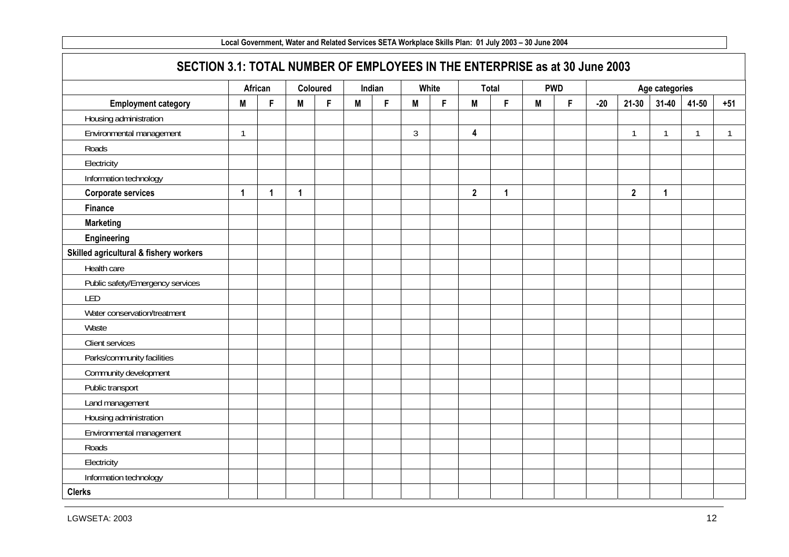|                                        | SECTION 3.1: TOTAL NUMBER OF EMPLOYEES IN THE ENTERPRISE as at 30 June 2003<br>Age categories |              |             |          |   |        |                |       |                |              |   |            |       |              |           |              |              |
|----------------------------------------|-----------------------------------------------------------------------------------------------|--------------|-------------|----------|---|--------|----------------|-------|----------------|--------------|---|------------|-------|--------------|-----------|--------------|--------------|
|                                        |                                                                                               | African      |             | Coloured |   | Indian |                | White |                | <b>Total</b> |   | <b>PWD</b> |       |              |           |              |              |
| <b>Employment category</b>             | M                                                                                             | F            | M           | F        | M | F      | M              | F.    | M              | F            | M | F          | $-20$ | $21 - 30$    | $31 - 40$ | 41-50        | $+51$        |
| Housing administration                 |                                                                                               |              |             |          |   |        |                |       |                |              |   |            |       |              |           |              |              |
| Environmental management               | 1                                                                                             |              |             |          |   |        | $\mathfrak{Z}$ |       | 4              |              |   |            |       | 1            | 1         | $\mathbf{1}$ | $\mathbf{1}$ |
| Roads                                  |                                                                                               |              |             |          |   |        |                |       |                |              |   |            |       |              |           |              |              |
| Electricity                            |                                                                                               |              |             |          |   |        |                |       |                |              |   |            |       |              |           |              |              |
| Information technology                 |                                                                                               |              |             |          |   |        |                |       |                |              |   |            |       |              |           |              |              |
| <b>Corporate services</b>              | 1                                                                                             | $\mathbf{1}$ | $\mathbf 1$ |          |   |        |                |       | $\overline{2}$ | $\mathbf{1}$ |   |            |       | $\mathbf{2}$ | 1         |              |              |
| <b>Finance</b>                         |                                                                                               |              |             |          |   |        |                |       |                |              |   |            |       |              |           |              |              |
| <b>Marketing</b>                       |                                                                                               |              |             |          |   |        |                |       |                |              |   |            |       |              |           |              |              |
| Engineering                            |                                                                                               |              |             |          |   |        |                |       |                |              |   |            |       |              |           |              |              |
| Skilled agricultural & fishery workers |                                                                                               |              |             |          |   |        |                |       |                |              |   |            |       |              |           |              |              |
| Health care                            |                                                                                               |              |             |          |   |        |                |       |                |              |   |            |       |              |           |              |              |
| Public safety/Emergency services       |                                                                                               |              |             |          |   |        |                |       |                |              |   |            |       |              |           |              |              |
| LED                                    |                                                                                               |              |             |          |   |        |                |       |                |              |   |            |       |              |           |              |              |
| Water conservation/treatment           |                                                                                               |              |             |          |   |        |                |       |                |              |   |            |       |              |           |              |              |
| Waste                                  |                                                                                               |              |             |          |   |        |                |       |                |              |   |            |       |              |           |              |              |
| <b>Client services</b>                 |                                                                                               |              |             |          |   |        |                |       |                |              |   |            |       |              |           |              |              |
| Parks/community facilities             |                                                                                               |              |             |          |   |        |                |       |                |              |   |            |       |              |           |              |              |
| Community development                  |                                                                                               |              |             |          |   |        |                |       |                |              |   |            |       |              |           |              |              |
| Public transport                       |                                                                                               |              |             |          |   |        |                |       |                |              |   |            |       |              |           |              |              |
| Land management                        |                                                                                               |              |             |          |   |        |                |       |                |              |   |            |       |              |           |              |              |
| Housing administration                 |                                                                                               |              |             |          |   |        |                |       |                |              |   |            |       |              |           |              |              |
| Environmental management               |                                                                                               |              |             |          |   |        |                |       |                |              |   |            |       |              |           |              |              |
| Roads                                  |                                                                                               |              |             |          |   |        |                |       |                |              |   |            |       |              |           |              |              |
| Electricity                            |                                                                                               |              |             |          |   |        |                |       |                |              |   |            |       |              |           |              |              |
| Information technology                 |                                                                                               |              |             |          |   |        |                |       |                |              |   |            |       |              |           |              |              |
| <b>Clerks</b>                          |                                                                                               |              |             |          |   |        |                |       |                |              |   |            |       |              |           |              |              |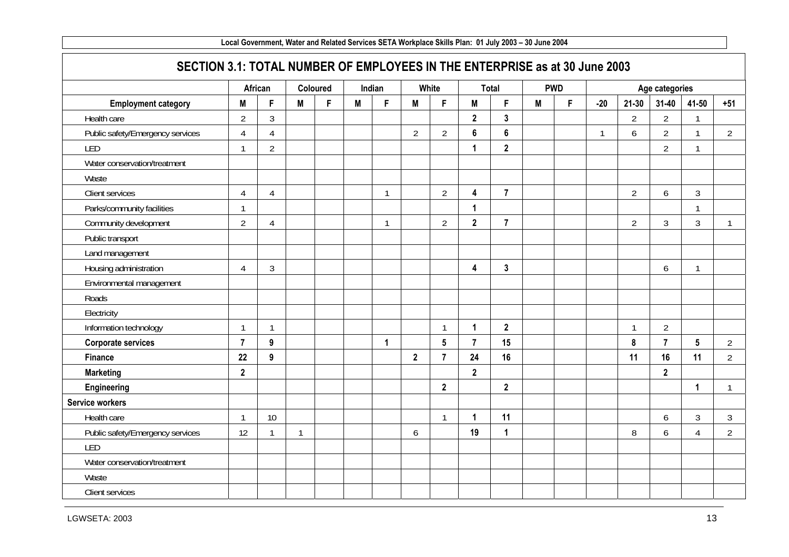| SECTION 3.1: TOTAL NUMBER OF EMPLOYEES IN THE ENTERPRISE as at 30 June 2003 |                |                |              |          |        |              |                |                 |                         |                  |   |            |              |                |                |                 |                |
|-----------------------------------------------------------------------------|----------------|----------------|--------------|----------|--------|--------------|----------------|-----------------|-------------------------|------------------|---|------------|--------------|----------------|----------------|-----------------|----------------|
|                                                                             |                | African        |              | Coloured | Indian |              |                | White           |                         | <b>Total</b>     |   | <b>PWD</b> |              |                | Age categories |                 |                |
| <b>Employment category</b>                                                  | M              | F              | M            | F        | M      | F            | M              | F.              | M                       | F                | M | F          | $-20$        | $21 - 30$      | $31 - 40$      | 41-50           | $+51$          |
| Health care                                                                 | $\overline{2}$ | 3              |              |          |        |              |                |                 | $\overline{2}$          | $\mathbf{3}$     |   |            |              | $\overline{2}$ | $\overline{2}$ | $\mathbf{1}$    |                |
| Public safety/Emergency services                                            | $\overline{4}$ | $\overline{4}$ |              |          |        |              | $\overline{2}$ | $\overline{2}$  | $\bf 6$                 | $\boldsymbol{6}$ |   |            | $\mathbf{1}$ | 6              | $\overline{2}$ | $\mathbf{1}$    | $\overline{2}$ |
| LED                                                                         | $\mathbf{1}$   | $\overline{2}$ |              |          |        |              |                |                 | $\mathbf{1}$            | $\mathbf{2}$     |   |            |              |                | $\overline{2}$ | $\mathbf{1}$    |                |
| Water conservation/treatment                                                |                |                |              |          |        |              |                |                 |                         |                  |   |            |              |                |                |                 |                |
| Waste                                                                       |                |                |              |          |        |              |                |                 |                         |                  |   |            |              |                |                |                 |                |
| Client services                                                             | $\overline{4}$ | $\overline{4}$ |              |          |        | $\mathbf{1}$ |                | $\overline{2}$  | $\overline{\mathbf{4}}$ | $\overline{7}$   |   |            |              | $\overline{2}$ | 6              | $\mathfrak{Z}$  |                |
| Parks/community facilities                                                  | $\mathbf{1}$   |                |              |          |        |              |                |                 | $\mathbf{1}$            |                  |   |            |              |                |                | $\mathbf{1}$    |                |
| Community development                                                       | $\overline{2}$ | $\overline{4}$ |              |          |        | $\mathbf{1}$ |                | $\overline{2}$  | $\overline{2}$          | $\overline{7}$   |   |            |              | $\overline{2}$ | $\mathfrak{Z}$ | 3               |                |
| Public transport                                                            |                |                |              |          |        |              |                |                 |                         |                  |   |            |              |                |                |                 |                |
| Land management                                                             |                |                |              |          |        |              |                |                 |                         |                  |   |            |              |                |                |                 |                |
| Housing administration                                                      | $\overline{4}$ | 3              |              |          |        |              |                |                 | $\overline{\mathbf{4}}$ | $\mathbf{3}$     |   |            |              |                | 6              | $\mathbf{1}$    |                |
| Environmental management                                                    |                |                |              |          |        |              |                |                 |                         |                  |   |            |              |                |                |                 |                |
| Roads                                                                       |                |                |              |          |        |              |                |                 |                         |                  |   |            |              |                |                |                 |                |
| Electricity                                                                 |                |                |              |          |        |              |                |                 |                         |                  |   |            |              |                |                |                 |                |
| Information technology                                                      | $\mathbf{1}$   | $\overline{1}$ |              |          |        |              |                | $\mathbf{1}$    | $\mathbf{1}$            | $\mathbf{2}$     |   |            |              | $\mathbf{1}$   | $\overline{2}$ |                 |                |
| <b>Corporate services</b>                                                   | $\overline{7}$ | 9              |              |          |        | 1            |                | $5\phantom{.0}$ | $\overline{7}$          | 15               |   |            |              | 8              | $\overline{7}$ | $5\phantom{.0}$ | $\overline{2}$ |
| <b>Finance</b>                                                              | 22             | $\overline{9}$ |              |          |        |              | $\mathbf{2}$   | $\overline{7}$  | 24                      | 16               |   |            |              | 11             | 16             | 11              | $\overline{2}$ |
| <b>Marketing</b>                                                            | $\overline{2}$ |                |              |          |        |              |                |                 | $\overline{2}$          |                  |   |            |              |                | $\overline{2}$ |                 |                |
| Engineering                                                                 |                |                |              |          |        |              |                | $\mathbf{2}$    |                         | $\mathbf{2}$     |   |            |              |                |                | $\mathbf{1}$    |                |
| <b>Service workers</b>                                                      |                |                |              |          |        |              |                |                 |                         |                  |   |            |              |                |                |                 |                |
| Health care                                                                 | $\mathbf{1}$   | 10             |              |          |        |              |                | $\mathbf{1}$    | $\mathbf{1}$            | 11               |   |            |              |                | 6              | 3               | $\mathfrak{Z}$ |
| Public safety/Emergency services                                            | 12             | 1              | $\mathbf{1}$ |          |        |              | 6              |                 | 19                      | 1                |   |            |              | 8              | 6              | 4               | $\overline{2}$ |
| LED                                                                         |                |                |              |          |        |              |                |                 |                         |                  |   |            |              |                |                |                 |                |
| Water conservation/treatment                                                |                |                |              |          |        |              |                |                 |                         |                  |   |            |              |                |                |                 |                |
| Waste                                                                       |                |                |              |          |        |              |                |                 |                         |                  |   |            |              |                |                |                 |                |
| Client services                                                             |                |                |              |          |        |              |                |                 |                         |                  |   |            |              |                |                |                 |                |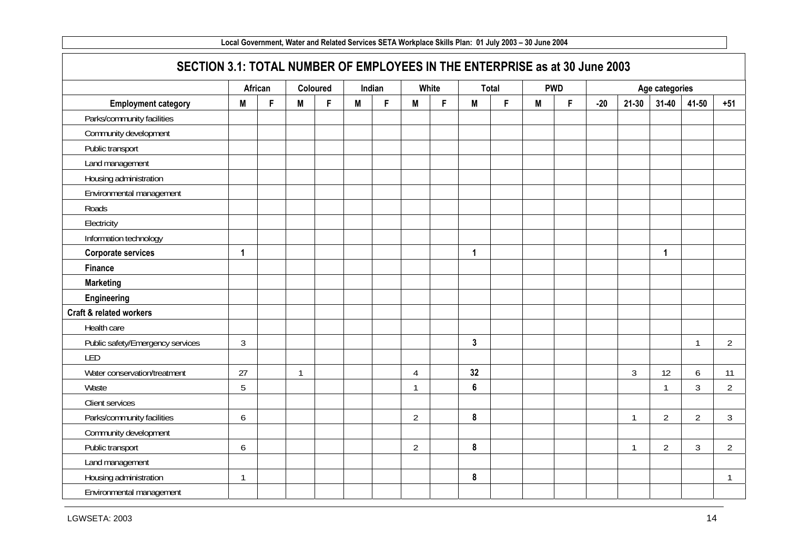| SECTION 3.1: TOTAL NUMBER OF EMPLOYEES IN THE ENTERPRISE as at 30 June 2003 |                |         |              |          |   |        |                |       |                  |       |   |            |       |                |                |                |                |
|-----------------------------------------------------------------------------|----------------|---------|--------------|----------|---|--------|----------------|-------|------------------|-------|---|------------|-------|----------------|----------------|----------------|----------------|
|                                                                             |                | African |              | Coloured |   | Indian |                | White |                  | Total |   | <b>PWD</b> |       |                | Age categories |                |                |
| <b>Employment category</b>                                                  | M              | F       | M            | F        | M | F      | M              | F.    | M                | F     | M | F          | $-20$ | $21 - 30$      | $31 - 40$      | 41-50          | $+51$          |
| Parks/community facilities                                                  |                |         |              |          |   |        |                |       |                  |       |   |            |       |                |                |                |                |
| Community development                                                       |                |         |              |          |   |        |                |       |                  |       |   |            |       |                |                |                |                |
| Public transport                                                            |                |         |              |          |   |        |                |       |                  |       |   |            |       |                |                |                |                |
| Land management                                                             |                |         |              |          |   |        |                |       |                  |       |   |            |       |                |                |                |                |
| Housing administration                                                      |                |         |              |          |   |        |                |       |                  |       |   |            |       |                |                |                |                |
| Environmental management                                                    |                |         |              |          |   |        |                |       |                  |       |   |            |       |                |                |                |                |
| Roads                                                                       |                |         |              |          |   |        |                |       |                  |       |   |            |       |                |                |                |                |
| Electricity                                                                 |                |         |              |          |   |        |                |       |                  |       |   |            |       |                |                |                |                |
| Information technology                                                      |                |         |              |          |   |        |                |       |                  |       |   |            |       |                |                |                |                |
| <b>Corporate services</b>                                                   | 1              |         |              |          |   |        |                |       | $\mathbf{1}$     |       |   |            |       |                | 1              |                |                |
| <b>Finance</b>                                                              |                |         |              |          |   |        |                |       |                  |       |   |            |       |                |                |                |                |
| <b>Marketing</b>                                                            |                |         |              |          |   |        |                |       |                  |       |   |            |       |                |                |                |                |
| Engineering                                                                 |                |         |              |          |   |        |                |       |                  |       |   |            |       |                |                |                |                |
| Craft & related workers                                                     |                |         |              |          |   |        |                |       |                  |       |   |            |       |                |                |                |                |
| Health care                                                                 |                |         |              |          |   |        |                |       |                  |       |   |            |       |                |                |                |                |
| Public safety/Emergency services                                            | $\mathfrak{Z}$ |         |              |          |   |        |                |       | $\mathbf{3}$     |       |   |            |       |                |                | $\overline{1}$ | $\overline{2}$ |
| LED                                                                         |                |         |              |          |   |        |                |       |                  |       |   |            |       |                |                |                |                |
| Water conservation/treatment                                                | 27             |         | $\mathbf{1}$ |          |   |        | $\overline{4}$ |       | 32               |       |   |            |       | $\mathfrak{Z}$ | 12             | 6              | 11             |
| Waste                                                                       | 5              |         |              |          |   |        | $\mathbf{1}$   |       | $6\phantom{a}$   |       |   |            |       |                | $\mathbf{1}$   | 3              | $\overline{2}$ |
| Client services                                                             |                |         |              |          |   |        |                |       |                  |       |   |            |       |                |                |                |                |
| Parks/community facilities                                                  | 6              |         |              |          |   |        | $\overline{2}$ |       | $\boldsymbol{8}$ |       |   |            |       | $\mathbf{1}$   | $\overline{2}$ | $\overline{2}$ | $\overline{3}$ |
| Community development                                                       |                |         |              |          |   |        |                |       |                  |       |   |            |       |                |                |                |                |
| Public transport                                                            | 6              |         |              |          |   |        | $\overline{2}$ |       | $\pmb{8}$        |       |   |            |       | $\mathbf{1}$   | $\overline{2}$ | 3              | $\overline{2}$ |
| Land management                                                             |                |         |              |          |   |        |                |       |                  |       |   |            |       |                |                |                |                |
| Housing administration                                                      | $\mathbf{1}$   |         |              |          |   |        |                |       | $\boldsymbol{8}$ |       |   |            |       |                |                |                | $\overline{1}$ |
| Environmental management                                                    |                |         |              |          |   |        |                |       |                  |       |   |            |       |                |                |                |                |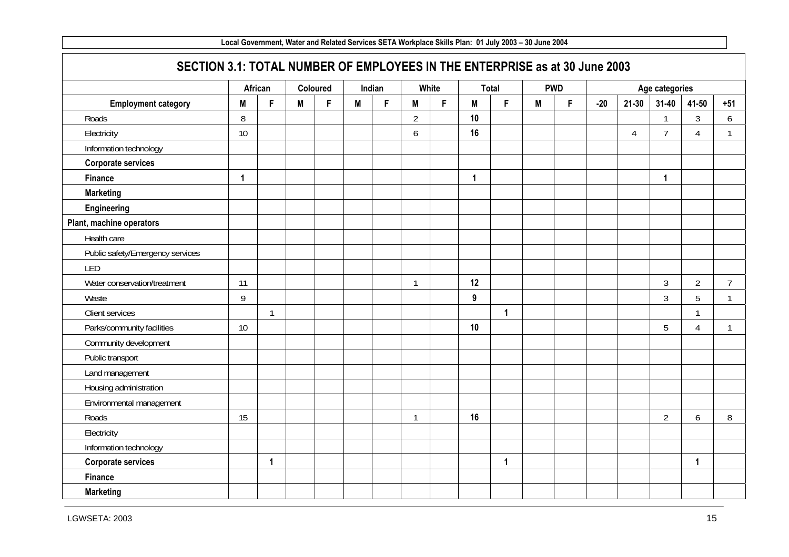| SECTION 3.1: TOTAL NUMBER OF EMPLOYEES IN THE ENTERPRISE as at 30 June 2003 |             |              |   |          |   |        |                |       |                  |              |   |            |       |                |                |                |                |
|-----------------------------------------------------------------------------|-------------|--------------|---|----------|---|--------|----------------|-------|------------------|--------------|---|------------|-------|----------------|----------------|----------------|----------------|
|                                                                             |             | African      |   | Coloured |   | Indian |                | White |                  | <b>Total</b> |   | <b>PWD</b> |       |                | Age categories |                |                |
| <b>Employment category</b>                                                  | M           | F            | M | F        | M | F      | M              | F.    | M                | F            | M | F          | $-20$ | $21 - 30$      | $31 - 40$      | 41-50          | $+51$          |
| Roads                                                                       | 8           |              |   |          |   |        | $\overline{2}$ |       | 10               |              |   |            |       |                | 1              | 3              | 6              |
| Electricity                                                                 | 10          |              |   |          |   |        | 6              |       | 16               |              |   |            |       | $\overline{4}$ | $\overline{7}$ | 4              | $\mathbf{1}$   |
| Information technology                                                      |             |              |   |          |   |        |                |       |                  |              |   |            |       |                |                |                |                |
| <b>Corporate services</b>                                                   |             |              |   |          |   |        |                |       |                  |              |   |            |       |                |                |                |                |
| <b>Finance</b>                                                              | $\mathbf 1$ |              |   |          |   |        |                |       | $\mathbf{1}$     |              |   |            |       |                | $\mathbf 1$    |                |                |
| <b>Marketing</b>                                                            |             |              |   |          |   |        |                |       |                  |              |   |            |       |                |                |                |                |
| Engineering                                                                 |             |              |   |          |   |        |                |       |                  |              |   |            |       |                |                |                |                |
| Plant, machine operators                                                    |             |              |   |          |   |        |                |       |                  |              |   |            |       |                |                |                |                |
| Health care                                                                 |             |              |   |          |   |        |                |       |                  |              |   |            |       |                |                |                |                |
| Public safety/Emergency services                                            |             |              |   |          |   |        |                |       |                  |              |   |            |       |                |                |                |                |
| LED                                                                         |             |              |   |          |   |        |                |       |                  |              |   |            |       |                |                |                |                |
| Water conservation/treatment                                                | 11          |              |   |          |   |        | $\overline{1}$ |       | 12               |              |   |            |       |                | $\mathfrak{Z}$ | $\overline{2}$ | $\overline{7}$ |
| Waste                                                                       | 9           |              |   |          |   |        |                |       | $\boldsymbol{9}$ |              |   |            |       |                | $\mathfrak{Z}$ | 5              | $\mathbf{1}$   |
| Client services                                                             |             | $\mathbf{1}$ |   |          |   |        |                |       |                  | $\mathbf{1}$ |   |            |       |                |                | $\mathbf{1}$   |                |
| Parks/community facilities                                                  | 10          |              |   |          |   |        |                |       | 10               |              |   |            |       |                | 5              | $\overline{4}$ | $\mathbf{1}$   |
| Community development                                                       |             |              |   |          |   |        |                |       |                  |              |   |            |       |                |                |                |                |
| Public transport                                                            |             |              |   |          |   |        |                |       |                  |              |   |            |       |                |                |                |                |
| Land management                                                             |             |              |   |          |   |        |                |       |                  |              |   |            |       |                |                |                |                |
| Housing administration                                                      |             |              |   |          |   |        |                |       |                  |              |   |            |       |                |                |                |                |
| Environmental management                                                    |             |              |   |          |   |        |                |       |                  |              |   |            |       |                |                |                |                |
| Roads                                                                       | 15          |              |   |          |   |        | $\overline{1}$ |       | 16               |              |   |            |       |                | $\overline{2}$ | 6              | 8              |
| Electricity                                                                 |             |              |   |          |   |        |                |       |                  |              |   |            |       |                |                |                |                |
| Information technology                                                      |             |              |   |          |   |        |                |       |                  |              |   |            |       |                |                |                |                |
| <b>Corporate services</b>                                                   |             | 1            |   |          |   |        |                |       |                  | $\mathbf 1$  |   |            |       |                |                | 1              |                |
| Finance                                                                     |             |              |   |          |   |        |                |       |                  |              |   |            |       |                |                |                |                |
| <b>Marketing</b>                                                            |             |              |   |          |   |        |                |       |                  |              |   |            |       |                |                |                |                |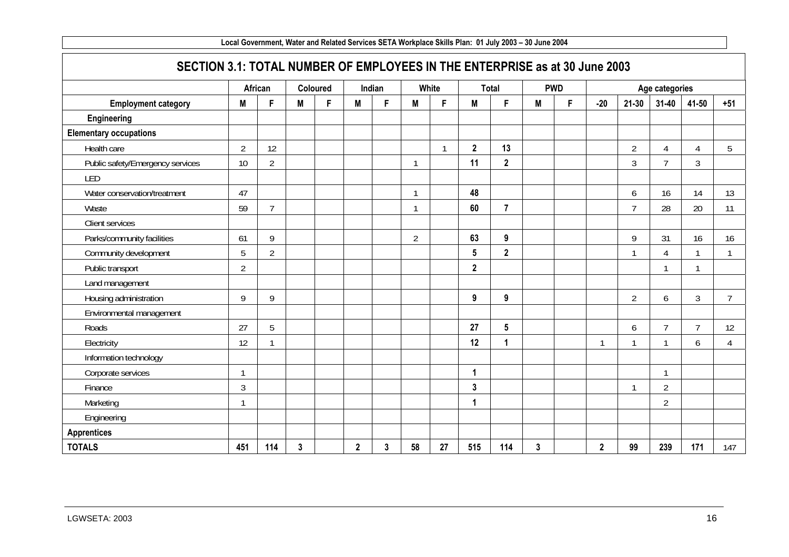| SECTION 3.1: TOTAL NUMBER OF EMPLOYEES IN THE ENTERPRISE as at 30 June 2003 |                |                |   |          |              |        |                         |              |                  |                 |   |            |                         |                |                |                |                |
|-----------------------------------------------------------------------------|----------------|----------------|---|----------|--------------|--------|-------------------------|--------------|------------------|-----------------|---|------------|-------------------------|----------------|----------------|----------------|----------------|
|                                                                             |                | African        |   | Coloured |              | Indian |                         | White        |                  | <b>Total</b>    |   | <b>PWD</b> |                         |                | Age categories |                |                |
| <b>Employment category</b>                                                  | Μ              | F              | M | F        | M            | F      | Μ                       | F.           | M                | F               | M | F          | $-20$                   | $21 - 30$      | $31 - 40$      | 41-50          | $+51$          |
| Engineering                                                                 |                |                |   |          |              |        |                         |              |                  |                 |   |            |                         |                |                |                |                |
| <b>Elementary occupations</b>                                               |                |                |   |          |              |        |                         |              |                  |                 |   |            |                         |                |                |                |                |
| Health care                                                                 | $\overline{2}$ | 12             |   |          |              |        |                         | $\mathbf{1}$ | $\overline{2}$   | 13              |   |            |                         | $\overline{2}$ | 4              | 4              | 5              |
| Public safety/Emergency services                                            | 10             | $\overline{2}$ |   |          |              |        | $\overline{1}$          |              | 11               | $\overline{2}$  |   |            |                         | 3              | $\overline{7}$ | 3              |                |
| LED                                                                         |                |                |   |          |              |        |                         |              |                  |                 |   |            |                         |                |                |                |                |
| Water conservation/treatment                                                | 47             |                |   |          |              |        | $\overline{1}$          |              | 48               |                 |   |            |                         | 6              | 16             | 14             | 13             |
| Waste                                                                       | 59             | $\overline{7}$ |   |          |              |        | $\overline{\mathbf{1}}$ |              | 60               | $\overline{7}$  |   |            |                         | $\overline{7}$ | 28             | 20             | 11             |
| Client services                                                             |                |                |   |          |              |        |                         |              |                  |                 |   |            |                         |                |                |                |                |
| Parks/community facilities                                                  | 61             | 9              |   |          |              |        | $\overline{2}$          |              | 63               | 9               |   |            |                         | 9              | 31             | 16             | 16             |
| Community development                                                       | 5              | $\overline{2}$ |   |          |              |        |                         |              | $5\phantom{.0}$  | $\mathbf{2}$    |   |            |                         | $\mathbf{1}$   | 4              |                |                |
| Public transport                                                            | $\overline{2}$ |                |   |          |              |        |                         |              | $\mathbf{2}$     |                 |   |            |                         |                |                |                |                |
| Land management                                                             |                |                |   |          |              |        |                         |              |                  |                 |   |            |                         |                |                |                |                |
| Housing administration                                                      | 9              | 9              |   |          |              |        |                         |              | $\boldsymbol{9}$ | 9               |   |            |                         | $\overline{2}$ | 6              | 3              | $\overline{7}$ |
| Environmental management                                                    |                |                |   |          |              |        |                         |              |                  |                 |   |            |                         |                |                |                |                |
| Roads                                                                       | 27             | 5              |   |          |              |        |                         |              | 27               | $5\overline{)}$ |   |            |                         | 6              | $\overline{7}$ | $\overline{7}$ | 12             |
| Electricity                                                                 | 12             |                |   |          |              |        |                         |              | 12               | 1               |   |            |                         | $\mathbf{1}$   |                | 6              | $\overline{4}$ |
| Information technology                                                      |                |                |   |          |              |        |                         |              |                  |                 |   |            |                         |                |                |                |                |
| Corporate services                                                          |                |                |   |          |              |        |                         |              | 1                |                 |   |            |                         |                | 1              |                |                |
| Finance                                                                     | $\mathfrak{Z}$ |                |   |          |              |        |                         |              | $\mathbf{3}$     |                 |   |            |                         | $\mathbf{1}$   | $\overline{2}$ |                |                |
| Marketing                                                                   |                |                |   |          |              |        |                         |              | 1                |                 |   |            |                         |                | $\overline{2}$ |                |                |
| Engineering                                                                 |                |                |   |          |              |        |                         |              |                  |                 |   |            |                         |                |                |                |                |
| <b>Apprentices</b>                                                          |                |                |   |          |              |        |                         |              |                  |                 |   |            |                         |                |                |                |                |
| <b>TOTALS</b>                                                               | 451            | 114            | 3 |          | $\mathbf{2}$ | 3      | 58                      | 27           | 515              | 114             | 3 |            | $\overline{\mathbf{2}}$ | 99             | 239            | 171            | 147            |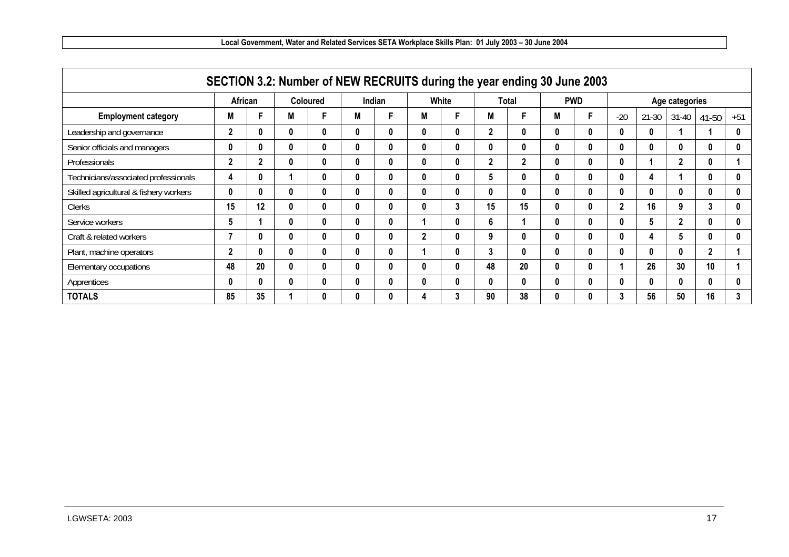|                                        | SECTION 3.2: Number of NEW RECRUITS during the year ending 30 June 2003 |                |   |                 |          |        |               |       |              |                |              |            |       |           |                |          |       |
|----------------------------------------|-------------------------------------------------------------------------|----------------|---|-----------------|----------|--------|---------------|-------|--------------|----------------|--------------|------------|-------|-----------|----------------|----------|-------|
|                                        |                                                                         | African        |   | <b>Coloured</b> |          | Indian |               | White |              | <b>Total</b>   |              | <b>PWD</b> |       |           | Age categories |          |       |
| <b>Employment category</b>             | Μ                                                                       |                |   | F               | Μ        |        | Μ             |       | M            | F              | M            |            | $-20$ | $21 - 30$ | $31 - 40$      | 41-50    | $+51$ |
| Leadership and governance              | $\overline{2}$                                                          | $\bf{0}$       |   | 0               | $\bf{0}$ | 0      | $\bf{0}$      |       | $\mathbf{2}$ | 0              | 0            | $\bf{0}$   | 0     | 0         |                |          | 0     |
| Senior officials and managers          | 0                                                                       | $\bf{0}$       | O | 0               | 0        | 0      | $\bf{0}$      | 0     | 0            | 0              | 0            | $\bf{0}$   | 0     | 0         | 0              | $\bf{0}$ | 0     |
| Professionals                          | $\mathbf{2}$                                                            | $\overline{2}$ |   | 0               | 0        | 0      | $\bf{0}$      | 0     | $\mathbf{2}$ | $\overline{2}$ | 0            | $\bf{0}$   | 0     |           | $\overline{2}$ | 0        |       |
| Technicians/associated professionals   | 4                                                                       | $\bf{0}$       |   | 0               | $\bf{0}$ | 0      | $\bf{0}$      |       | 5            | 0              | 0            | $\bf{0}$   | 0     | 4         |                | $\bf{0}$ | 0     |
| Skilled agricultural & fishery workers | $\mathbf{0}$                                                            | $\bf{0}$       | O | 0               | 0        | 0      | 0             | 0     | 0            | $\mathbf{0}$   | 0            | $\bf{0}$   | 0     | 0         | 0              | 0        | 0     |
| <b>Clerks</b>                          | 15                                                                      | 12             |   | 0               | 0        | 0      |               | 3     | 15           | 15             | $\mathbf{0}$ | $\bf{0}$   | 2     | 16        | 9              | 3        | 0     |
| Service workers                        | 5                                                                       |                | 0 | 0               | $\bf{0}$ | 0      |               | O     | 6            |                | 0            | $\bf{0}$   | 0     | 5         | $\overline{2}$ | $\bf{0}$ | 0     |
| Craft & related workers                |                                                                         | $\mathbf{0}$   |   | 0               | 0        | 0      | $\mathfrak z$ | 0     | 9            | 0              | 0            | $\bf{0}$   | 0     | 4         | 5              | 0        | 0     |
| Plant, machine operators               | $\mathbf{2}$                                                            | $\bf{0}$       |   | 0               | 0        | 0      |               | Λ     | 3            | 0              | 0            | $\bf{0}$   | 0     | 0         | 0              | 2        |       |
| Elementary occupations                 | 48                                                                      | 20             | O | $\bf{0}$        | 0        | 0      | $\mathbf{0}$  | O     | 48           | 20             | $\mathbf{0}$ | $\bf{0}$   |       | 26        | 30             | 10       |       |
| Apprentices                            | 0                                                                       | $\bf{0}$       |   | 0               | 0        | 0      | $\bf{0}$      |       | 0            | 0              | 0            | $\bf{0}$   |       | 0         |                | 0        | 0     |
| <b>TOTALS</b>                          | 85                                                                      | 35             |   | 0               | $\bf{0}$ | 0      |               | 3     | 90           | 38             | 0            | $\bf{0}$   | 3     | 56        | 50             | 16       | 3     |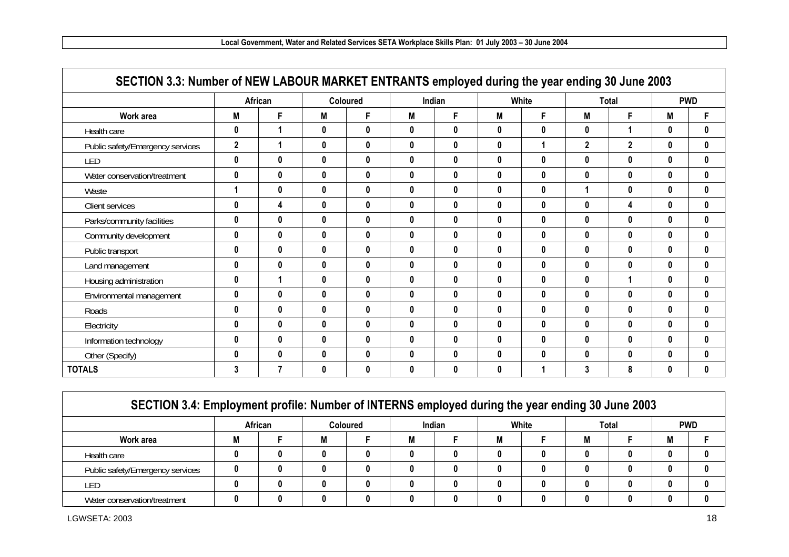|                                  |                | African      |              | <b>Coloured</b> |              | Indian |              | White        |              | <b>Total</b>   |              | <b>PWD</b>   |
|----------------------------------|----------------|--------------|--------------|-----------------|--------------|--------|--------------|--------------|--------------|----------------|--------------|--------------|
| Work area                        | M              | F            | M            | F               | M            | F      | M            | F            | M            | F              | M            | F            |
| Health care                      | 0              |              | $\bf{0}$     | $\mathbf 0$     | 0            | 0      | $\mathbf{0}$ | $\pmb{0}$    | 0            | 1              | $\bf{0}$     | $\mathbf{0}$ |
| Public safety/Emergency services | $\overline{2}$ |              | $\mathbf{0}$ | 0               | 0            | 0      | $\mathbf{0}$ |              | $\mathbf{2}$ | $\overline{2}$ | $\bf{0}$     | 0            |
| LED                              | 0              | 0            | $\mathbf{0}$ | 0               | 0            | 0      | $\mathbf 0$  | $\pmb{0}$    | 0            | 0              | $\mathbf{0}$ | 0            |
| Water conservation/treatment     | 0              | 0            | $\mathbf 0$  | $\mathbf 0$     | 0            | 0      | $\mathbf{0}$ | $\bf{0}$     | 0            | $\mathbf 0$    | $\mathbf{0}$ | 0            |
| Waste                            | 1              | 0            | $\bf{0}$     | 0               | 0            | 0      | $\mathbf{0}$ | $\mathbf{0}$ |              | 0              | $\mathbf{0}$ |              |
| Client services                  | 0              | 4            | $\bf{0}$     | 0               | 0            | 0      | 0            | $\mathbf{0}$ | $\bf{0}$     | 4              | $\mathbf{0}$ |              |
| Parks/community facilities       | 0              | 0            | $\bf{0}$     | $\bf{0}$        | $\mathbf{0}$ | 0      | $\mathbf{0}$ | $\mathbf{0}$ | 0            | $\bf{0}$       | $\bf{0}$     |              |
| Community development            | 0              | 0            | $\bf{0}$     | 0               | 0            | 0      | $\mathbf{0}$ | $\mathbf{0}$ | 0            | 0              | $\mathbf{0}$ |              |
| Public transport                 | 0              | $\bf{0}$     | $\bf{0}$     | 0               | $\mathbf{0}$ | 0      | $\bf{0}$     | $\mathbf{0}$ | $\bf{0}$     | 0              | $\mathbf{0}$ |              |
| Land management                  | 0              | $\mathbf 0$  | $\mathbf 0$  | $\mathbf 0$     | 0            | 0      | $\mathbf{0}$ | $\pmb{0}$    | 0            | $\mathbf 0$    | $\mathbf{0}$ |              |
| Housing administration           | 0              |              | $\bf{0}$     | 0               | 0            | 0      | $\mathbf{0}$ | $\bf{0}$     | 0            |                | $\mathbf{0}$ |              |
| Environmental management         | 0              | 0            | $\bf{0}$     | 0               | 0            | 0      | $\bf{0}$     | $\mathbf{0}$ | 0            | 0              | $\mathbf{0}$ |              |
| Roads                            | 0              | $\bf{0}$     | $\bf{0}$     | $\mathbf{0}$    | $\mathbf{0}$ | 0      | $\mathbf{0}$ | $\mathbf 0$  | $\mathbf{0}$ | $\bf{0}$       | $\mathbf{0}$ |              |
| Electricity                      | 0              | 0            | $\mathbf{0}$ | 0               | 0            | 0      | $\mathbf{0}$ | $\mathbf{0}$ | 0            | 0              | $\mathbf{0}$ |              |
| Information technology           | 0              | 0            | $\bf{0}$     | 0               | 0            | 0      | $\bf{0}$     | $\mathbf{0}$ | $\bf{0}$     | 0              | $\mathbf{0}$ |              |
| Other (Specify)                  | 0              | $\mathbf{0}$ | $\mathbf{0}$ | $\mathbf{0}$    | 0            | 0      | $\mathbf{0}$ | $\pmb{0}$    | $\bf{0}$     | $\mathbf 0$    | 0            |              |
| <b>TOTALS</b>                    | 3              | 7            | $\bf{0}$     | 0               | 0            | 0      | 0            |              | 3            | 8              | 0            |              |

| SECTION 3.4: Employment profile: Number of INTERNS employed during the year ending 30 June 2003 |         |   |                 |   |        |   |       |   |       |   |            |
|-------------------------------------------------------------------------------------------------|---------|---|-----------------|---|--------|---|-------|---|-------|---|------------|
|                                                                                                 | African |   | <b>Coloured</b> |   | Indian |   | White |   | Total |   | <b>PWD</b> |
| Work area                                                                                       |         | M |                 | M |        | M |       | M |       | M |            |
| Health care                                                                                     |         | 0 |                 | 0 |        |   |       |   | n     | N |            |
| Public safety/Emergency services                                                                |         | 0 |                 | 0 |        |   |       | O | 0     | 0 |            |
| LED                                                                                             |         | n |                 | 0 |        |   |       |   |       | N |            |
| Water conservation/treatment                                                                    |         | N |                 | 0 |        |   |       |   |       |   |            |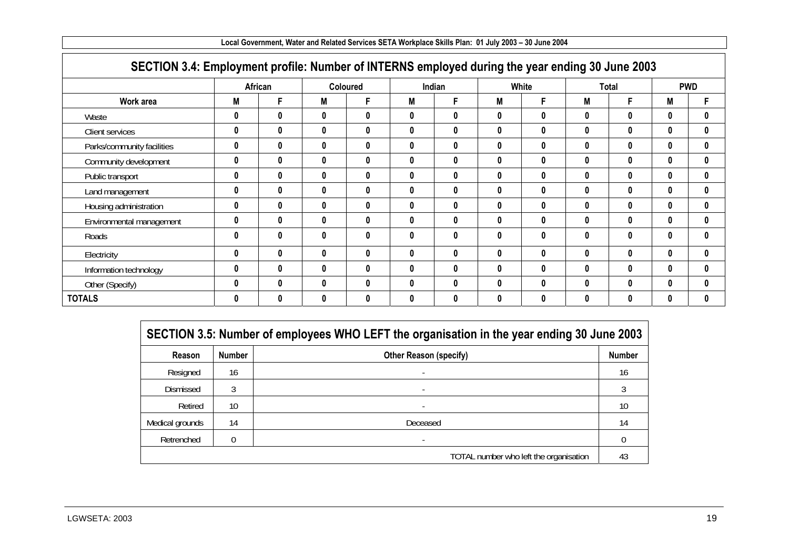| SECTION 3.4: Employment profile: Number of INTERNS employed during the year ending 30 June 2003 |                  |              |              |                 |              |        |          |       |          |              |              |              |
|-------------------------------------------------------------------------------------------------|------------------|--------------|--------------|-----------------|--------------|--------|----------|-------|----------|--------------|--------------|--------------|
|                                                                                                 |                  | African      |              | <b>Coloured</b> |              | Indian |          | White |          | <b>Total</b> |              | <b>PWD</b>   |
| Work area                                                                                       | Μ                | F            | M            | F               | M            | F      | M        | F.    | M        | F.           | M            | F            |
| Waste                                                                                           | 0                | $\mathbf{0}$ | $\bf{0}$     | $\bf{0}$        | 0            | 0      | 0        | 0     | 0        | 0            | $\bf{0}$     | $\bf{0}$     |
| Client services                                                                                 | 0                | 0            | $\mathbf{0}$ | $\mathbf{0}$    | $\mathbf{0}$ | 0      | 0        | 0     | $\bf{0}$ | $\mathbf{0}$ | $\mathbf{0}$ | $\bf{0}$     |
| Parks/community facilities                                                                      | $\bf{0}$         | $\bf{0}$     | $\bf{0}$     | $\bf{0}$        | $\bf{0}$     | 0      | $\bf{0}$ | 0     | $\bf{0}$ | $\mathbf{0}$ | $\bf{0}$     | $\mathbf{0}$ |
| Community development                                                                           | $\bf{0}$         | 0            | $\bf{0}$     | $\bf{0}$        | $\mathbf{0}$ | 0      | 0        | 0     | $\bf{0}$ | $\mathbf{0}$ | $\mathbf{0}$ | $\mathbf{0}$ |
| Public transport                                                                                | 0                | 0            | 0            | 0               | 0            | 0      | 0        | 0     | 0        | $\mathbf{0}$ | $\mathbf{0}$ | $\bf{0}$     |
| Land management                                                                                 | 0                | 0            | $\bf{0}$     | $\bf{0}$        | 0            | 0      | 0        | 0     | 0        | $\mathbf{0}$ | $\mathbf{0}$ | $\mathbf{0}$ |
| Housing administration                                                                          | $\mathbf{0}$     | 0            | $\mathbf{0}$ | $\mathbf{0}$    | $\mathbf{0}$ | 0      | $\bf{0}$ | 0     | $\bf{0}$ | $\mathbf{0}$ | $\mathbf{0}$ | $\mathbf{0}$ |
| Environmental management                                                                        | 0                | 0            | $\bf{0}$     | $\bf{0}$        | 0            | 0      | 0        | 0     | 0        | $\mathbf{0}$ | $\bf{0}$     | $\mathbf{0}$ |
| Roads                                                                                           | $\boldsymbol{0}$ | 0            | $\mathbf{0}$ | $\bf{0}$        | 0            | 0      | 0        | 0     | $\bf{0}$ | $\mathbf{0}$ | $\bf{0}$     | $\mathbf{0}$ |
| Electricity                                                                                     | $\bf{0}$         | $\bf{0}$     | $\bf{0}$     | $\bf{0}$        | $\mathbf{0}$ | 0      | 0        | 0     | $\bf{0}$ | $\mathbf{0}$ | $\bf{0}$     | $\bf{0}$     |
| Information technology                                                                          | 0                | 0            | $\mathbf{0}$ | $\mathbf{0}$    | 0            | 0      | 0        | 0     | 0        | 0            | $\mathbf{0}$ | $\mathbf{0}$ |
| Other (Specify)                                                                                 | $\boldsymbol{0}$ | $\bf{0}$     | $\mathbf{0}$ | $\bf{0}$        | 0            | 0      | 0        | 0     | 0        | 0            | $\mathbf{0}$ | $\bf{0}$     |
| <b>TOTALS</b>                                                                                   | 0                | 0            | $\mathbf{0}$ | 0               | 0            | 0      | 0        | 0     | $\bf{0}$ | 0            | $\mathbf{0}$ | $\mathbf{0}$ |

|  |  | Local Government, Water and Related Services SETA Workplace Skills Plan:  01 July 2003 – 30 June 2004 |
|--|--|-------------------------------------------------------------------------------------------------------|
|  |  |                                                                                                       |

|                 |               | SECTION 3.5: Number of employees WHO LEFT the organisation in the year ending 30 June 2003 |               |
|-----------------|---------------|--------------------------------------------------------------------------------------------|---------------|
| Reason          | <b>Number</b> | <b>Other Reason (specify)</b>                                                              | <b>Number</b> |
| Resigned        | 16            |                                                                                            | 16            |
| Dismissed       |               |                                                                                            |               |
| Retired         | 10            |                                                                                            | 10            |
| Medical grounds | 14            | Deceased                                                                                   | 14            |
| Retrenched      |               | $\overline{\phantom{a}}$                                                                   |               |
|                 |               | TOTAL number who left the organisation                                                     | 43            |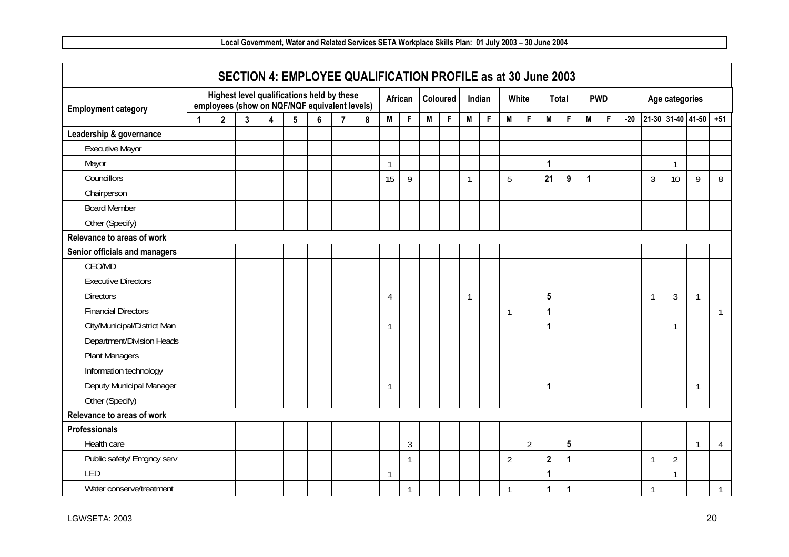|                               |   |              |   | SECTION 4: EMPLOYEE QUALIFICATION PROFILE as at 30 June 2003                                |                 |   |                |           |                |         |   |          |              |              |                |                |                |              |   |            |       |   |                |                         |                |
|-------------------------------|---|--------------|---|---------------------------------------------------------------------------------------------|-----------------|---|----------------|-----------|----------------|---------|---|----------|--------------|--------------|----------------|----------------|----------------|--------------|---|------------|-------|---|----------------|-------------------------|----------------|
| <b>Employment category</b>    |   |              |   | Highest level qualifications held by these<br>employees (show on NQF/NQF equivalent levels) |                 |   |                |           |                | African |   | Coloured |              | Indian       |                | White          |                | <b>Total</b> |   | <b>PWD</b> |       |   | Age categories |                         |                |
|                               | 1 | $\mathbf{2}$ | 3 | $\overline{\mathbf{4}}$                                                                     | $5\phantom{.0}$ | 6 | $\overline{7}$ | $\pmb{8}$ | M              | F       | M | F        | M            | $\mathsf{F}$ | M              | $\mathsf F$    | M              | F            | M | F          | $-20$ |   |                | $21-30$ 31-40 41-50 +51 |                |
| Leadership & governance       |   |              |   |                                                                                             |                 |   |                |           |                |         |   |          |              |              |                |                |                |              |   |            |       |   |                |                         |                |
| <b>Executive Mayor</b>        |   |              |   |                                                                                             |                 |   |                |           |                |         |   |          |              |              |                |                |                |              |   |            |       |   |                |                         |                |
| Mayor                         |   |              |   |                                                                                             |                 |   |                |           |                |         |   |          |              |              |                |                | $\overline{1}$ |              |   |            |       |   | 1              |                         |                |
| Councillors                   |   |              |   |                                                                                             |                 |   |                |           | 15             | 9       |   |          | $\mathbf{1}$ |              | 5              |                | 21             | $9\,$        | 1 |            |       | 3 | 10             | 9                       | 8              |
| Chairperson                   |   |              |   |                                                                                             |                 |   |                |           |                |         |   |          |              |              |                |                |                |              |   |            |       |   |                |                         |                |
| <b>Board Member</b>           |   |              |   |                                                                                             |                 |   |                |           |                |         |   |          |              |              |                |                |                |              |   |            |       |   |                |                         |                |
| Other (Specify)               |   |              |   |                                                                                             |                 |   |                |           |                |         |   |          |              |              |                |                |                |              |   |            |       |   |                |                         |                |
| Relevance to areas of work    |   |              |   |                                                                                             |                 |   |                |           |                |         |   |          |              |              |                |                |                |              |   |            |       |   |                |                         |                |
| Senior officials and managers |   |              |   |                                                                                             |                 |   |                |           |                |         |   |          |              |              |                |                |                |              |   |            |       |   |                |                         |                |
| CEO/MD                        |   |              |   |                                                                                             |                 |   |                |           |                |         |   |          |              |              |                |                |                |              |   |            |       |   |                |                         |                |
| <b>Executive Directors</b>    |   |              |   |                                                                                             |                 |   |                |           |                |         |   |          |              |              |                |                |                |              |   |            |       |   |                |                         |                |
| <b>Directors</b>              |   |              |   |                                                                                             |                 |   |                |           | $\overline{4}$ |         |   |          |              |              |                |                | ${\bf 5}$      |              |   |            |       | 1 | $\mathfrak{Z}$ | 1                       |                |
| <b>Financial Directors</b>    |   |              |   |                                                                                             |                 |   |                |           |                |         |   |          |              |              | $\mathbf{1}$   |                | $\mathbf{1}$   |              |   |            |       |   |                |                         | $\mathbf{1}$   |
| City/Municipal/District Man   |   |              |   |                                                                                             |                 |   |                |           | 1              |         |   |          |              |              |                |                | $\overline{1}$ |              |   |            |       |   | 1              |                         |                |
| Department/Division Heads     |   |              |   |                                                                                             |                 |   |                |           |                |         |   |          |              |              |                |                |                |              |   |            |       |   |                |                         |                |
| <b>Plant Managers</b>         |   |              |   |                                                                                             |                 |   |                |           |                |         |   |          |              |              |                |                |                |              |   |            |       |   |                |                         |                |
| Information technology        |   |              |   |                                                                                             |                 |   |                |           |                |         |   |          |              |              |                |                |                |              |   |            |       |   |                |                         |                |
| Deputy Municipal Manager      |   |              |   |                                                                                             |                 |   |                |           | $\mathbf{1}$   |         |   |          |              |              |                |                | $\mathbf 1$    |              |   |            |       |   |                | $\mathbf{1}$            |                |
| Other (Specify)               |   |              |   |                                                                                             |                 |   |                |           |                |         |   |          |              |              |                |                |                |              |   |            |       |   |                |                         |                |
| Relevance to areas of work    |   |              |   |                                                                                             |                 |   |                |           |                |         |   |          |              |              |                |                |                |              |   |            |       |   |                |                         |                |
| <b>Professionals</b>          |   |              |   |                                                                                             |                 |   |                |           |                |         |   |          |              |              |                |                |                |              |   |            |       |   |                |                         |                |
| Health care                   |   |              |   |                                                                                             |                 |   |                |           |                | 3       |   |          |              |              |                | $\overline{2}$ |                | 5            |   |            |       |   |                | $\mathbf{1}$            | $\overline{4}$ |
| Public safety/ Emgncy serv    |   |              |   |                                                                                             |                 |   |                |           |                |         |   |          |              |              | $\overline{2}$ |                | $\mathbf{2}$   | 1            |   |            |       | 1 | $\overline{2}$ |                         |                |
| <b>LED</b>                    |   |              |   |                                                                                             |                 |   |                |           | 1              |         |   |          |              |              |                |                | $\mathbf 1$    |              |   |            |       |   |                |                         |                |
| Water conserve/treatment      |   |              |   |                                                                                             |                 |   |                |           |                |         |   |          |              |              | $\mathbf{1}$   |                | $\mathbf 1$    | 1            |   |            |       | 1 |                |                         | $\mathbf{1}$   |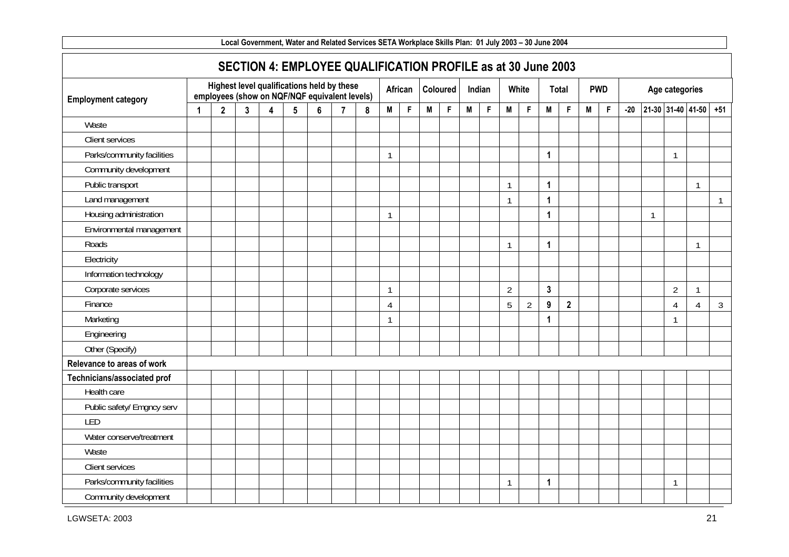|                             |              |   |   |                 | Local Government, Water and Related Services SETA Workplace Skills Plan: 01 July 2003 – 30 June 2004 |                |   |                |         |   |                 |   |             |                |                |                  |                |   |             |       |              |                |                           |                |
|-----------------------------|--------------|---|---|-----------------|------------------------------------------------------------------------------------------------------|----------------|---|----------------|---------|---|-----------------|---|-------------|----------------|----------------|------------------|----------------|---|-------------|-------|--------------|----------------|---------------------------|----------------|
|                             |              |   |   |                 | SECTION 4: EMPLOYEE QUALIFICATION PROFILE as at 30 June 2003                                         |                |   |                |         |   |                 |   |             |                |                |                  |                |   |             |       |              |                |                           |                |
| <b>Employment category</b>  |              |   |   |                 | Highest level qualifications held by these<br>employees (show on NQF/NQF equivalent levels)          |                |   |                | African |   | <b>Coloured</b> |   | Indian      |                | White          |                  | Total          |   | <b>PWD</b>  |       |              | Age categories |                           |                |
|                             | $\mathbf{2}$ | 3 | 4 | $5\phantom{.0}$ | 6                                                                                                    | $\overline{7}$ | 8 | M              | F       | M | $\mathsf F$     | M | $\mathsf F$ | M              | F              | M                | $\mathsf F$    | M | $\mathsf F$ | $-20$ |              |                | 21-30 31-40 41-50         | $+51$          |
| Waste                       |              |   |   |                 |                                                                                                      |                |   |                |         |   |                 |   |             |                |                |                  |                |   |             |       |              |                |                           |                |
| Client services             |              |   |   |                 |                                                                                                      |                |   |                |         |   |                 |   |             |                |                |                  |                |   |             |       |              |                |                           |                |
| Parks/community facilities  |              |   |   |                 |                                                                                                      |                |   | $\mathbf{1}$   |         |   |                 |   |             |                |                | $\mathbf{1}$     |                |   |             |       |              | $\mathbf{1}$   |                           |                |
| Community development       |              |   |   |                 |                                                                                                      |                |   |                |         |   |                 |   |             |                |                |                  |                |   |             |       |              |                |                           |                |
| Public transport            |              |   |   |                 |                                                                                                      |                |   |                |         |   |                 |   |             | $\overline{1}$ |                | $\mathbf{1}$     |                |   |             |       |              |                | -1                        |                |
| Land management             |              |   |   |                 |                                                                                                      |                |   |                |         |   |                 |   |             | $\mathbf{1}$   |                | $\mathbf{1}$     |                |   |             |       |              |                |                           | $\mathbf{1}$   |
| Housing administration      |              |   |   |                 |                                                                                                      |                |   | $\mathbf{1}$   |         |   |                 |   |             |                |                | $\mathbf{1}$     |                |   |             |       | $\mathbf{1}$ |                |                           |                |
| Environmental management    |              |   |   |                 |                                                                                                      |                |   |                |         |   |                 |   |             |                |                |                  |                |   |             |       |              |                |                           |                |
| Roads                       |              |   |   |                 |                                                                                                      |                |   |                |         |   |                 |   |             | $\mathbf{1}$   |                | $\mathbf{1}$     |                |   |             |       |              |                | $\mathbf{1}$              |                |
| Electricity                 |              |   |   |                 |                                                                                                      |                |   |                |         |   |                 |   |             |                |                |                  |                |   |             |       |              |                |                           |                |
| Information technology      |              |   |   |                 |                                                                                                      |                |   |                |         |   |                 |   |             |                |                |                  |                |   |             |       |              |                |                           |                |
| Corporate services          |              |   |   |                 |                                                                                                      |                |   | $\mathbf{1}$   |         |   |                 |   |             | $\overline{2}$ |                | $\overline{3}$   |                |   |             |       |              | $\overline{2}$ | $\mathbf{1}$              |                |
| Finance                     |              |   |   |                 |                                                                                                      |                |   | $\overline{4}$ |         |   |                 |   |             | 5              | $\overline{2}$ | $\boldsymbol{9}$ | $\overline{2}$ |   |             |       |              | $\overline{4}$ | $\boldsymbol{\varLambda}$ | $\mathfrak{Z}$ |
| Marketing                   |              |   |   |                 |                                                                                                      |                |   | $\mathbf{1}$   |         |   |                 |   |             |                |                | $\mathbf{1}$     |                |   |             |       |              | $\mathbf{1}$   |                           |                |
| Engineering                 |              |   |   |                 |                                                                                                      |                |   |                |         |   |                 |   |             |                |                |                  |                |   |             |       |              |                |                           |                |
| Other (Specify)             |              |   |   |                 |                                                                                                      |                |   |                |         |   |                 |   |             |                |                |                  |                |   |             |       |              |                |                           |                |
| Relevance to areas of work  |              |   |   |                 |                                                                                                      |                |   |                |         |   |                 |   |             |                |                |                  |                |   |             |       |              |                |                           |                |
| Technicians/associated prof |              |   |   |                 |                                                                                                      |                |   |                |         |   |                 |   |             |                |                |                  |                |   |             |       |              |                |                           |                |
| Health care                 |              |   |   |                 |                                                                                                      |                |   |                |         |   |                 |   |             |                |                |                  |                |   |             |       |              |                |                           |                |
| Public safety/ Emgncy serv  |              |   |   |                 |                                                                                                      |                |   |                |         |   |                 |   |             |                |                |                  |                |   |             |       |              |                |                           |                |
| LED                         |              |   |   |                 |                                                                                                      |                |   |                |         |   |                 |   |             |                |                |                  |                |   |             |       |              |                |                           |                |
| Water conserve/treatment    |              |   |   |                 |                                                                                                      |                |   |                |         |   |                 |   |             |                |                |                  |                |   |             |       |              |                |                           |                |
| Waste                       |              |   |   |                 |                                                                                                      |                |   |                |         |   |                 |   |             |                |                |                  |                |   |             |       |              |                |                           |                |
| Client services             |              |   |   |                 |                                                                                                      |                |   |                |         |   |                 |   |             |                |                |                  |                |   |             |       |              |                |                           |                |
| Parks/community facilities  |              |   |   |                 |                                                                                                      |                |   |                |         |   |                 |   |             | $\mathbf{1}$   |                | $\mathbf{1}$     |                |   |             |       |              | $\mathbf{1}$   |                           |                |
| Community development       |              |   |   |                 |                                                                                                      |                |   |                |         |   |                 |   |             |                |                |                  |                |   |             |       |              |                |                           |                |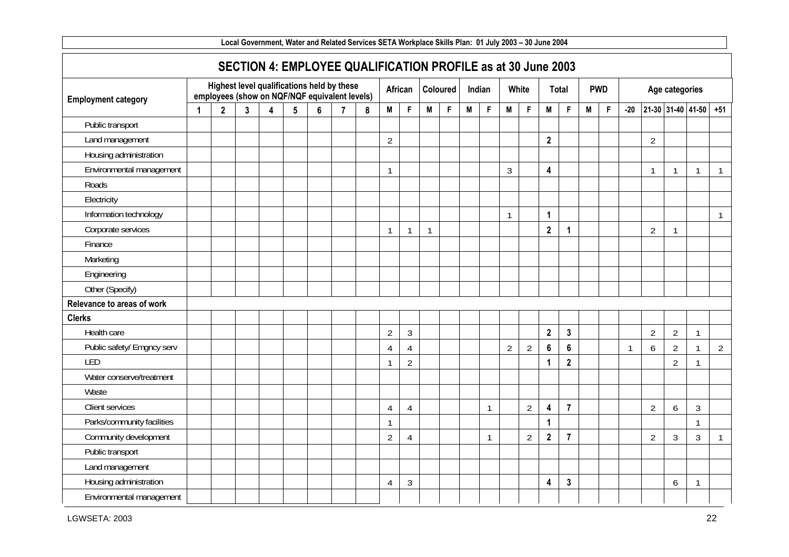|                            | Local Government, Water and Related Services SETA Workplace Skills Plan: 01 July 2003 - 30 June 2004 |              |              |                         |                 |                                                                                             |                |                                                              |                |                |              |             |   |              |                |                |                         |                |   |             |              |                |                |                   |                |
|----------------------------|------------------------------------------------------------------------------------------------------|--------------|--------------|-------------------------|-----------------|---------------------------------------------------------------------------------------------|----------------|--------------------------------------------------------------|----------------|----------------|--------------|-------------|---|--------------|----------------|----------------|-------------------------|----------------|---|-------------|--------------|----------------|----------------|-------------------|----------------|
|                            |                                                                                                      |              |              |                         |                 |                                                                                             |                | SECTION 4: EMPLOYEE QUALIFICATION PROFILE as at 30 June 2003 |                |                |              |             |   |              |                |                |                         |                |   |             |              |                |                |                   |                |
| <b>Employment category</b> |                                                                                                      |              |              |                         |                 | Highest level qualifications held by these<br>employees (show on NQF/NQF equivalent levels) |                |                                                              |                | African        |              | Coloured    |   | Indian       |                | White          |                         | Total          |   | <b>PWD</b>  |              |                | Age categories |                   |                |
|                            | 1                                                                                                    | $\mathbf{2}$ | $\mathbf{3}$ | $\overline{\mathbf{4}}$ | $5\phantom{.0}$ | 6                                                                                           | $\overline{7}$ | 8                                                            | M              | $\mathsf F$    | M            | $\mathsf F$ | M | F            | M              | F              | M                       | $\mathsf F$    | M | $\mathsf F$ | $-20$        |                |                | 21-30 31-40 41-50 | $+51$          |
| Public transport           |                                                                                                      |              |              |                         |                 |                                                                                             |                |                                                              |                |                |              |             |   |              |                |                |                         |                |   |             |              |                |                |                   |                |
| Land management            |                                                                                                      |              |              |                         |                 |                                                                                             |                |                                                              | $\overline{2}$ |                |              |             |   |              |                |                | $\overline{2}$          |                |   |             |              | $\overline{2}$ |                |                   |                |
| Housing administration     |                                                                                                      |              |              |                         |                 |                                                                                             |                |                                                              |                |                |              |             |   |              |                |                |                         |                |   |             |              |                |                |                   |                |
| Environmental management   |                                                                                                      |              |              |                         |                 |                                                                                             |                |                                                              | $\mathbf{1}$   |                |              |             |   |              | $\mathfrak{Z}$ |                | $\overline{\mathbf{4}}$ |                |   |             |              |                | $\mathbf{1}$   | 1                 | $\mathbf{1}$   |
| Roads                      |                                                                                                      |              |              |                         |                 |                                                                                             |                |                                                              |                |                |              |             |   |              |                |                |                         |                |   |             |              |                |                |                   |                |
| Electricity                |                                                                                                      |              |              |                         |                 |                                                                                             |                |                                                              |                |                |              |             |   |              |                |                |                         |                |   |             |              |                |                |                   |                |
| Information technology     |                                                                                                      |              |              |                         |                 |                                                                                             |                |                                                              |                |                |              |             |   |              | $\overline{1}$ |                | $\mathbf{1}$            |                |   |             |              |                |                |                   | $\mathbf{1}$   |
| Corporate services         |                                                                                                      |              |              |                         |                 |                                                                                             |                |                                                              | $\mathbf{1}$   | $\overline{1}$ | $\mathbf{1}$ |             |   |              |                |                | $\overline{2}$          | $\mathbf 1$    |   |             |              | $\overline{2}$ | $\mathbf{1}$   |                   |                |
| Finance                    |                                                                                                      |              |              |                         |                 |                                                                                             |                |                                                              |                |                |              |             |   |              |                |                |                         |                |   |             |              |                |                |                   |                |
| Marketing                  |                                                                                                      |              |              |                         |                 |                                                                                             |                |                                                              |                |                |              |             |   |              |                |                |                         |                |   |             |              |                |                |                   |                |
| Engineering                |                                                                                                      |              |              |                         |                 |                                                                                             |                |                                                              |                |                |              |             |   |              |                |                |                         |                |   |             |              |                |                |                   |                |
| Other (Specify)            |                                                                                                      |              |              |                         |                 |                                                                                             |                |                                                              |                |                |              |             |   |              |                |                |                         |                |   |             |              |                |                |                   |                |
| Relevance to areas of work |                                                                                                      |              |              |                         |                 |                                                                                             |                |                                                              |                |                |              |             |   |              |                |                |                         |                |   |             |              |                |                |                   |                |
| <b>Clerks</b>              |                                                                                                      |              |              |                         |                 |                                                                                             |                |                                                              |                |                |              |             |   |              |                |                |                         |                |   |             |              |                |                |                   |                |
| Health care                |                                                                                                      |              |              |                         |                 |                                                                                             |                |                                                              | $\overline{2}$ | $\mathfrak{Z}$ |              |             |   |              |                |                | $\overline{\mathbf{2}}$ | $\mathbf{3}$   |   |             |              | $\overline{2}$ | $\overline{2}$ | $\mathbf{1}$      |                |
| Public safety/ Emgncy serv |                                                                                                      |              |              |                         |                 |                                                                                             |                |                                                              | $\overline{4}$ | $\overline{4}$ |              |             |   |              | $\overline{2}$ | $\overline{2}$ | $6\phantom{1}$          | 6              |   |             | $\mathbf{1}$ | 6              | $\overline{2}$ | 1                 | $\overline{2}$ |
| LED                        |                                                                                                      |              |              |                         |                 |                                                                                             |                |                                                              | $\mathbf{1}$   | $\overline{2}$ |              |             |   |              |                |                | $\mathbf{1}$            | $\mathbf{2}$   |   |             |              |                | $\overline{2}$ | 1                 |                |
| Water conserve/treatment   |                                                                                                      |              |              |                         |                 |                                                                                             |                |                                                              |                |                |              |             |   |              |                |                |                         |                |   |             |              |                |                |                   |                |
| Waste                      |                                                                                                      |              |              |                         |                 |                                                                                             |                |                                                              |                |                |              |             |   |              |                |                |                         |                |   |             |              |                |                |                   |                |
| Client services            |                                                                                                      |              |              |                         |                 |                                                                                             |                |                                                              | 4              | 4              |              |             |   | $\mathbf{1}$ |                | $\overline{2}$ | $\overline{\mathbf{4}}$ | $\overline{7}$ |   |             |              | $\overline{2}$ | 6              | $\mathfrak{Z}$    |                |
| Parks/community facilities |                                                                                                      |              |              |                         |                 |                                                                                             |                |                                                              | $\mathbf{1}$   |                |              |             |   |              |                |                | $\mathbf{1}$            |                |   |             |              |                |                | $\mathbf{1}$      |                |
| Community development      |                                                                                                      |              |              |                         |                 |                                                                                             |                |                                                              | $\overline{2}$ | $\overline{4}$ |              |             |   | $\mathbf{1}$ |                | $\overline{2}$ | $\overline{\mathbf{2}}$ | $\overline{7}$ |   |             |              | $\overline{2}$ | $\mathfrak{Z}$ | $\mathfrak{Z}$    | $\mathbf{1}$   |
| Public transport           |                                                                                                      |              |              |                         |                 |                                                                                             |                |                                                              |                |                |              |             |   |              |                |                |                         |                |   |             |              |                |                |                   |                |
| Land management            |                                                                                                      |              |              |                         |                 |                                                                                             |                |                                                              |                |                |              |             |   |              |                |                |                         |                |   |             |              |                |                |                   |                |
| Housing administration     |                                                                                                      |              |              |                         |                 |                                                                                             |                |                                                              | 4              | $\mathfrak{Z}$ |              |             |   |              |                |                | 4                       | $\mathbf{3}$   |   |             |              |                | 6              | $\mathbf{1}$      |                |
| Environmental management   |                                                                                                      |              |              |                         |                 |                                                                                             |                |                                                              |                |                |              |             |   |              |                |                |                         |                |   |             |              |                |                |                   |                |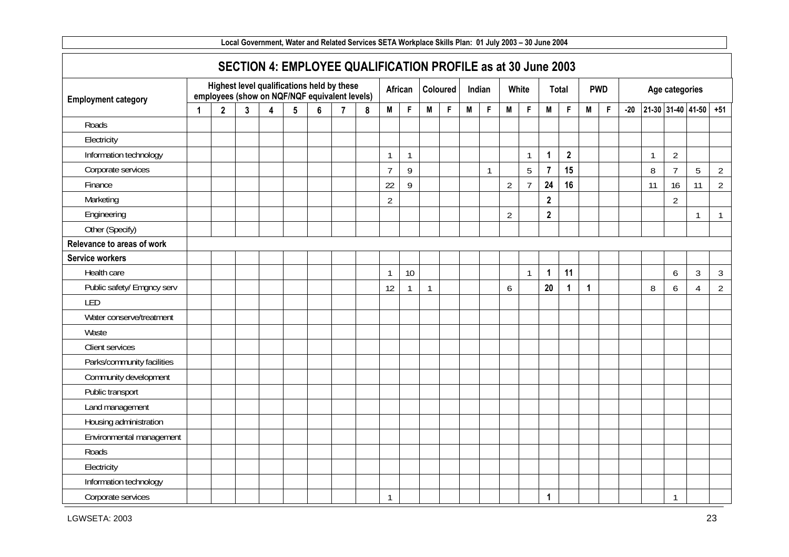| Local Government, Water and Related Services SETA Workplace Skills Plan: 01 July 2003 – 30 June 2004 |   |              |   |   |                                                                                             |   |                |   |                |                |                |          |   |              |                |                |                |                |             |            |       |    |                   |                |                |
|------------------------------------------------------------------------------------------------------|---|--------------|---|---|---------------------------------------------------------------------------------------------|---|----------------|---|----------------|----------------|----------------|----------|---|--------------|----------------|----------------|----------------|----------------|-------------|------------|-------|----|-------------------|----------------|----------------|
|                                                                                                      |   |              |   |   | SECTION 4: EMPLOYEE QUALIFICATION PROFILE as at 30 June 2003                                |   |                |   |                |                |                |          |   |              |                |                |                |                |             |            |       |    |                   |                |                |
| <b>Employment category</b>                                                                           |   |              |   |   | Highest level qualifications held by these<br>employees (show on NQF/NQF equivalent levels) |   |                |   |                | African        |                | Coloured |   | Indian       | White          |                |                | Total          |             | <b>PWD</b> |       |    | Age categories    |                |                |
|                                                                                                      | 1 | $\mathbf{2}$ | 3 | 4 | 5                                                                                           | 6 | $\overline{7}$ | 8 | M              | $\mathsf F$    | M              | F        | M | $\mathsf F$  | M              | F              | M              | $\mathsf F$    | M           | F          | $-20$ |    | 21-30 31-40 41-50 |                | $+51$          |
| Roads                                                                                                |   |              |   |   |                                                                                             |   |                |   |                |                |                |          |   |              |                |                |                |                |             |            |       |    |                   |                |                |
| Electricity                                                                                          |   |              |   |   |                                                                                             |   |                |   |                |                |                |          |   |              |                |                |                |                |             |            |       |    |                   |                |                |
| Information technology                                                                               |   |              |   |   |                                                                                             |   |                |   | $\mathbf{1}$   | $\overline{1}$ |                |          |   |              |                | 1              | $\mathbf{1}$   | $\overline{2}$ |             |            |       | ſ  | $\overline{2}$    |                |                |
| Corporate services                                                                                   |   |              |   |   |                                                                                             |   |                |   | $\overline{7}$ | 9              |                |          |   | $\mathbf{1}$ |                | 5              | $\overline{7}$ | 15             |             |            |       | 8  | $\overline{7}$    | 5              | $\overline{2}$ |
| Finance                                                                                              |   |              |   |   |                                                                                             |   |                |   | 22             | 9              |                |          |   |              | $\overline{2}$ | $\overline{7}$ | 24             | 16             |             |            |       | 11 | 16                | 11             | $\overline{2}$ |
| Marketing                                                                                            |   |              |   |   |                                                                                             |   |                |   | $\overline{2}$ |                |                |          |   |              |                |                | $\overline{2}$ |                |             |            |       |    | $\overline{2}$    |                |                |
| Engineering                                                                                          |   |              |   |   |                                                                                             |   |                |   |                |                |                |          |   |              | $\overline{2}$ |                | $\overline{2}$ |                |             |            |       |    |                   | $\mathbf{1}$   | $\mathbf{1}$   |
| Other (Specify)                                                                                      |   |              |   |   |                                                                                             |   |                |   |                |                |                |          |   |              |                |                |                |                |             |            |       |    |                   |                |                |
| Relevance to areas of work                                                                           |   |              |   |   |                                                                                             |   |                |   |                |                |                |          |   |              |                |                |                |                |             |            |       |    |                   |                |                |
| <b>Service workers</b>                                                                               |   |              |   |   |                                                                                             |   |                |   |                |                |                |          |   |              |                |                |                |                |             |            |       |    |                   |                |                |
| Health care                                                                                          |   |              |   |   |                                                                                             |   |                |   | $\mathbf{1}$   | 10             |                |          |   |              |                | $\mathbf{1}$   | $\mathbf{1}$   | 11             |             |            |       |    | 6                 | $\mathfrak{Z}$ | $\mathfrak{Z}$ |
| Public safety/ Emgncy serv                                                                           |   |              |   |   |                                                                                             |   |                |   | 12             |                | $\overline{1}$ |          |   |              | 6              |                | 20             | $\mathbf{1}$   | $\mathbf 1$ |            |       | 8  | 6                 | $\overline{4}$ | $\overline{2}$ |
| LED                                                                                                  |   |              |   |   |                                                                                             |   |                |   |                |                |                |          |   |              |                |                |                |                |             |            |       |    |                   |                |                |
| Water conserve/treatment                                                                             |   |              |   |   |                                                                                             |   |                |   |                |                |                |          |   |              |                |                |                |                |             |            |       |    |                   |                |                |
| Waste                                                                                                |   |              |   |   |                                                                                             |   |                |   |                |                |                |          |   |              |                |                |                |                |             |            |       |    |                   |                |                |
| Client services                                                                                      |   |              |   |   |                                                                                             |   |                |   |                |                |                |          |   |              |                |                |                |                |             |            |       |    |                   |                |                |
| Parks/community facilities                                                                           |   |              |   |   |                                                                                             |   |                |   |                |                |                |          |   |              |                |                |                |                |             |            |       |    |                   |                |                |
| Community development                                                                                |   |              |   |   |                                                                                             |   |                |   |                |                |                |          |   |              |                |                |                |                |             |            |       |    |                   |                |                |
| Public transport                                                                                     |   |              |   |   |                                                                                             |   |                |   |                |                |                |          |   |              |                |                |                |                |             |            |       |    |                   |                |                |
| Land management                                                                                      |   |              |   |   |                                                                                             |   |                |   |                |                |                |          |   |              |                |                |                |                |             |            |       |    |                   |                |                |
| Housing administration                                                                               |   |              |   |   |                                                                                             |   |                |   |                |                |                |          |   |              |                |                |                |                |             |            |       |    |                   |                |                |
| Environmental management                                                                             |   |              |   |   |                                                                                             |   |                |   |                |                |                |          |   |              |                |                |                |                |             |            |       |    |                   |                |                |
| Roads                                                                                                |   |              |   |   |                                                                                             |   |                |   |                |                |                |          |   |              |                |                |                |                |             |            |       |    |                   |                |                |
| Electricity                                                                                          |   |              |   |   |                                                                                             |   |                |   |                |                |                |          |   |              |                |                |                |                |             |            |       |    |                   |                |                |
| Information technology                                                                               |   |              |   |   |                                                                                             |   |                |   |                |                |                |          |   |              |                |                |                |                |             |            |       |    |                   |                |                |
| Corporate services                                                                                   |   |              |   |   |                                                                                             |   |                |   | $\mathbf{1}$   |                |                |          |   |              |                |                | $\mathbf{1}$   |                |             |            |       |    | $\mathbf{1}$      |                |                |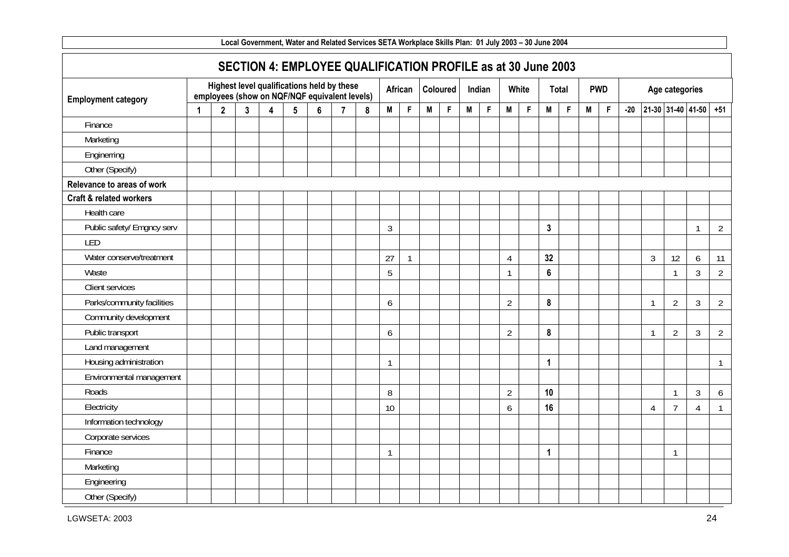| Local Government, Water and Related Services SETA Workplace Skills Plan: 01 July 2003 – 30 June 2004 |   |                |   |   |                                                                                             |   |                |   |                |              |   |             |   |             |                |             |                  |             |   |            |       |    |                |                   |                |
|------------------------------------------------------------------------------------------------------|---|----------------|---|---|---------------------------------------------------------------------------------------------|---|----------------|---|----------------|--------------|---|-------------|---|-------------|----------------|-------------|------------------|-------------|---|------------|-------|----|----------------|-------------------|----------------|
|                                                                                                      |   |                |   |   | SECTION 4: EMPLOYEE QUALIFICATION PROFILE as at 30 June 2003                                |   |                |   |                |              |   |             |   |             |                |             |                  |             |   |            |       |    |                |                   |                |
| <b>Employment category</b>                                                                           |   |                |   |   | Highest level qualifications held by these<br>employees (show on NQF/NQF equivalent levels) |   |                |   |                | African      |   | Coloured    |   | Indian      |                | White       |                  | Total       |   | <b>PWD</b> |       |    | Age categories |                   |                |
|                                                                                                      | 1 | $\overline{2}$ | 3 | 4 | 5                                                                                           | 6 | $\overline{7}$ | 8 | M              | $\mathsf F$  | M | $\mathsf F$ | M | $\mathsf F$ | M              | $\mathsf F$ | M                | $\mathsf F$ | M | F          | $-20$ |    |                | 21-30 31-40 41-50 | $+51$          |
| Finance                                                                                              |   |                |   |   |                                                                                             |   |                |   |                |              |   |             |   |             |                |             |                  |             |   |            |       |    |                |                   |                |
| Marketing                                                                                            |   |                |   |   |                                                                                             |   |                |   |                |              |   |             |   |             |                |             |                  |             |   |            |       |    |                |                   |                |
| Enginerring                                                                                          |   |                |   |   |                                                                                             |   |                |   |                |              |   |             |   |             |                |             |                  |             |   |            |       |    |                |                   |                |
| Other (Specify)                                                                                      |   |                |   |   |                                                                                             |   |                |   |                |              |   |             |   |             |                |             |                  |             |   |            |       |    |                |                   |                |
| Relevance to areas of work                                                                           |   |                |   |   |                                                                                             |   |                |   |                |              |   |             |   |             |                |             |                  |             |   |            |       |    |                |                   |                |
| <b>Craft &amp; related workers</b>                                                                   |   |                |   |   |                                                                                             |   |                |   |                |              |   |             |   |             |                |             |                  |             |   |            |       |    |                |                   |                |
| Health care                                                                                          |   |                |   |   |                                                                                             |   |                |   |                |              |   |             |   |             |                |             |                  |             |   |            |       |    |                |                   |                |
| Public safety/ Emgncy serv                                                                           |   |                |   |   |                                                                                             |   |                |   | $\mathfrak{Z}$ |              |   |             |   |             |                |             | $\mathbf{3}$     |             |   |            |       |    |                | $\mathbf{1}$      | $\overline{2}$ |
| LED                                                                                                  |   |                |   |   |                                                                                             |   |                |   |                |              |   |             |   |             |                |             |                  |             |   |            |       |    |                |                   |                |
| Water conserve/treatment                                                                             |   |                |   |   |                                                                                             |   |                |   | 27             | $\mathbf{1}$ |   |             |   |             | $\overline{4}$ |             | 32               |             |   |            |       | 3  | 12             | 6                 | 11             |
| Waste                                                                                                |   |                |   |   |                                                                                             |   |                |   | 5              |              |   |             |   |             |                |             | $\boldsymbol{6}$ |             |   |            |       |    | $\mathbf{1}$   | 3                 | $\overline{2}$ |
| Client services                                                                                      |   |                |   |   |                                                                                             |   |                |   |                |              |   |             |   |             |                |             |                  |             |   |            |       |    |                |                   |                |
| Parks/community facilities                                                                           |   |                |   |   |                                                                                             |   |                |   | 6              |              |   |             |   |             | $\overline{2}$ |             | $\pmb{8}$        |             |   |            |       |    | $\overline{2}$ | 3                 | $\overline{2}$ |
| Community development                                                                                |   |                |   |   |                                                                                             |   |                |   |                |              |   |             |   |             |                |             |                  |             |   |            |       |    |                |                   |                |
| Public transport                                                                                     |   |                |   |   |                                                                                             |   |                |   | 6              |              |   |             |   |             | $\overline{2}$ |             | $\pmb{8}$        |             |   |            |       | -1 | $\overline{2}$ | $\mathfrak{Z}$    | $\overline{2}$ |
| Land management                                                                                      |   |                |   |   |                                                                                             |   |                |   |                |              |   |             |   |             |                |             |                  |             |   |            |       |    |                |                   |                |
| Housing administration                                                                               |   |                |   |   |                                                                                             |   |                |   | $\mathbf{1}$   |              |   |             |   |             |                |             | $\mathbf{1}$     |             |   |            |       |    |                |                   | $\mathbf{1}$   |
| Environmental management                                                                             |   |                |   |   |                                                                                             |   |                |   |                |              |   |             |   |             |                |             |                  |             |   |            |       |    |                |                   |                |
| Roads                                                                                                |   |                |   |   |                                                                                             |   |                |   | 8              |              |   |             |   |             | $\overline{2}$ |             | 10               |             |   |            |       |    | $\mathbf{1}$   | $\mathfrak{Z}$    | 6              |
| Electricity                                                                                          |   |                |   |   |                                                                                             |   |                |   | 10             |              |   |             |   |             | 6              |             | 16               |             |   |            |       | 4  | $\overline{7}$ | 4                 | $\mathbf{1}$   |
| Information technology                                                                               |   |                |   |   |                                                                                             |   |                |   |                |              |   |             |   |             |                |             |                  |             |   |            |       |    |                |                   |                |
| Corporate services                                                                                   |   |                |   |   |                                                                                             |   |                |   |                |              |   |             |   |             |                |             |                  |             |   |            |       |    |                |                   |                |
| Finance                                                                                              |   |                |   |   |                                                                                             |   |                |   | $\mathbf{1}$   |              |   |             |   |             |                |             | $\mathbf{1}$     |             |   |            |       |    | $\mathbf{1}$   |                   |                |
| Marketing                                                                                            |   |                |   |   |                                                                                             |   |                |   |                |              |   |             |   |             |                |             |                  |             |   |            |       |    |                |                   |                |
| Engineering                                                                                          |   |                |   |   |                                                                                             |   |                |   |                |              |   |             |   |             |                |             |                  |             |   |            |       |    |                |                   |                |
| Other (Specify)                                                                                      |   |                |   |   |                                                                                             |   |                |   |                |              |   |             |   |             |                |             |                  |             |   |            |       |    |                |                   |                |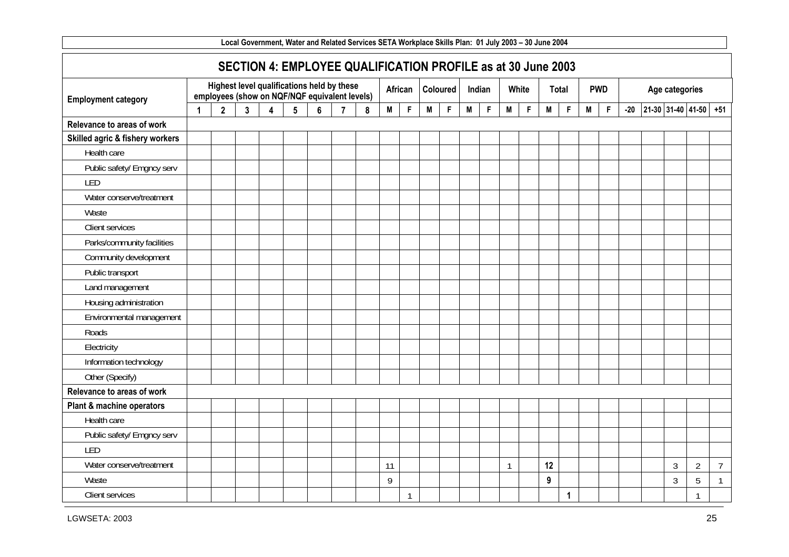|                                 | Local Government, Water and Related Services SETA Workplace Skills Plan: 01 July 2003 – 30 June 2004 |                |   |   |                                                                                             |   |                |   |    |              |   |             |   |        |              |       |    |             |   |             |       |                |                       |                |
|---------------------------------|------------------------------------------------------------------------------------------------------|----------------|---|---|---------------------------------------------------------------------------------------------|---|----------------|---|----|--------------|---|-------------|---|--------|--------------|-------|----|-------------|---|-------------|-------|----------------|-----------------------|----------------|
|                                 |                                                                                                      |                |   |   | SECTION 4: EMPLOYEE QUALIFICATION PROFILE as at 30 June 2003                                |   |                |   |    |              |   |             |   |        |              |       |    |             |   |             |       |                |                       |                |
| <b>Employment category</b>      |                                                                                                      |                |   |   | Highest level qualifications held by these<br>employees (show on NQF/NQF equivalent levels) |   |                |   |    | African      |   | Coloured    |   | Indian |              | White |    | Total       |   | <b>PWD</b>  |       | Age categories |                       |                |
|                                 | 1                                                                                                    | $\overline{2}$ | 3 | 4 | $5\phantom{.0}$                                                                             | 6 | $\overline{7}$ | 8 | M  | $\mathsf F$  | M | $\mathsf F$ | M | F      | M            | F     | M  | F           | M | $\mathsf F$ | $-20$ |                | 21-30 31-40 41-50 +51 |                |
| Relevance to areas of work      |                                                                                                      |                |   |   |                                                                                             |   |                |   |    |              |   |             |   |        |              |       |    |             |   |             |       |                |                       |                |
| Skilled agric & fishery workers |                                                                                                      |                |   |   |                                                                                             |   |                |   |    |              |   |             |   |        |              |       |    |             |   |             |       |                |                       |                |
| Health care                     |                                                                                                      |                |   |   |                                                                                             |   |                |   |    |              |   |             |   |        |              |       |    |             |   |             |       |                |                       |                |
| Public safety/ Emgncy serv      |                                                                                                      |                |   |   |                                                                                             |   |                |   |    |              |   |             |   |        |              |       |    |             |   |             |       |                |                       |                |
| LED                             |                                                                                                      |                |   |   |                                                                                             |   |                |   |    |              |   |             |   |        |              |       |    |             |   |             |       |                |                       |                |
| Water conserve/treatment        |                                                                                                      |                |   |   |                                                                                             |   |                |   |    |              |   |             |   |        |              |       |    |             |   |             |       |                |                       |                |
| Waste                           |                                                                                                      |                |   |   |                                                                                             |   |                |   |    |              |   |             |   |        |              |       |    |             |   |             |       |                |                       |                |
| Client services                 |                                                                                                      |                |   |   |                                                                                             |   |                |   |    |              |   |             |   |        |              |       |    |             |   |             |       |                |                       |                |
| Parks/community facilities      |                                                                                                      |                |   |   |                                                                                             |   |                |   |    |              |   |             |   |        |              |       |    |             |   |             |       |                |                       |                |
| Community development           |                                                                                                      |                |   |   |                                                                                             |   |                |   |    |              |   |             |   |        |              |       |    |             |   |             |       |                |                       |                |
| Public transport                |                                                                                                      |                |   |   |                                                                                             |   |                |   |    |              |   |             |   |        |              |       |    |             |   |             |       |                |                       |                |
| Land management                 |                                                                                                      |                |   |   |                                                                                             |   |                |   |    |              |   |             |   |        |              |       |    |             |   |             |       |                |                       |                |
| Housing administration          |                                                                                                      |                |   |   |                                                                                             |   |                |   |    |              |   |             |   |        |              |       |    |             |   |             |       |                |                       |                |
| Environmental management        |                                                                                                      |                |   |   |                                                                                             |   |                |   |    |              |   |             |   |        |              |       |    |             |   |             |       |                |                       |                |
| Roads                           |                                                                                                      |                |   |   |                                                                                             |   |                |   |    |              |   |             |   |        |              |       |    |             |   |             |       |                |                       |                |
| Electricity                     |                                                                                                      |                |   |   |                                                                                             |   |                |   |    |              |   |             |   |        |              |       |    |             |   |             |       |                |                       |                |
| Information technology          |                                                                                                      |                |   |   |                                                                                             |   |                |   |    |              |   |             |   |        |              |       |    |             |   |             |       |                |                       |                |
| Other (Specify)                 |                                                                                                      |                |   |   |                                                                                             |   |                |   |    |              |   |             |   |        |              |       |    |             |   |             |       |                |                       |                |
| Relevance to areas of work      |                                                                                                      |                |   |   |                                                                                             |   |                |   |    |              |   |             |   |        |              |       |    |             |   |             |       |                |                       |                |
| Plant & machine operators       |                                                                                                      |                |   |   |                                                                                             |   |                |   |    |              |   |             |   |        |              |       |    |             |   |             |       |                |                       |                |
| Health care                     |                                                                                                      |                |   |   |                                                                                             |   |                |   |    |              |   |             |   |        |              |       |    |             |   |             |       |                |                       |                |
| Public safety/ Emgncy serv      |                                                                                                      |                |   |   |                                                                                             |   |                |   |    |              |   |             |   |        |              |       |    |             |   |             |       |                |                       |                |
| LED                             |                                                                                                      |                |   |   |                                                                                             |   |                |   |    |              |   |             |   |        |              |       |    |             |   |             |       |                |                       |                |
| Water conserve/treatment        |                                                                                                      |                |   |   |                                                                                             |   |                |   | 11 |              |   |             |   |        | $\mathbf{1}$ |       | 12 |             |   |             |       | $\mathfrak{Z}$ | $\overline{2}$        | $\overline{7}$ |
| Waste                           |                                                                                                      |                |   |   |                                                                                             |   |                |   | 9  |              |   |             |   |        |              |       | 9  |             |   |             |       | $\mathfrak{Z}$ | 5                     |                |
| Client services                 |                                                                                                      |                |   |   |                                                                                             |   |                |   |    | $\mathbf{1}$ |   |             |   |        |              |       |    | $\mathbf 1$ |   |             |       |                | $\mathbf{1}$          |                |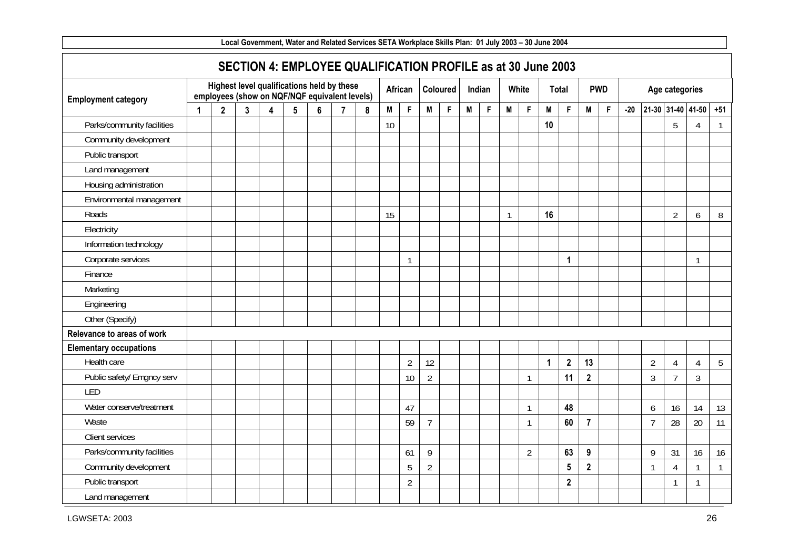| Local Government, Water and Related Services SETA Workplace Skills Plan: 01 July 2003 - 30 June 2004 |             |              |              |                         |                 |                                                                                             |                |                                                              |    |                |                |             |   |        |    |                |              |                         |                |             |       |                |                   |                |              |
|------------------------------------------------------------------------------------------------------|-------------|--------------|--------------|-------------------------|-----------------|---------------------------------------------------------------------------------------------|----------------|--------------------------------------------------------------|----|----------------|----------------|-------------|---|--------|----|----------------|--------------|-------------------------|----------------|-------------|-------|----------------|-------------------|----------------|--------------|
|                                                                                                      |             |              |              |                         |                 |                                                                                             |                | SECTION 4: EMPLOYEE QUALIFICATION PROFILE as at 30 June 2003 |    |                |                |             |   |        |    |                |              |                         |                |             |       |                |                   |                |              |
| <b>Employment category</b>                                                                           |             |              |              |                         |                 | Highest level qualifications held by these<br>employees (show on NQF/NQF equivalent levels) |                |                                                              |    | African        |                | Coloured    |   | Indian |    | White          |              | Total                   |                | <b>PWD</b>  |       |                | Age categories    |                |              |
|                                                                                                      | $\mathbf 1$ | $\mathbf{2}$ | $\mathbf{3}$ | $\overline{\mathbf{4}}$ | $5\phantom{.0}$ | $6\phantom{1}$                                                                              | $\overline{7}$ | $\boldsymbol{8}$                                             | M  | $\mathsf F$    | M              | $\mathsf F$ | M | F      | M  | F              | M            | $\mathsf{F}$            | M              | $\mathsf F$ | $-20$ |                | 21-30 31-40 41-50 |                | $+51$        |
| Parks/community facilities                                                                           |             |              |              |                         |                 |                                                                                             |                |                                                              | 10 |                |                |             |   |        |    |                | 10           |                         |                |             |       |                | 5                 | 4              | $\mathbf{1}$ |
| Community development                                                                                |             |              |              |                         |                 |                                                                                             |                |                                                              |    |                |                |             |   |        |    |                |              |                         |                |             |       |                |                   |                |              |
| Public transport                                                                                     |             |              |              |                         |                 |                                                                                             |                |                                                              |    |                |                |             |   |        |    |                |              |                         |                |             |       |                |                   |                |              |
| Land management                                                                                      |             |              |              |                         |                 |                                                                                             |                |                                                              |    |                |                |             |   |        |    |                |              |                         |                |             |       |                |                   |                |              |
| Housing administration                                                                               |             |              |              |                         |                 |                                                                                             |                |                                                              |    |                |                |             |   |        |    |                |              |                         |                |             |       |                |                   |                |              |
| Environmental management                                                                             |             |              |              |                         |                 |                                                                                             |                |                                                              |    |                |                |             |   |        |    |                |              |                         |                |             |       |                |                   |                |              |
| Roads                                                                                                |             |              |              |                         |                 |                                                                                             |                |                                                              | 15 |                |                |             |   |        | -1 |                | 16           |                         |                |             |       |                | $\overline{2}$    | 6              | 8            |
| Electricity                                                                                          |             |              |              |                         |                 |                                                                                             |                |                                                              |    |                |                |             |   |        |    |                |              |                         |                |             |       |                |                   |                |              |
| Information technology                                                                               |             |              |              |                         |                 |                                                                                             |                |                                                              |    |                |                |             |   |        |    |                |              |                         |                |             |       |                |                   |                |              |
| Corporate services                                                                                   |             |              |              |                         |                 |                                                                                             |                |                                                              |    | $\mathbf{1}$   |                |             |   |        |    |                |              | $\mathbf{1}$            |                |             |       |                |                   | $\mathbf{1}$   |              |
| Finance                                                                                              |             |              |              |                         |                 |                                                                                             |                |                                                              |    |                |                |             |   |        |    |                |              |                         |                |             |       |                |                   |                |              |
| Marketing                                                                                            |             |              |              |                         |                 |                                                                                             |                |                                                              |    |                |                |             |   |        |    |                |              |                         |                |             |       |                |                   |                |              |
| Engineering                                                                                          |             |              |              |                         |                 |                                                                                             |                |                                                              |    |                |                |             |   |        |    |                |              |                         |                |             |       |                |                   |                |              |
| Other (Specify)                                                                                      |             |              |              |                         |                 |                                                                                             |                |                                                              |    |                |                |             |   |        |    |                |              |                         |                |             |       |                |                   |                |              |
| Relevance to areas of work                                                                           |             |              |              |                         |                 |                                                                                             |                |                                                              |    |                |                |             |   |        |    |                |              |                         |                |             |       |                |                   |                |              |
| <b>Elementary occupations</b>                                                                        |             |              |              |                         |                 |                                                                                             |                |                                                              |    |                |                |             |   |        |    |                |              |                         |                |             |       |                |                   |                |              |
| Health care                                                                                          |             |              |              |                         |                 |                                                                                             |                |                                                              |    | $\overline{2}$ | 12             |             |   |        |    |                | $\mathbf{1}$ | $\overline{\mathbf{2}}$ | 13             |             |       | $\overline{2}$ | $\overline{4}$    | 4              | 5            |
| Public safety/ Emgncy serv                                                                           |             |              |              |                         |                 |                                                                                             |                |                                                              |    | 10             | $\overline{2}$ |             |   |        |    | 1              |              | 11                      | $\mathbf{2}$   |             |       | 3              | $\overline{7}$    | $\overline{3}$ |              |
| LED                                                                                                  |             |              |              |                         |                 |                                                                                             |                |                                                              |    |                |                |             |   |        |    |                |              |                         |                |             |       |                |                   |                |              |
| Water conserve/treatment                                                                             |             |              |              |                         |                 |                                                                                             |                |                                                              |    | 47             |                |             |   |        |    | $\mathbf{1}$   |              | 48                      |                |             |       | 6              | 16                | 14             | 13           |
| Waste                                                                                                |             |              |              |                         |                 |                                                                                             |                |                                                              |    | 59             | $\overline{7}$ |             |   |        |    | $\mathbf{1}$   |              | 60                      | $\overline{7}$ |             |       | $\overline{7}$ | 28                | 20             | 11           |
| Client services                                                                                      |             |              |              |                         |                 |                                                                                             |                |                                                              |    |                |                |             |   |        |    |                |              |                         |                |             |       |                |                   |                |              |
| Parks/community facilities                                                                           |             |              |              |                         |                 |                                                                                             |                |                                                              |    | 61             | 9              |             |   |        |    | $\overline{2}$ |              | 63                      | 9              |             |       | 9              | 31                | 16             | 16           |
| Community development                                                                                |             |              |              |                         |                 |                                                                                             |                |                                                              |    | 5              | $\overline{2}$ |             |   |        |    |                |              | $5\phantom{.0}$         | $\overline{2}$ |             |       | 1              | $\overline{4}$    | $\mathbf{1}$   | $\mathbf{1}$ |
| Public transport                                                                                     |             |              |              |                         |                 |                                                                                             |                |                                                              |    | $\overline{2}$ |                |             |   |        |    |                |              | $\mathbf{2}$            |                |             |       |                | $\mathbf{1}$      | $\mathbf{1}$   |              |
| Land management                                                                                      |             |              |              |                         |                 |                                                                                             |                |                                                              |    |                |                |             |   |        |    |                |              |                         |                |             |       |                |                   |                |              |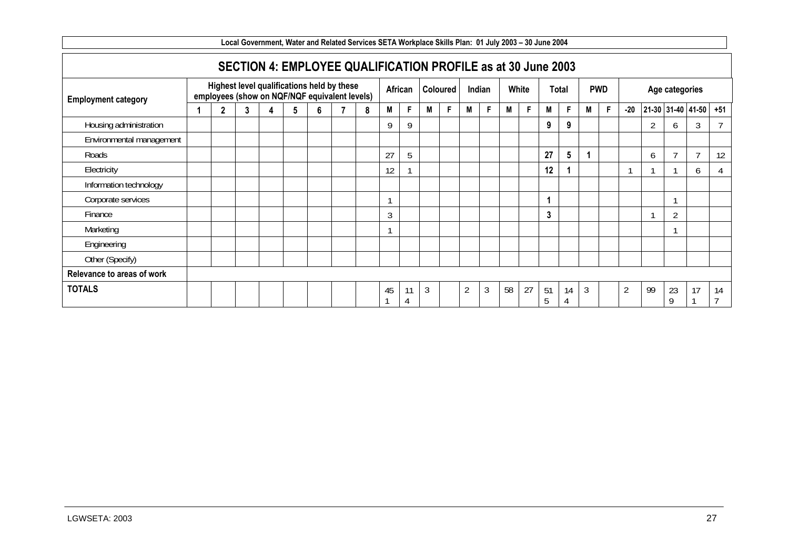| Local Government, Water and Related Services SETA Workplace Skills Plan: 01 July 2003 - 30 June 2004 |  |   |  |                                                                                             |   |   |  |   |    |         |   |                 |                |        |    |       |         |         |   |            |                |                |                |                   |       |
|------------------------------------------------------------------------------------------------------|--|---|--|---------------------------------------------------------------------------------------------|---|---|--|---|----|---------|---|-----------------|----------------|--------|----|-------|---------|---------|---|------------|----------------|----------------|----------------|-------------------|-------|
|                                                                                                      |  |   |  | SECTION 4: EMPLOYEE QUALIFICATION PROFILE as at 30 June 2003                                |   |   |  |   |    |         |   |                 |                |        |    |       |         |         |   |            |                |                |                |                   |       |
| <b>Employment category</b>                                                                           |  |   |  | Highest level qualifications held by these<br>employees (show on NQF/NQF equivalent levels) |   |   |  |   |    | African |   | <b>Coloured</b> |                | Indian |    | White |         | Total   |   | <b>PWD</b> |                |                | Age categories |                   |       |
|                                                                                                      |  | 2 |  | Δ                                                                                           | 5 | հ |  | 8 | M  | F.      | M | F               | M              | F      | М  | F.    | M       | F       | M | F          | $-20$          |                |                | 21-30 31-40 41-50 | $+51$ |
| Housing administration                                                                               |  |   |  |                                                                                             |   |   |  |   | Q  | Q       |   |                 |                |        |    |       | 9       | 9       |   |            |                | $\overline{2}$ | 6              | 3                 |       |
| Environmental management                                                                             |  |   |  |                                                                                             |   |   |  |   |    |         |   |                 |                |        |    |       |         |         |   |            |                |                |                |                   |       |
| Roads                                                                                                |  |   |  |                                                                                             |   |   |  |   | 27 | 5       |   |                 |                |        |    |       | 27      | 5       |   |            |                | 6              |                |                   | 12    |
| Electricity                                                                                          |  |   |  |                                                                                             |   |   |  |   | 12 |         |   |                 |                |        |    |       | 12      |         |   |            |                |                |                | b                 |       |
| Information technology                                                                               |  |   |  |                                                                                             |   |   |  |   |    |         |   |                 |                |        |    |       |         |         |   |            |                |                |                |                   |       |
| Corporate services                                                                                   |  |   |  |                                                                                             |   |   |  |   |    |         |   |                 |                |        |    |       |         |         |   |            |                |                |                |                   |       |
| Finance                                                                                              |  |   |  |                                                                                             |   |   |  |   | 3  |         |   |                 |                |        |    |       | 3       |         |   |            |                |                | $\overline{2}$ |                   |       |
| Marketing                                                                                            |  |   |  |                                                                                             |   |   |  |   |    |         |   |                 |                |        |    |       |         |         |   |            |                |                |                |                   |       |
| Engineering                                                                                          |  |   |  |                                                                                             |   |   |  |   |    |         |   |                 |                |        |    |       |         |         |   |            |                |                |                |                   |       |
| Other (Specify)                                                                                      |  |   |  |                                                                                             |   |   |  |   |    |         |   |                 |                |        |    |       |         |         |   |            |                |                |                |                   |       |
| Relevance to areas of work                                                                           |  |   |  |                                                                                             |   |   |  |   |    |         |   |                 |                |        |    |       |         |         |   |            |                |                |                |                   |       |
| <b>TOTALS</b>                                                                                        |  |   |  |                                                                                             |   |   |  |   | 45 | 11      | 3 |                 | $\overline{2}$ | 3      | 58 | 27    | 51<br>5 | 14<br>4 | 3 |            | $\overline{2}$ | 99             | 23<br>9        | 17                | 14    |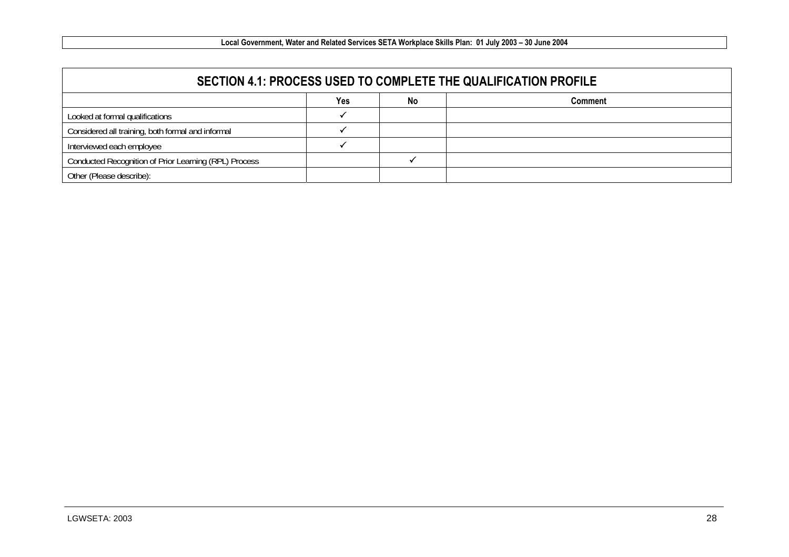|                                                       |     |    | SECTION 4.1: PROCESS USED TO COMPLETE THE QUALIFICATION PROFILE |
|-------------------------------------------------------|-----|----|-----------------------------------------------------------------|
|                                                       | Yes | No | Comment                                                         |
| Looked at formal qualifications                       |     |    |                                                                 |
| Considered all training, both formal and informal     |     |    |                                                                 |
| Interviewed each employee                             |     |    |                                                                 |
| Conducted Recognition of Prior Learning (RPL) Process |     |    |                                                                 |
| Other (Please describe):                              |     |    |                                                                 |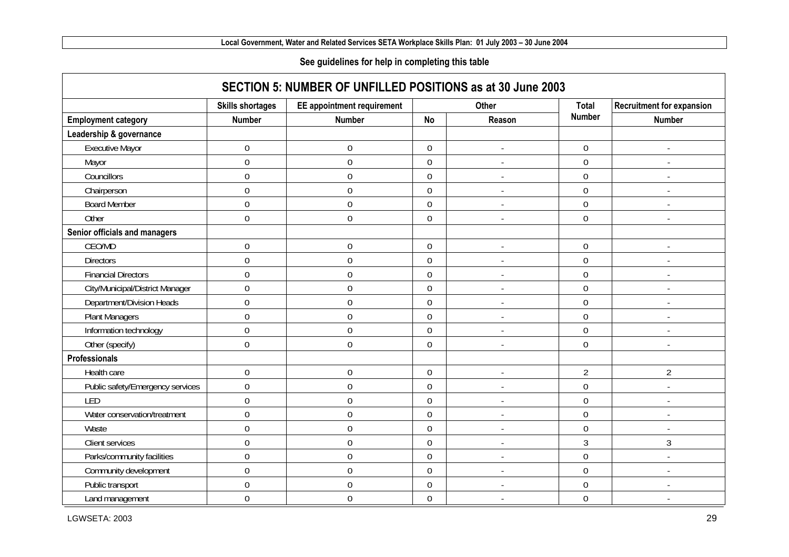#### **See guidelines for help in completing this table**

|                                  | <b>Skills shortages</b> | <b>EE</b> appointment requirement |                  | <b>Other</b>             | Total            | <b>Recruitment for expansion</b> |
|----------------------------------|-------------------------|-----------------------------------|------------------|--------------------------|------------------|----------------------------------|
| <b>Employment category</b>       | <b>Number</b>           | <b>Number</b>                     | <b>No</b>        | Reason                   | <b>Number</b>    | <b>Number</b>                    |
| Leadership & governance          |                         |                                   |                  |                          |                  |                                  |
| <b>Executive Mayor</b>           | $\boldsymbol{0}$        | $\boldsymbol{0}$                  | $\mathbf 0$      |                          | $\overline{0}$   | $\overline{\phantom{a}}$         |
| Mayor                            | $\overline{0}$          | $\boldsymbol{0}$                  | $\mathbf 0$      |                          | $\overline{0}$   | $\overline{\phantom{a}}$         |
| Councillors                      | $\boldsymbol{0}$        | $\boldsymbol{0}$                  | $\mathbf 0$      |                          | $\boldsymbol{0}$ |                                  |
| Chairperson                      | $\mathbf 0$             | $\boldsymbol{0}$                  | 0                |                          | $\overline{0}$   | $\blacksquare$                   |
| <b>Board Member</b>              | $\overline{0}$          | $\boldsymbol{0}$                  | 0                | $\overline{a}$           | $\boldsymbol{0}$ | $\sim$                           |
| Other                            | $\overline{0}$          | $\mathbf 0$                       | $\overline{0}$   |                          | $\overline{0}$   | $\overline{\phantom{a}}$         |
| Senior officials and managers    |                         |                                   |                  |                          |                  |                                  |
| CEO/MD                           | $\boldsymbol{0}$        | 0                                 | $\mathbf 0$      |                          | $\mathbf 0$      |                                  |
| <b>Directors</b>                 | $\boldsymbol{0}$        | $\boldsymbol{0}$                  | $\mathbf 0$      |                          | $\boldsymbol{0}$ |                                  |
| <b>Financial Directors</b>       | $\mathbf 0$             | $\boldsymbol{0}$                  | $\mathbf 0$      |                          | $\overline{0}$   |                                  |
| City/Municipal/District Manager  | $\boldsymbol{0}$        | $\boldsymbol{0}$                  | $\mathbf 0$      |                          | $\mathbf 0$      |                                  |
| Department/Division Heads        | $\mathbf 0$             | $\mathbf 0$                       | $\mathbf 0$      | $\overline{a}$           | $\mathbf 0$      |                                  |
| <b>Plant Managers</b>            | $\mathbf 0$             | $\mathbf 0$                       | 0                | $\overline{a}$           | $\mathbf 0$      | $\overline{\phantom{a}}$         |
| Information technology           | $\mathbf 0$             | $\boldsymbol{0}$                  | 0                | $\overline{a}$           | $\mathbf 0$      | $\blacksquare$                   |
| Other (specify)                  | $\overline{0}$          | $\mathbf 0$                       | $\overline{0}$   | $\overline{a}$           | $\overline{0}$   | $\sim$                           |
| Professionals                    |                         |                                   |                  |                          |                  |                                  |
| Health care                      | $\boldsymbol{0}$        | $\boldsymbol{0}$                  | $\mathbf 0$      |                          | $\overline{2}$   | $\overline{2}$                   |
| Public safety/Emergency services | $\boldsymbol{0}$        | $\boldsymbol{0}$                  | $\boldsymbol{0}$ |                          | $\boldsymbol{0}$ |                                  |
| LED                              | $\mathbf 0$             | $\mathbf 0$                       | $\mathbf 0$      |                          | $\mathbf 0$      |                                  |
| Water conservation/treatment     | $\mathbf 0$             | $\mathbf 0$                       | $\mathbf 0$      |                          | $\mathbf 0$      |                                  |
| Waste                            | $\mathbf 0$             | $\mathbf 0$                       | $\mathbf 0$      | $\overline{\phantom{a}}$ | $\mathbf 0$      |                                  |
| Client services                  | $\mathbf 0$             | $\boldsymbol{0}$                  | $\mathbf 0$      | $\overline{a}$           | 3                | $\mathfrak{Z}$                   |
| Parks/community facilities       | $\mathbf 0$             | $\boldsymbol{0}$                  | $\mathbf 0$      | $\overline{a}$           | $\boldsymbol{0}$ | $\mathbf{r}$                     |
| Community development            | $\mathbf 0$             | $\boldsymbol{0}$                  | $\mathbf 0$      | $\overline{\phantom{a}}$ | $\mathbf 0$      | $\blacksquare$                   |
| Public transport                 | $\mathbf 0$             | $\mathbf 0$                       | 0                | $\overline{\phantom{a}}$ | $\mathbf 0$      | $\overline{a}$                   |
| Land management                  | $\mathbf 0$             | $\mathbf 0$                       | 0                | $\overline{a}$           | $\mathbf 0$      |                                  |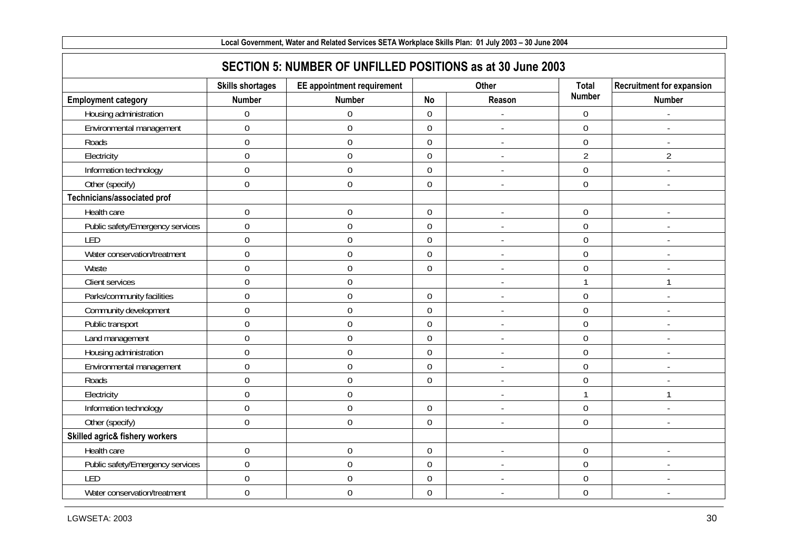| Local Government, Water and Related Services SETA Workplace Skills Plan: 01 July 2003 - 30 June 2004 |                         |                                                            |                  |                          |                |                                  |  |  |  |  |  |  |
|------------------------------------------------------------------------------------------------------|-------------------------|------------------------------------------------------------|------------------|--------------------------|----------------|----------------------------------|--|--|--|--|--|--|
|                                                                                                      |                         | SECTION 5: NUMBER OF UNFILLED POSITIONS as at 30 June 2003 |                  |                          |                |                                  |  |  |  |  |  |  |
|                                                                                                      | <b>Skills shortages</b> | <b>EE</b> appointment requirement                          |                  | Other                    | <b>Total</b>   | <b>Recruitment for expansion</b> |  |  |  |  |  |  |
| <b>Employment category</b>                                                                           | <b>Number</b>           | <b>Number</b>                                              | <b>No</b>        | Reason                   | <b>Number</b>  | <b>Number</b>                    |  |  |  |  |  |  |
| Housing administration                                                                               | $\mathbf 0$             | $\boldsymbol{0}$                                           | $\mathbf 0$      |                          | $\overline{0}$ |                                  |  |  |  |  |  |  |
| Environmental management                                                                             | $\overline{0}$          | $\mathbf 0$                                                | $\mathbf 0$      |                          | $\overline{0}$ |                                  |  |  |  |  |  |  |
| Roads                                                                                                | $\overline{0}$          | $\boldsymbol{0}$                                           | $\overline{0}$   | $\overline{a}$           | $\overline{0}$ |                                  |  |  |  |  |  |  |
| Electricity                                                                                          | $\overline{0}$          | $\mathbf 0$                                                | $\mathbf 0$      |                          | $\overline{2}$ | $\overline{2}$                   |  |  |  |  |  |  |
| Information technology                                                                               | $\overline{0}$          | $\boldsymbol{0}$                                           | $\mathbf 0$      | $\overline{\phantom{a}}$ | $\mathbf 0$    | $\sim$                           |  |  |  |  |  |  |
| Other (specify)                                                                                      | $\mathbf 0$             | $\mathbf 0$                                                | $\overline{0}$   | $\blacksquare$           | $\overline{0}$ |                                  |  |  |  |  |  |  |
| Technicians/associated prof                                                                          |                         |                                                            |                  |                          |                |                                  |  |  |  |  |  |  |
| Health care                                                                                          | $\boldsymbol{0}$        | $\boldsymbol{0}$                                           | $\boldsymbol{0}$ | $\overline{\phantom{a}}$ | $\mathbf 0$    |                                  |  |  |  |  |  |  |
| Public safety/Emergency services                                                                     | $\boldsymbol{0}$        | $\boldsymbol{0}$                                           | $\mathbf 0$      | $\overline{\phantom{a}}$ | $\mathbf 0$    |                                  |  |  |  |  |  |  |
| LED                                                                                                  | $\overline{0}$          | $\boldsymbol{0}$                                           | $\overline{0}$   |                          | $\overline{0}$ |                                  |  |  |  |  |  |  |
| Water conservation/treatment                                                                         | $\mathbf 0$             | $\boldsymbol{0}$                                           | $\overline{0}$   | $\overline{\phantom{a}}$ | $\overline{0}$ |                                  |  |  |  |  |  |  |
| Waste                                                                                                | $\overline{0}$          | $\boldsymbol{0}$                                           | $\mathbf 0$      | $\overline{\phantom{a}}$ | $\overline{0}$ |                                  |  |  |  |  |  |  |
| Client services                                                                                      | $\overline{0}$          | $\boldsymbol{0}$                                           |                  | $\overline{\phantom{a}}$ |                | 1                                |  |  |  |  |  |  |
| Parks/community facilities                                                                           | $\mathbf 0$             | $\boldsymbol{0}$                                           | $\mathbf 0$      |                          | $\overline{0}$ |                                  |  |  |  |  |  |  |
| Community development                                                                                | $\boldsymbol{0}$        | $\boldsymbol{0}$                                           | $\mathbf 0$      | J.                       | $\mathbf 0$    |                                  |  |  |  |  |  |  |
| Public transport                                                                                     | $\boldsymbol{0}$        | $\boldsymbol{0}$                                           | $\mathbf 0$      | $\overline{\phantom{a}}$ | $\mathbf 0$    |                                  |  |  |  |  |  |  |
| Land management                                                                                      | $\boldsymbol{0}$        | $\boldsymbol{0}$                                           | $\overline{0}$   | ÷,                       | $\overline{0}$ |                                  |  |  |  |  |  |  |
| Housing administration                                                                               | $\overline{0}$          | $\mathbf 0$                                                | $\overline{0}$   |                          | $\overline{0}$ |                                  |  |  |  |  |  |  |
| Environmental management                                                                             | $\mathbf 0$             | $\boldsymbol{0}$                                           | $\mathbf 0$      |                          | $\mathbf 0$    |                                  |  |  |  |  |  |  |
| Roads                                                                                                | $\overline{0}$          | $\boldsymbol{0}$                                           | $\mathbf 0$      |                          | $\overline{0}$ |                                  |  |  |  |  |  |  |
| Electricity                                                                                          | $\mathbf 0$             | $\boldsymbol{0}$                                           |                  | $\overline{a}$           |                | $\mathbf{1}$                     |  |  |  |  |  |  |
| Information technology                                                                               | $\mathbf 0$             | $\boldsymbol{0}$                                           | $\overline{0}$   |                          | $\mathbf 0$    |                                  |  |  |  |  |  |  |
| Other (specify)                                                                                      | $\boldsymbol{0}$        | $\boldsymbol{0}$                                           | $\overline{0}$   |                          | $\overline{0}$ |                                  |  |  |  |  |  |  |
| Skilled agric& fishery workers                                                                       |                         |                                                            |                  |                          |                |                                  |  |  |  |  |  |  |
| Health care                                                                                          | $\mathbf 0$             | $\boldsymbol{0}$                                           | $\mathbf 0$      |                          | $\mathbf 0$    |                                  |  |  |  |  |  |  |
| Public safety/Emergency services                                                                     | $\mathbf 0$             | $\boldsymbol{0}$                                           | $\mathbf 0$      | $\overline{\phantom{a}}$ | $\overline{0}$ |                                  |  |  |  |  |  |  |
| LED                                                                                                  | $\mathbf 0$             | $\boldsymbol{0}$                                           | $\boldsymbol{0}$ |                          | $\mathbf 0$    |                                  |  |  |  |  |  |  |
| Water conservation/treatment                                                                         | $\mathbf 0$             | $\boldsymbol{0}$                                           | $\mathbf 0$      | $\blacksquare$           | $\overline{0}$ |                                  |  |  |  |  |  |  |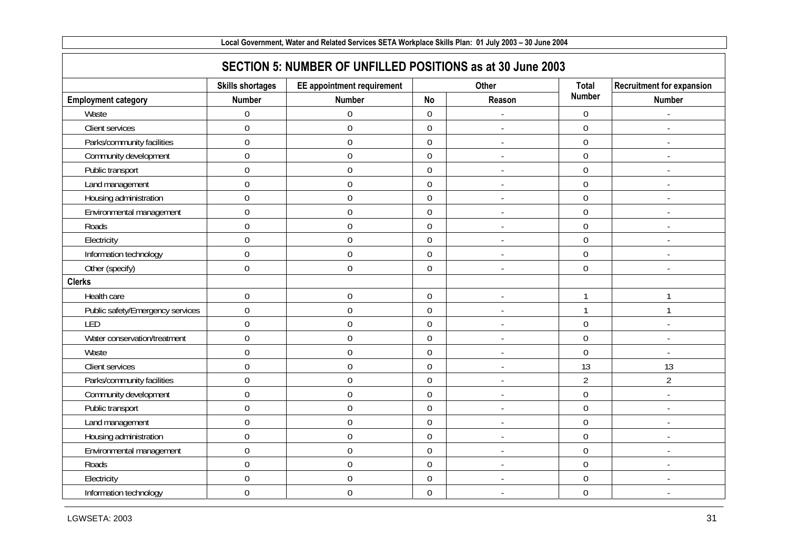| Local Government, Water and Related Services SETA Workplace Skills Plan: 01 July 2003 - 30 June 2004 |                         |                                                            |                  |                          |                  |                                  |  |  |  |  |  |
|------------------------------------------------------------------------------------------------------|-------------------------|------------------------------------------------------------|------------------|--------------------------|------------------|----------------------------------|--|--|--|--|--|
|                                                                                                      |                         | SECTION 5: NUMBER OF UNFILLED POSITIONS as at 30 June 2003 |                  |                          |                  |                                  |  |  |  |  |  |
|                                                                                                      | <b>Skills shortages</b> | <b>EE</b> appointment requirement                          |                  | Other                    | <b>Total</b>     | <b>Recruitment for expansion</b> |  |  |  |  |  |
| <b>Employment category</b>                                                                           | <b>Number</b>           | <b>Number</b>                                              | <b>No</b>        | Reason                   | <b>Number</b>    | <b>Number</b>                    |  |  |  |  |  |
| Waste                                                                                                | $\mathbf 0$             | $\boldsymbol{0}$                                           | $\mathbf 0$      |                          | $\mathbf 0$      |                                  |  |  |  |  |  |
| Client services                                                                                      | $\mathbf 0$             | $\boldsymbol{0}$                                           | $\mathbf 0$      |                          | $\mathbf 0$      |                                  |  |  |  |  |  |
| Parks/community facilities                                                                           | $\overline{0}$          | $\mathbf 0$                                                | $\overline{0}$   | $\blacksquare$           | $\overline{0}$   | $\overline{a}$                   |  |  |  |  |  |
| Community development                                                                                | $\mathbf 0$             | $\boldsymbol{0}$                                           | $\mathbf 0$      | $\overline{a}$           | $\overline{0}$   |                                  |  |  |  |  |  |
| Public transport                                                                                     | $\mathbf 0$             | $\boldsymbol{0}$                                           | $\mathbf 0$      | $\blacksquare$           | $\overline{0}$   | $\overline{a}$                   |  |  |  |  |  |
| Land management                                                                                      | $\mathbf 0$             | $\boldsymbol{0}$                                           | $\mathbf 0$      |                          | $\overline{0}$   |                                  |  |  |  |  |  |
| Housing administration                                                                               | $\mathbf 0$             | $\boldsymbol{0}$                                           | $\mathbf 0$      | $\overline{a}$           | $\mathbf 0$      | $\overline{a}$                   |  |  |  |  |  |
| Environmental management                                                                             | $\boldsymbol{0}$        | $\boldsymbol{0}$                                           | $\mathbf 0$      | $\overline{\phantom{a}}$ | $\mathbf 0$      |                                  |  |  |  |  |  |
| Roads                                                                                                | $\mathbf 0$             | $\boldsymbol{0}$                                           | $\mathbf 0$      | $\blacksquare$           | $\boldsymbol{0}$ | $\mathbf{r}$                     |  |  |  |  |  |
| Electricity                                                                                          | $\overline{0}$          | $\mathbf 0$                                                | $\overline{0}$   | $\overline{\phantom{a}}$ | $\overline{0}$   |                                  |  |  |  |  |  |
| Information technology                                                                               | $\mathbf 0$             | $\boldsymbol{0}$                                           | $\mathbf 0$      | $\overline{a}$           | $\overline{0}$   | $\mathbf{r}$                     |  |  |  |  |  |
| Other (specify)                                                                                      | $\mathbf 0$             | $\mathbf 0$                                                | $\overline{0}$   | $\overline{\phantom{a}}$ | $\overline{0}$   |                                  |  |  |  |  |  |
| <b>Clerks</b>                                                                                        |                         |                                                            |                  |                          |                  |                                  |  |  |  |  |  |
| Health care                                                                                          | $\mathbf 0$             | $\boldsymbol{0}$                                           | $\mathbf 0$      | $\overline{\phantom{a}}$ | 1                | $\mathbf{1}$                     |  |  |  |  |  |
| Public safety/Emergency services                                                                     | $\mathbf 0$             | $\boldsymbol{0}$                                           | $\mathbf 0$      | $\overline{a}$           | 1                | $\mathbf{1}$                     |  |  |  |  |  |
| LED                                                                                                  | $\mathbf 0$             | $\boldsymbol{0}$                                           | $\mathbf 0$      | $\blacksquare$           | $\mathbf 0$      | $\blacksquare$                   |  |  |  |  |  |
| Water conservation/treatment                                                                         | $\mathbf 0$             | $\boldsymbol{0}$                                           | $\mathbf 0$      | $\overline{a}$           | $\mathbf 0$      | $\mathbf{r}$                     |  |  |  |  |  |
| Waste                                                                                                | $\overline{0}$          | $\mathbf 0$                                                | $\mathbf 0$      |                          | $\overline{0}$   |                                  |  |  |  |  |  |
| Client services                                                                                      | $\mathbf 0$             | $\boldsymbol{0}$                                           | $\mathbf 0$      | $\overline{\phantom{a}}$ | 13               | 13                               |  |  |  |  |  |
| Parks/community facilities                                                                           | $\mathbf 0$             | $\boldsymbol{0}$                                           | $\mathbf 0$      | $\overline{\phantom{a}}$ | $\overline{2}$   | $\overline{2}$                   |  |  |  |  |  |
| Community development                                                                                | $\mathbf 0$             | $\boldsymbol{0}$                                           | $\mathbf 0$      | $\overline{\phantom{a}}$ | $\mathbf 0$      | $\overline{a}$                   |  |  |  |  |  |
| Public transport                                                                                     | $\mathbf 0$             | $\boldsymbol{0}$                                           | $\mathbf 0$      | $\blacksquare$           | $\mathbf 0$      | $\overline{\phantom{a}}$         |  |  |  |  |  |
| Land management                                                                                      | $\mathbf 0$             | $\boldsymbol{0}$                                           | $\overline{0}$   | $\overline{\phantom{a}}$ | $\overline{0}$   |                                  |  |  |  |  |  |
| Housing administration                                                                               | $\mathbf 0$             | $\boldsymbol{0}$                                           | $\overline{0}$   | $\overline{\phantom{a}}$ | $\overline{0}$   |                                  |  |  |  |  |  |
| Environmental management                                                                             | $\mathbf 0$             | $\boldsymbol{0}$                                           | $\mathbf 0$      | $\overline{\phantom{a}}$ | $\mathbf 0$      | $\overline{a}$                   |  |  |  |  |  |
| Roads                                                                                                | $\mathbf 0$             | $\boldsymbol{0}$                                           | $\mathbf 0$      |                          | $\overline{0}$   |                                  |  |  |  |  |  |
| Electricity                                                                                          | $\mathbf 0$             | $\boldsymbol{0}$                                           | $\boldsymbol{0}$ | $\overline{a}$           | $\mathbf 0$      |                                  |  |  |  |  |  |
| Information technology                                                                               | $\mathbf 0$             | $\boldsymbol{0}$                                           | $\mathbf 0$      | $\overline{\phantom{a}}$ | $\mathbf 0$      |                                  |  |  |  |  |  |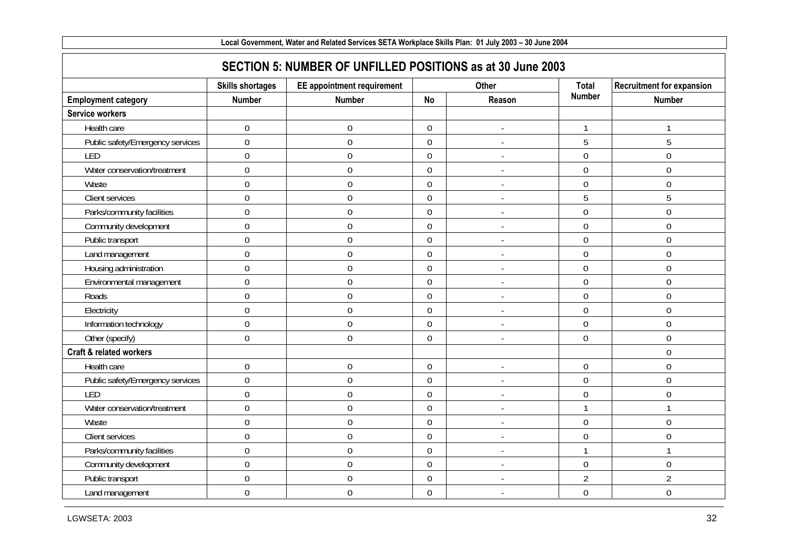| Local Government, Water and Related Services SETA Workplace Skills Plan: 01 July 2003 - 30 June 2004 |                         |                                                            |                  |                          |                |                                  |  |  |  |  |  |
|------------------------------------------------------------------------------------------------------|-------------------------|------------------------------------------------------------|------------------|--------------------------|----------------|----------------------------------|--|--|--|--|--|
|                                                                                                      |                         | SECTION 5: NUMBER OF UNFILLED POSITIONS as at 30 June 2003 |                  |                          |                |                                  |  |  |  |  |  |
|                                                                                                      | <b>Skills shortages</b> | <b>EE</b> appointment requirement                          |                  | <b>Other</b>             | <b>Total</b>   | <b>Recruitment for expansion</b> |  |  |  |  |  |
| <b>Employment category</b>                                                                           | <b>Number</b>           | <b>Number</b>                                              | <b>No</b>        | Reason                   | <b>Number</b>  | <b>Number</b>                    |  |  |  |  |  |
| <b>Service workers</b>                                                                               |                         |                                                            |                  |                          |                |                                  |  |  |  |  |  |
| Health care                                                                                          | $\boldsymbol{0}$        | $\boldsymbol{0}$                                           | $\overline{0}$   |                          | 1              | 1                                |  |  |  |  |  |
| Public safety/Emergency services                                                                     | $\overline{0}$          | $\boldsymbol{0}$                                           | $\mathbf 0$      | $\overline{a}$           | 5              | 5                                |  |  |  |  |  |
| LED                                                                                                  | $\overline{0}$          | $\boldsymbol{0}$                                           | $\overline{0}$   |                          | $\overline{0}$ | $\boldsymbol{0}$                 |  |  |  |  |  |
| Water conservation/treatment                                                                         | $\overline{0}$          | $\boldsymbol{0}$                                           | $\mathbf 0$      | $\blacksquare$           | $\overline{0}$ | $\mathbf 0$                      |  |  |  |  |  |
| Waste                                                                                                | $\overline{0}$          | $\boldsymbol{0}$                                           | $\mathbf 0$      |                          | $\overline{0}$ | $\mathbf 0$                      |  |  |  |  |  |
| Client services                                                                                      | $\mathbf 0$             | $\boldsymbol{0}$                                           | $\mathbf 0$      | $\overline{\phantom{a}}$ | 5              | 5                                |  |  |  |  |  |
| Parks/community facilities                                                                           | $\mathbf 0$             | $\boldsymbol{0}$                                           | $\mathbf 0$      | $\overline{\phantom{a}}$ | $\mathbf 0$    | $\mathbf 0$                      |  |  |  |  |  |
| Community development                                                                                | $\mathbf 0$             | $\boldsymbol{0}$                                           | $\mathbf 0$      | $\overline{\phantom{a}}$ | $\mathbf 0$    | $\boldsymbol{0}$                 |  |  |  |  |  |
| Public transport                                                                                     | $\mathbf 0$             | $\boldsymbol{0}$                                           | $\mathbf 0$      |                          | $\overline{0}$ | $\boldsymbol{0}$                 |  |  |  |  |  |
| Land management                                                                                      | $\mathbf 0$             | $\boldsymbol{0}$                                           | $\mathbf 0$      | $\overline{a}$           | $\mathbf 0$    | $\boldsymbol{0}$                 |  |  |  |  |  |
| Housing administration                                                                               | $\mathbf 0$             | $\boldsymbol{0}$                                           | $\mathbf 0$      | $\overline{\phantom{a}}$ | $\mathbf 0$    | $\boldsymbol{0}$                 |  |  |  |  |  |
| Environmental management                                                                             | $\overline{0}$          | $\boldsymbol{0}$                                           | $\overline{0}$   | $\blacksquare$           | $\overline{0}$ | $\boldsymbol{0}$                 |  |  |  |  |  |
| Roads                                                                                                | $\overline{0}$          | $\mathbf 0$                                                | $\overline{0}$   | $\overline{\phantom{a}}$ | $\overline{0}$ | $\mathbf 0$                      |  |  |  |  |  |
| Electricity                                                                                          | $\mathbf 0$             | $\boldsymbol{0}$                                           | $\mathbf 0$      | $\overline{a}$           | $\overline{0}$ | $\boldsymbol{0}$                 |  |  |  |  |  |
| Information technology                                                                               | $\mathbf 0$             | $\boldsymbol{0}$                                           | $\boldsymbol{0}$ | $\overline{\phantom{a}}$ | $\mathbf 0$    | $\mathbf 0$                      |  |  |  |  |  |
| Other (specify)                                                                                      | $\mathbf 0$             | $\boldsymbol{0}$                                           | $\mathbf 0$      | $\blacksquare$           | $\overline{0}$ | $\boldsymbol{0}$                 |  |  |  |  |  |
| <b>Craft &amp; related workers</b>                                                                   |                         |                                                            |                  |                          |                | $\mathbf 0$                      |  |  |  |  |  |
| Health care                                                                                          | $\mathbf 0$             | $\boldsymbol{0}$                                           | $\mathbf 0$      | $\overline{a}$           | $\overline{0}$ | $\boldsymbol{0}$                 |  |  |  |  |  |
| Public safety/Emergency services                                                                     | $\overline{0}$          | $\boldsymbol{0}$                                           | $\overline{0}$   |                          | $\overline{0}$ | $\boldsymbol{0}$                 |  |  |  |  |  |
| LED                                                                                                  | $\overline{0}$          | $\mathbf 0$                                                | $\overline{0}$   | $\overline{\phantom{a}}$ | $\overline{0}$ | $\mathbf 0$                      |  |  |  |  |  |
| Water conservation/treatment                                                                         | $\overline{0}$          | $\mathbf 0$                                                | $\overline{0}$   | $\blacksquare$           | $\overline{1}$ | $\mathbf{1}$                     |  |  |  |  |  |
| Waste                                                                                                | $\mathbf 0$             | $\boldsymbol{0}$                                           | $\mathbf 0$      | $\overline{a}$           | $\overline{0}$ | $\boldsymbol{0}$                 |  |  |  |  |  |
| Client services                                                                                      | $\mathbf 0$             | $\boldsymbol{0}$                                           | $\mathbf 0$      | $\overline{\phantom{a}}$ | $\mathbf 0$    | $\boldsymbol{0}$                 |  |  |  |  |  |
| Parks/community facilities                                                                           | $\mathbf 0$             | $\boldsymbol{0}$                                           | $\mathbf 0$      | $\blacksquare$           |                | $\mathbf{1}$                     |  |  |  |  |  |
| Community development                                                                                | $\mathbf 0$             | $\boldsymbol{0}$                                           | $\mathbf 0$      | $\overline{\phantom{a}}$ | $\mathbf 0$    | $\boldsymbol{0}$                 |  |  |  |  |  |
| Public transport                                                                                     | $\mathbf 0$             | $\boldsymbol{0}$                                           | $\mathbf 0$      | $\overline{a}$           | $\overline{2}$ | $\overline{2}$                   |  |  |  |  |  |
| Land management                                                                                      | $\mathbf 0$             | $\boldsymbol{0}$                                           | $\mathbf 0$      | $\overline{\phantom{a}}$ | $\mathbf 0$    | $\boldsymbol{0}$                 |  |  |  |  |  |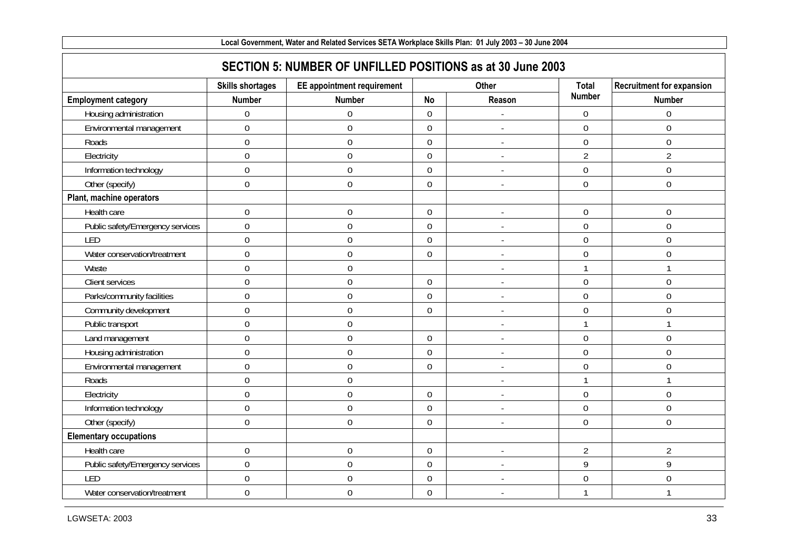| Local Government, Water and Related Services SETA Workplace Skills Plan: 01 July 2003 - 30 June 2004 |                         |                                            |                  |                          |                |                                  |
|------------------------------------------------------------------------------------------------------|-------------------------|--------------------------------------------|------------------|--------------------------|----------------|----------------------------------|
| SECTION 5: NUMBER OF UNFILLED POSITIONS as at 30 June 2003                                           |                         |                                            |                  |                          |                |                                  |
|                                                                                                      | <b>Skills shortages</b> | <b>EE</b> appointment requirement<br>Other |                  |                          | <b>Total</b>   | <b>Recruitment for expansion</b> |
| <b>Employment category</b>                                                                           | <b>Number</b>           | <b>Number</b>                              | <b>No</b>        | Reason                   | <b>Number</b>  | <b>Number</b>                    |
| Housing administration                                                                               | $\mathbf 0$             | $\boldsymbol{0}$                           | $\mathbf 0$      |                          | $\overline{0}$ | $\mathbf 0$                      |
| Environmental management                                                                             | $\overline{0}$          | $\mathbf 0$                                | $\mathbf 0$      |                          | $\overline{0}$ | $\mathbf 0$                      |
| Roads                                                                                                | $\overline{0}$          | $\boldsymbol{0}$                           | $\overline{0}$   | $\overline{a}$           | $\overline{0}$ | $\boldsymbol{0}$                 |
| Electricity                                                                                          | $\overline{0}$          | $\mathbf 0$                                | $\mathbf 0$      |                          | $\overline{2}$ | $\overline{2}$                   |
| Information technology                                                                               | $\overline{0}$          | $\boldsymbol{0}$                           | $\mathbf 0$      | $\overline{\phantom{a}}$ | $\overline{0}$ | $\mathbf 0$                      |
| Other (specify)                                                                                      | $\overline{0}$          | $\mathbf 0$                                | $\mathbf 0$      | $\blacksquare$           | $\overline{0}$ | $\mathbf 0$                      |
| Plant, machine operators                                                                             |                         |                                            |                  |                          |                |                                  |
| Health care                                                                                          | $\boldsymbol{0}$        | $\boldsymbol{0}$                           | $\boldsymbol{0}$ | $\overline{\phantom{a}}$ | $\mathbf 0$    | $\boldsymbol{0}$                 |
| Public safety/Emergency services                                                                     | $\mathbf 0$             | $\boldsymbol{0}$                           | $\mathbf 0$      | $\overline{\phantom{a}}$ | $\mathbf 0$    | $\boldsymbol{0}$                 |
| LED                                                                                                  | $\overline{0}$          | $\boldsymbol{0}$                           | $\overline{0}$   |                          | $\overline{0}$ | $\overline{0}$                   |
| Water conservation/treatment                                                                         | $\overline{0}$          | $\boldsymbol{0}$                           | $\overline{0}$   | $\overline{\phantom{a}}$ | $\overline{0}$ | $\boldsymbol{0}$                 |
| Waste                                                                                                | $\overline{0}$          | $\boldsymbol{0}$                           |                  | $\overline{\phantom{a}}$ |                | $\mathbf{1}$                     |
| Client services                                                                                      | $\overline{0}$          | $\boldsymbol{0}$                           | $\mathbf 0$      | $\overline{\phantom{a}}$ | $\overline{0}$ | $\boldsymbol{0}$                 |
| Parks/community facilities                                                                           | $\mathbf 0$             | $\boldsymbol{0}$                           | $\boldsymbol{0}$ |                          | $\overline{0}$ | $\mathbf 0$                      |
| Community development                                                                                | $\boldsymbol{0}$        | $\boldsymbol{0}$                           | $\mathbf 0$      | J.                       | $\mathbf 0$    | $\boldsymbol{0}$                 |
| Public transport                                                                                     | $\mathbf 0$             | $\boldsymbol{0}$                           |                  | $\overline{\phantom{a}}$ |                | $\mathbf{1}$                     |
| Land management                                                                                      | $\overline{0}$          | $\boldsymbol{0}$                           | $\boldsymbol{0}$ | ÷,                       | $\overline{0}$ | $\boldsymbol{0}$                 |
| Housing administration                                                                               | $\overline{0}$          | $\mathbf 0$                                | $\mathbf 0$      |                          | $\theta$       | $\mathbf 0$                      |
| Environmental management                                                                             | $\mathbf 0$             | $\boldsymbol{0}$                           | $\mathbf 0$      |                          | $\mathbf 0$    | $\boldsymbol{0}$                 |
| Roads                                                                                                | $\overline{0}$          | $\boldsymbol{0}$                           |                  |                          |                | $\mathbf{1}$                     |
| Electricity                                                                                          | $\mathbf 0$             | $\boldsymbol{0}$                           | $\mathbf 0$      | $\overline{a}$           | $\mathbf 0$    | $\boldsymbol{0}$                 |
| Information technology                                                                               | $\mathbf 0$             | $\boldsymbol{0}$                           | $\boldsymbol{0}$ |                          | $\overline{0}$ | $\boldsymbol{0}$                 |
| Other (specify)                                                                                      | $\boldsymbol{0}$        | $\boldsymbol{0}$                           | $\boldsymbol{0}$ |                          | $\overline{0}$ | $\boldsymbol{0}$                 |
| <b>Elementary occupations</b>                                                                        |                         |                                            |                  |                          |                |                                  |
| Health care                                                                                          | $\mathbf 0$             | $\boldsymbol{0}$                           | $\mathbf 0$      |                          | $\overline{2}$ | $\overline{2}$                   |
| Public safety/Emergency services                                                                     | $\mathbf 0$             | $\boldsymbol{0}$                           | $\mathbf 0$      | $\overline{\phantom{a}}$ | 9              | 9                                |
| LED                                                                                                  | $\mathbf 0$             | $\boldsymbol{0}$                           | $\boldsymbol{0}$ |                          | $\mathbf 0$    | $\boldsymbol{0}$                 |
| Water conservation/treatment                                                                         | $\mathbf 0$             | $\boldsymbol{0}$                           | $\mathbf 0$      | $\blacksquare$           |                | 1                                |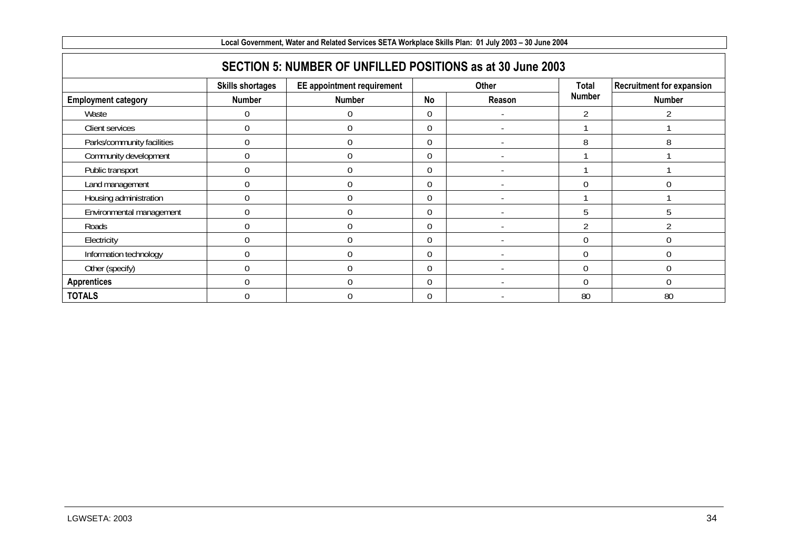| Local Government, Water and Related Services SETA Workplace Skills Plan: 01 July 2003 - 30 June 2004 |                         |                            |              |        |                |                                  |
|------------------------------------------------------------------------------------------------------|-------------------------|----------------------------|--------------|--------|----------------|----------------------------------|
| SECTION 5: NUMBER OF UNFILLED POSITIONS as at 30 June 2003                                           |                         |                            |              |        |                |                                  |
|                                                                                                      | <b>Skills shortages</b> | EE appointment requirement | <b>Other</b> |        | Total          | <b>Recruitment for expansion</b> |
| <b>Employment category</b>                                                                           | <b>Number</b>           | <b>Number</b>              | <b>No</b>    | Reason | <b>Number</b>  | Number                           |
| Waste                                                                                                |                         | 0                          | 0            |        |                |                                  |
| Client services                                                                                      |                         | 0                          | 0            |        |                |                                  |
| Parks/community facilities                                                                           | $\Omega$                | 0                          | 0            |        | 8              | 8                                |
| Community development                                                                                |                         | 0                          | $\Omega$     |        |                |                                  |
| Public transport                                                                                     |                         | 0                          | $\Omega$     |        |                |                                  |
| Land management                                                                                      |                         | 0                          | $\Omega$     |        |                | C                                |
| Housing administration                                                                               |                         | $\theta$                   | $\Omega$     |        |                |                                  |
| Environmental management                                                                             |                         | $\theta$                   | $\Omega$     |        |                | 5                                |
| Roads                                                                                                |                         | $\Omega$                   | $\Omega$     |        | $\mathfrak{D}$ |                                  |
| Electricity                                                                                          |                         | U                          | $\Omega$     |        |                |                                  |
| Information technology                                                                               |                         | $\Omega$                   | $\Omega$     |        | $\cap$         |                                  |
| Other (specify)                                                                                      |                         | $\theta$                   | $\Omega$     |        | $\Omega$       |                                  |
| <b>Apprentices</b>                                                                                   |                         | $\Omega$                   | $\Omega$     |        | ∩              | $\Omega$                         |
| <b>TOTALS</b>                                                                                        |                         | $\Omega$                   | $\Omega$     |        | 80             | 80                               |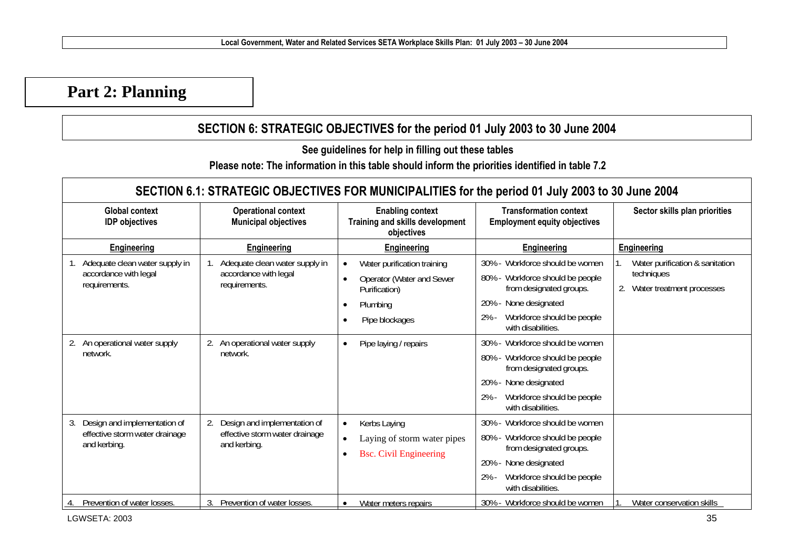# **Part 2: Planning**

### **SECTION 6: STRATEGIC OBJECTIVES for the period 01 July 2003 to 30 June 2004**

**See guidelines for help in filling out these tables** 

**Please note: The information in this table should inform the priorities identified in table 7.2** 

| SECTION 6.1: STRATEGIC OBJECTIVES FOR MUNICIPALITIES for the period 01 July 2003 to 30 June 2004 |                                                                                      |                                                                                                                      |                                                                                                                                                                                                    |                                                                            |  |  |
|--------------------------------------------------------------------------------------------------|--------------------------------------------------------------------------------------|----------------------------------------------------------------------------------------------------------------------|----------------------------------------------------------------------------------------------------------------------------------------------------------------------------------------------------|----------------------------------------------------------------------------|--|--|
| <b>Global context</b><br><b>IDP</b> objectives                                                   | <b>Operational context</b><br><b>Municipal objectives</b>                            | <b>Enabling context</b><br>Training and skills development<br>objectives                                             | <b>Transformation context</b><br><b>Employment equity objectives</b>                                                                                                                               | Sector skills plan priorities                                              |  |  |
| Engineering                                                                                      | Engineering                                                                          | Engineering                                                                                                          | <b>Engineering</b>                                                                                                                                                                                 | <b>Engineering</b>                                                         |  |  |
| Adequate clean water supply in<br>accordance with legal<br>requirements.                         | Adequate clean water supply in<br>accordance with legal<br>requirements.             | Water purification training<br>Operator (Water and Sewer<br>Purification)<br>Plumbing<br>$\bullet$<br>Pipe blockages | Workforce should be women<br>30%<br>Workforce should be people<br>$80\%$ -<br>from designated groups.<br>None designated<br>20%<br>Workforce should be people<br>$2% -$<br>with disabilities.      | Water purification & sanitation<br>techniques<br>Water treatment processes |  |  |
| An operational water supply<br>network.                                                          | 2. An operational water supply<br>network.                                           | Pipe laying / repairs<br>$\bullet$                                                                                   | Workforce should be women<br>$30\%$ -<br>Workforce should be people<br>$80\%$ -<br>from designated groups.<br>None designated<br>20%<br>Workforce should be people<br>$2% -$<br>with disabilities. |                                                                            |  |  |
| Design and implementation of<br>3.<br>effective storm water drainage<br>and kerbing.             | 2.<br>Design and implementation of<br>effective storm water drainage<br>and kerbing. | Kerbs Laying<br>$\bullet$<br>Laying of storm water pipes<br>$\bullet$<br><b>Bsc.</b> Civil Engineering<br>$\bullet$  | Workforce should be women<br>$30\%$ -<br>Workforce should be people<br>$80\%$ -<br>from designated groups.<br>20%<br>None designated<br>Workforce should be people<br>$2% -$<br>with disabilities. |                                                                            |  |  |
| Prevention of water losses.                                                                      | Prevention of water losses.                                                          | Water meters repairs<br>$\bullet$                                                                                    | 30% - Workforce should be women                                                                                                                                                                    | Water conservation skills                                                  |  |  |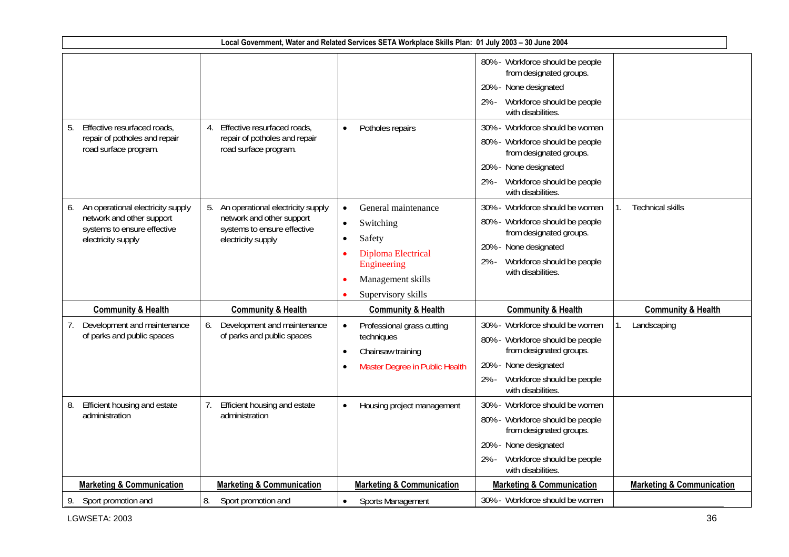| Local Government, Water and Related Services SETA Workplace Skills Plan: 01 July 2003 - 30 June 2004 |                                                                 |                                          |                                                             |                                      |  |  |
|------------------------------------------------------------------------------------------------------|-----------------------------------------------------------------|------------------------------------------|-------------------------------------------------------------|--------------------------------------|--|--|
|                                                                                                      |                                                                 |                                          | 80% - Workforce should be people<br>from designated groups. |                                      |  |  |
|                                                                                                      |                                                                 |                                          | 20% - None designated                                       |                                      |  |  |
|                                                                                                      |                                                                 |                                          | Workforce should be people<br>2% -<br>with disabilities.    |                                      |  |  |
| Effective resurfaced roads,<br>5.                                                                    | Effective resurfaced roads,<br>4.                               | Potholes repairs<br>$\bullet$            | 30% - Workforce should be women                             |                                      |  |  |
| repair of potholes and repair<br>road surface program.                                               | repair of potholes and repair<br>road surface program.          |                                          | 80% - Workforce should be people<br>from designated groups. |                                      |  |  |
|                                                                                                      |                                                                 |                                          | 20% - None designated                                       |                                      |  |  |
|                                                                                                      |                                                                 |                                          | Workforce should be people<br>2% -<br>with disabilities.    |                                      |  |  |
| An operational electricity supply                                                                    | 5. An operational electricity supply                            | General maintenance                      | 30% - Workforce should be women                             | <b>Technical skills</b>              |  |  |
| network and other support<br>systems to ensure effective                                             | network and other support<br>systems to ensure effective        | Switching<br>$\bullet$                   | 80% - Workforce should be people                            |                                      |  |  |
| electricity supply                                                                                   | electricity supply                                              | Safety<br>$\bullet$                      | from designated groups.                                     |                                      |  |  |
|                                                                                                      |                                                                 | <b>Diploma Electrical</b>                | 20% - None designated<br>2% - Workforce should be people    |                                      |  |  |
|                                                                                                      |                                                                 | Engineering                              | with disabilities.                                          |                                      |  |  |
|                                                                                                      |                                                                 | Management skills                        |                                                             |                                      |  |  |
|                                                                                                      |                                                                 | Supervisory skills                       |                                                             |                                      |  |  |
| <b>Community &amp; Health</b>                                                                        | <b>Community &amp; Health</b>                                   | <b>Community &amp; Health</b>            | <b>Community &amp; Health</b>                               | <b>Community &amp; Health</b>        |  |  |
| Development and maintenance<br>7.<br>of parks and public spaces                                      | Development and maintenance<br>6.<br>of parks and public spaces | Professional grass cutting<br>techniques | 30% - Workforce should be women                             | Landscaping                          |  |  |
|                                                                                                      |                                                                 | Chainsaw training<br>$\bullet$           | 80% - Workforce should be people<br>from designated groups. |                                      |  |  |
|                                                                                                      |                                                                 | Master Degree in Public Health           | 20% - None designated                                       |                                      |  |  |
|                                                                                                      |                                                                 |                                          | Workforce should be people<br>$2% -$<br>with disabilities.  |                                      |  |  |
| Efficient housing and estate<br>8.                                                                   | Efficient housing and estate<br>7.                              | Housing project management<br>$\bullet$  | 30% - Workforce should be women                             |                                      |  |  |
| administration                                                                                       | administration                                                  |                                          | 80% - Workforce should be people<br>from designated groups. |                                      |  |  |
|                                                                                                      |                                                                 |                                          | 20% - None designated                                       |                                      |  |  |
|                                                                                                      |                                                                 |                                          | Workforce should be people<br>$2% -$<br>with disabilities.  |                                      |  |  |
| <b>Marketing &amp; Communication</b>                                                                 | <b>Marketing &amp; Communication</b>                            | <b>Marketing &amp; Communication</b>     | <b>Marketing &amp; Communication</b>                        | <b>Marketing &amp; Communication</b> |  |  |
| 9. Sport promotion and                                                                               | 8.<br>Sport promotion and                                       | Sports Management                        | 30% - Workforce should be women                             |                                      |  |  |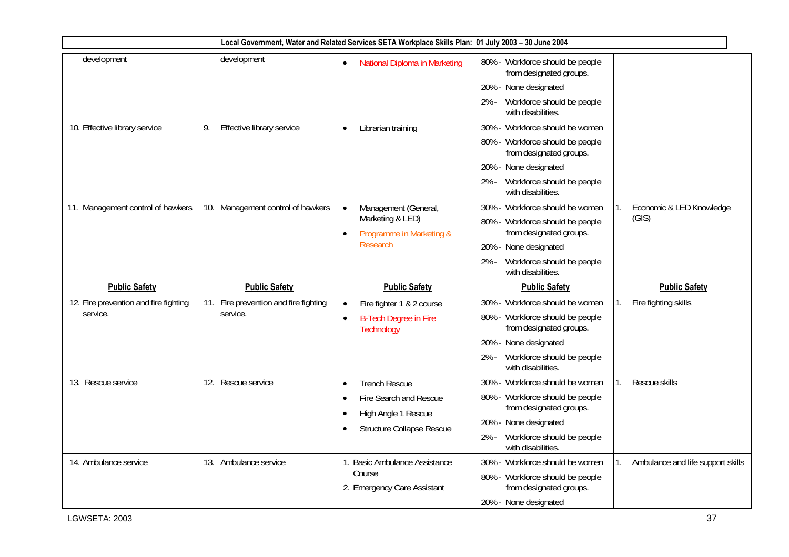|                                                   |                                                   | Local Government, Water and Related Services SETA Workplace Skills Plan: 01 July 2003 - 30 June 2004                                                          |                                                                                                                                                                                       |                                         |
|---------------------------------------------------|---------------------------------------------------|---------------------------------------------------------------------------------------------------------------------------------------------------------------|---------------------------------------------------------------------------------------------------------------------------------------------------------------------------------------|-----------------------------------------|
| development                                       | development                                       | National Diploma in Marketing<br>$\bullet$                                                                                                                    | 80% - Workforce should be people<br>from designated groups.<br>20% - None designated<br>Workforce should be people<br>$2% -$<br>with disabilities.                                    |                                         |
| 10. Effective library service                     | 9.<br>Effective library service                   | Librarian training<br>$\bullet$                                                                                                                               | 30% - Workforce should be women<br>80% - Workforce should be people<br>from designated groups.<br>20% - None designated<br>Workforce should be people<br>$2% -$<br>with disabilities. |                                         |
| 11. Management control of hawkers                 | 10. Management control of hawkers                 | Management (General,<br>Marketing & LED)<br>Programme in Marketing &<br>$\bullet$<br><b>Research</b>                                                          | 30% - Workforce should be women<br>80% - Workforce should be people<br>from designated groups.<br>20% - None designated<br>Workforce should be people<br>$2% -$<br>with disabilities. | Economic & LED Knowledge<br>(GIS)       |
| <b>Public Safety</b>                              | <b>Public Safety</b>                              | <b>Public Safety</b>                                                                                                                                          | <b>Public Safety</b>                                                                                                                                                                  | <b>Public Safety</b>                    |
| 12. Fire prevention and fire fighting<br>service. | 11. Fire prevention and fire fighting<br>service. | Fire fighter 1 & 2 course<br>$\bullet$<br><b>B-Tech Degree in Fire</b><br>$\bullet$<br>Technology                                                             | 30% - Workforce should be women<br>80% - Workforce should be people<br>from designated groups.<br>20% - None designated<br>Workforce should be people<br>2% -<br>with disabilities.   | Fire fighting skills                    |
| 13. Rescue service                                | 12. Rescue service                                | <b>Trench Rescue</b><br>$\bullet$<br>Fire Search and Rescue<br>$\bullet$<br>High Angle 1 Rescue<br>$\bullet$<br><b>Structure Collapse Rescue</b><br>$\bullet$ | 30% - Workforce should be women<br>80% - Workforce should be people<br>from designated groups.<br>20% - None designated<br>Workforce should be people<br>$2% -$<br>with disabilities. | Rescue skills                           |
| 14. Ambulance service                             | 13. Ambulance service                             | 1. Basic Ambulance Assistance<br>Course<br>2. Emergency Care Assistant                                                                                        | 30% - Workforce should be women<br>80% - Workforce should be people<br>from designated groups.<br>20% - None designated                                                               | Ambulance and life support skills<br>1. |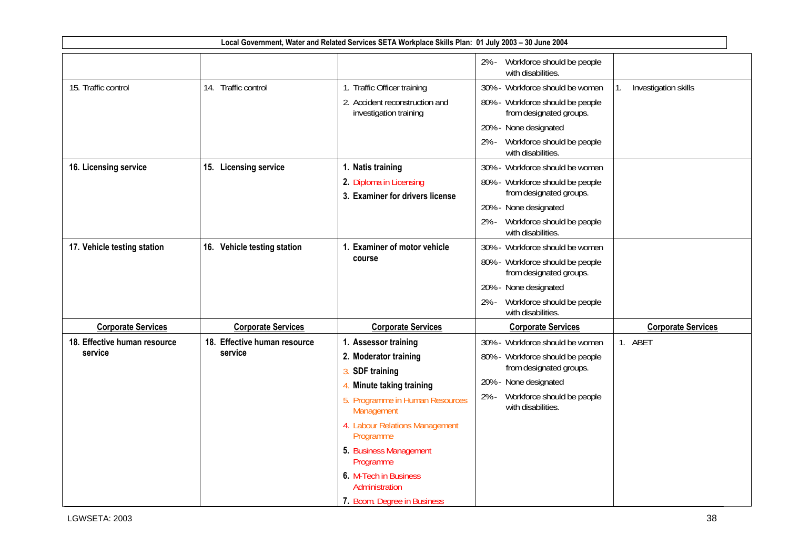|                                         |                                         | Local Government, Water and Related Services SETA Workplace Skills Plan: 01 July 2003 - 30 June 2004                                                                                                 |                                                                                                                                                                                       |                           |
|-----------------------------------------|-----------------------------------------|------------------------------------------------------------------------------------------------------------------------------------------------------------------------------------------------------|---------------------------------------------------------------------------------------------------------------------------------------------------------------------------------------|---------------------------|
|                                         |                                         |                                                                                                                                                                                                      | 2% - Workforce should be people<br>with disabilities.                                                                                                                                 |                           |
| 15. Traffic control                     | 14. Traffic control                     | 1. Traffic Officer training<br>2. Accident reconstruction and<br>investigation training                                                                                                              | 30% - Workforce should be women<br>80% - Workforce should be people<br>from designated groups.                                                                                        | Investigation skills      |
|                                         |                                         |                                                                                                                                                                                                      | 20% - None designated<br>Workforce should be people<br>2% -<br>with disabilities.                                                                                                     |                           |
| 16. Licensing service                   | 15. Licensing service                   | 1. Natis training<br>2. Diploma in Licensing<br>3. Examiner for drivers license                                                                                                                      | 30% - Workforce should be women<br>80% - Workforce should be people<br>from designated groups.<br>20% - None designated<br>Workforce should be people<br>$2% -$<br>with disabilities. |                           |
| 17. Vehicle testing station             | 16. Vehicle testing station             | 1. Examiner of motor vehicle<br>course                                                                                                                                                               | 30% - Workforce should be women<br>80% - Workforce should be people<br>from designated groups.<br>20% - None designated<br>Workforce should be people<br>2% -<br>with disabilities.   |                           |
| <b>Corporate Services</b>               | <b>Corporate Services</b>               | <b>Corporate Services</b>                                                                                                                                                                            | <b>Corporate Services</b>                                                                                                                                                             | <b>Corporate Services</b> |
| 18. Effective human resource<br>service | 18. Effective human resource<br>service | 1. Assessor training<br>2. Moderator training<br>3.<br><b>SDF</b> training<br>Minute taking training<br>5. Programme in Human Resources<br>Management<br>4. Labour Relations Management<br>Programme | 30% - Workforce should be women<br>80% - Workforce should be people<br>from designated groups.<br>20% - None designated<br>Workforce should be people<br>$2% -$<br>with disabilities. | 1. ABET                   |
|                                         |                                         | 5. Business Management<br>Programme<br>6. M-Tech in Business<br>Administration<br>7. Bcom. Degree in Business                                                                                        |                                                                                                                                                                                       |                           |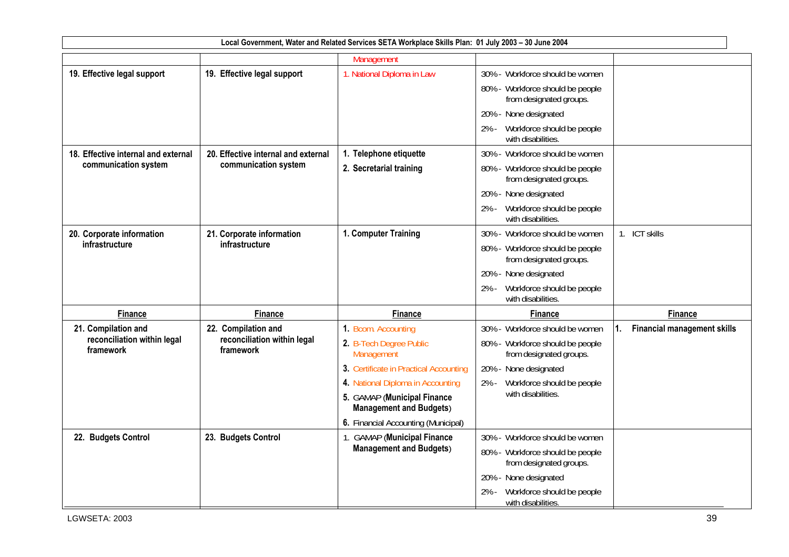|                                          |                                          | Local Government, Water and Related Services SETA Workplace Skills Plan: 01 July 2003 - 30 June 2004 |                                                                                                |                                          |
|------------------------------------------|------------------------------------------|------------------------------------------------------------------------------------------------------|------------------------------------------------------------------------------------------------|------------------------------------------|
|                                          |                                          | Management                                                                                           |                                                                                                |                                          |
| 19. Effective legal support              | 19. Effective legal support              | 1. National Diploma in Law                                                                           | 30% - Workforce should be women                                                                |                                          |
|                                          |                                          |                                                                                                      | 80% - Workforce should be people<br>from designated groups.                                    |                                          |
|                                          |                                          |                                                                                                      | 20% - None designated                                                                          |                                          |
|                                          |                                          |                                                                                                      | Workforce should be people<br>2% -<br>with disabilities.                                       |                                          |
| 18. Effective internal and external      | 20. Effective internal and external      | 1. Telephone etiquette                                                                               | 30% - Workforce should be women                                                                |                                          |
| communication system                     | communication system                     | 2. Secretarial training                                                                              | 80% - Workforce should be people<br>from designated groups.                                    |                                          |
|                                          |                                          |                                                                                                      | 20% - None designated                                                                          |                                          |
|                                          |                                          |                                                                                                      | Workforce should be people<br>$2% -$<br>with disabilities.                                     |                                          |
| 20. Corporate information                | 21. Corporate information                | 1. Computer Training                                                                                 | 30% - Workforce should be women                                                                | 1. ICT skills                            |
| infrastructure                           | infrastructure                           |                                                                                                      | 80% - Workforce should be people<br>from designated groups.                                    |                                          |
|                                          |                                          |                                                                                                      | 20% - None designated                                                                          |                                          |
|                                          |                                          |                                                                                                      | Workforce should be people<br>2% -<br>with disabilities.                                       |                                          |
| <b>Finance</b>                           | <b>Finance</b>                           | <b>Finance</b>                                                                                       | <b>Finance</b>                                                                                 | <b>Finance</b>                           |
| 21. Compilation and                      | 22. Compilation and                      | 1. Bcom. Accounting                                                                                  | 30% - Workforce should be women                                                                | <b>Financial management skills</b><br>1. |
| reconciliation within legal<br>framework | reconciliation within legal<br>framework | 2. B-Tech Degree Public<br>Management                                                                | 80% - Workforce should be people<br>from designated groups.                                    |                                          |
|                                          |                                          | 3. Certificate in Practical Accounting                                                               | 20% - None designated                                                                          |                                          |
|                                          |                                          | 4. National Diploma in Accounting                                                                    | Workforce should be people<br>2% -<br>with disabilities.                                       |                                          |
|                                          |                                          | 5. GAMAP (Municipal Finance<br><b>Management and Budgets)</b>                                        |                                                                                                |                                          |
|                                          |                                          | 6. Financial Accounting (Municipal)                                                                  |                                                                                                |                                          |
| 22. Budgets Control                      | 23. Budgets Control                      | 1. GAMAP (Municipal Finance<br><b>Management and Budgets)</b>                                        | 30% - Workforce should be women<br>80% - Workforce should be people<br>from designated groups. |                                          |
|                                          |                                          |                                                                                                      | None designated<br>20%                                                                         |                                          |
|                                          |                                          |                                                                                                      | Workforce should be people<br>2% -<br>with disabilities.                                       |                                          |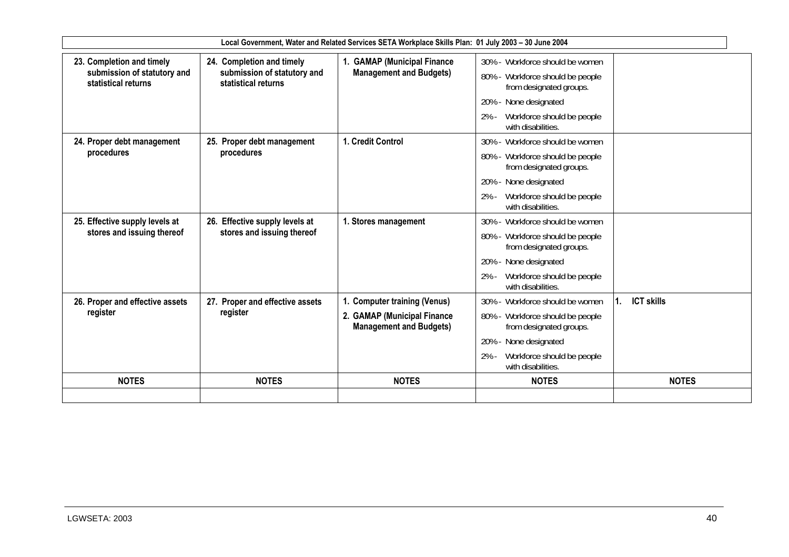|                                                                                 |                                                                                 | Local Government, Water and Related Services SETA Workplace Skills Plan: 01 July 2003 - 30 June 2004 |                                                                                                                                                                                                |                   |
|---------------------------------------------------------------------------------|---------------------------------------------------------------------------------|------------------------------------------------------------------------------------------------------|------------------------------------------------------------------------------------------------------------------------------------------------------------------------------------------------|-------------------|
| 23. Completion and timely<br>submission of statutory and<br>statistical returns | 24. Completion and timely<br>submission of statutory and<br>statistical returns | 1. GAMAP (Municipal Finance<br><b>Management and Budgets)</b>                                        | 30% - Workforce should be women<br>Workforce should be people<br>$80\%$ -<br>from designated groups.<br>20% - None designated<br>$2% -$<br>Workforce should be people<br>with disabilities.    |                   |
| 24. Proper debt management<br>procedures                                        | 25. Proper debt management<br>procedures                                        | 1. Credit Control                                                                                    | 30% - Workforce should be women<br>80% - Workforce should be people<br>from designated groups.<br>20% - None designated<br>$2% -$<br>Workforce should be people<br>with disabilities.          |                   |
| 25. Effective supply levels at<br>stores and issuing thereof                    | 26. Effective supply levels at<br>stores and issuing thereof                    | 1. Stores management                                                                                 | 30% - Workforce should be women<br>80% - Workforce should be people<br>from designated groups.<br>20% -<br>None designated<br>Workforce should be people<br>$2% -$<br>with disabilities.       |                   |
| 26. Proper and effective assets<br>register                                     | 27. Proper and effective assets<br>register                                     | 1. Computer training (Venus)<br>2. GAMAP (Municipal Finance<br><b>Management and Budgets)</b>        | $30\%$ -<br>Workforce should be women<br>80% - Workforce should be people<br>from designated groups.<br>20% -<br>None designated<br>$2% -$<br>Workforce should be people<br>with disabilities. | <b>ICT skills</b> |
| <b>NOTES</b>                                                                    | <b>NOTES</b>                                                                    | <b>NOTES</b>                                                                                         | <b>NOTES</b>                                                                                                                                                                                   | <b>NOTES</b>      |
|                                                                                 |                                                                                 |                                                                                                      |                                                                                                                                                                                                |                   |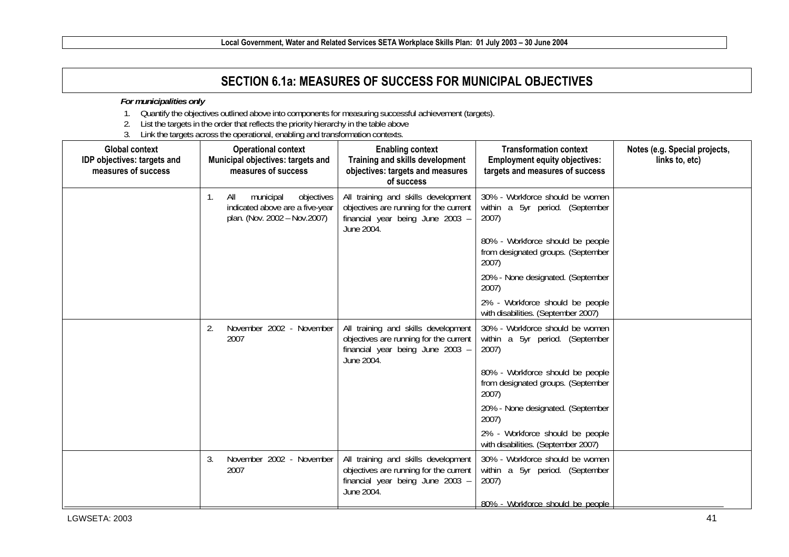# **SECTION 6.1a: MEASURES OF SUCCESS FOR MUNICIPAL OBJECTIVES**

#### *For municipalities only*

- 1. Quantify the objectives outlined above into components for measuring successful achievement (targets).
- 2. List the targets in the order that reflects the priority hierarchy in the table above
- 3. Link the targets across the operational, enabling and transformation contexts.

| <b>Global context</b><br>IDP objectives: targets and<br>measures of success |    | <b>Operational context</b><br>Municipal objectives: targets and<br>measures of success            | <b>Enabling context</b><br>Training and skills development<br>objectives: targets and measures<br>of success                    | <b>Transformation context</b><br><b>Employment equity objectives:</b><br>targets and measures of success | Notes (e.g. Special projects,<br>links to, etc) |
|-----------------------------------------------------------------------------|----|---------------------------------------------------------------------------------------------------|---------------------------------------------------------------------------------------------------------------------------------|----------------------------------------------------------------------------------------------------------|-------------------------------------------------|
|                                                                             | 1. | objectives<br>All<br>municipal<br>indicated above are a five-year<br>plan. (Nov. 2002 - Nov.2007) | All training and skills development<br>objectives are running for the current<br>financial year being June 2003 -<br>June 2004. | 30% - Workforce should be women<br>within a 5yr period. (September<br>2007)                              |                                                 |
|                                                                             |    |                                                                                                   |                                                                                                                                 | 80% - Workforce should be people<br>from designated groups. (September<br>2007)                          |                                                 |
|                                                                             |    |                                                                                                   |                                                                                                                                 | 20% - None designated. (September<br>2007)                                                               |                                                 |
|                                                                             |    |                                                                                                   |                                                                                                                                 | 2% - Workforce should be people<br>with disabilities. (September 2007)                                   |                                                 |
|                                                                             | 2. | November 2002 - November<br>2007                                                                  | All training and skills development<br>objectives are running for the current<br>financial year being June 2003 -<br>June 2004. | 30% - Workforce should be women<br>within a 5yr period. (September<br>2007)                              |                                                 |
|                                                                             |    |                                                                                                   |                                                                                                                                 | 80% - Workforce should be people<br>from designated groups. (September<br>2007)                          |                                                 |
|                                                                             |    |                                                                                                   |                                                                                                                                 | 20% - None designated. (September<br>2007)                                                               |                                                 |
|                                                                             |    |                                                                                                   |                                                                                                                                 | 2% - Workforce should be people<br>with disabilities. (September 2007)                                   |                                                 |
|                                                                             | 3. | November 2002 - November<br>2007                                                                  | All training and skills development<br>objectives are running for the current<br>financial year being June 2003 -<br>June 2004. | 30% - Workforce should be women<br>within a 5yr period. (September<br>2007)                              |                                                 |
|                                                                             |    |                                                                                                   |                                                                                                                                 | 80% - Workforce should be people                                                                         |                                                 |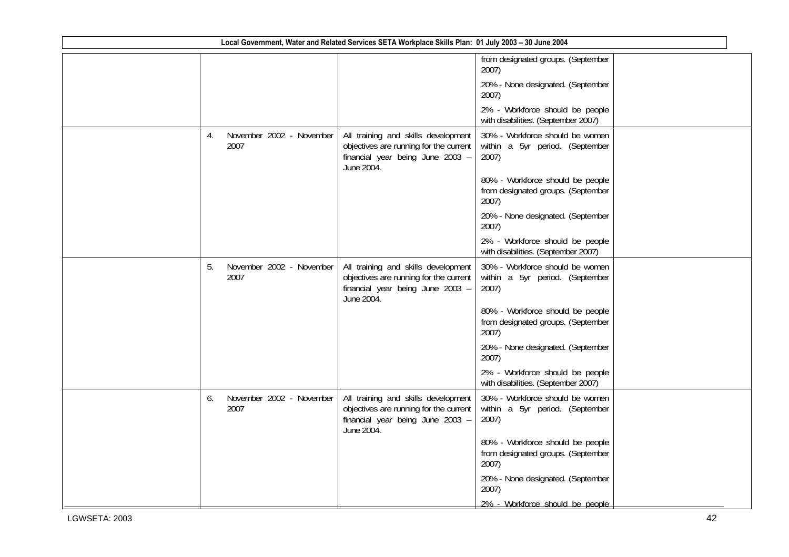| Local Government, Water and Related Services SETA Workplace Skills Plan: 01 July 2003 - 30 June 2004 |    |                                  |                                                                                                                                 |                                                                                 |  |  |
|------------------------------------------------------------------------------------------------------|----|----------------------------------|---------------------------------------------------------------------------------------------------------------------------------|---------------------------------------------------------------------------------|--|--|
|                                                                                                      |    |                                  |                                                                                                                                 | from designated groups. (September<br>2007)                                     |  |  |
|                                                                                                      |    |                                  |                                                                                                                                 | 20% - None designated. (September<br>2007)                                      |  |  |
|                                                                                                      |    |                                  |                                                                                                                                 | 2% - Workforce should be people<br>with disabilities. (September 2007)          |  |  |
|                                                                                                      | 4. | November 2002 - November<br>2007 | All training and skills development<br>objectives are running for the current<br>financial year being June 2003 -<br>June 2004. | 30% - Workforce should be women<br>within a 5yr period. (September<br>2007)     |  |  |
|                                                                                                      |    |                                  |                                                                                                                                 | 80% - Workforce should be people<br>from designated groups. (September<br>2007) |  |  |
|                                                                                                      |    |                                  |                                                                                                                                 | 20% - None designated. (September<br>2007)                                      |  |  |
|                                                                                                      |    |                                  |                                                                                                                                 | 2% - Workforce should be people<br>with disabilities. (September 2007)          |  |  |
|                                                                                                      | 5. | November 2002 - November<br>2007 | All training and skills development<br>objectives are running for the current<br>financial year being June 2003 -<br>June 2004. | 30% - Workforce should be women<br>within a 5yr period. (September<br>2007)     |  |  |
|                                                                                                      |    |                                  |                                                                                                                                 | 80% - Workforce should be people<br>from designated groups. (September<br>2007) |  |  |
|                                                                                                      |    |                                  |                                                                                                                                 | 20% - None designated. (September<br>2007)                                      |  |  |
|                                                                                                      |    |                                  |                                                                                                                                 | 2% - Workforce should be people<br>with disabilities. (September 2007)          |  |  |
|                                                                                                      | 6. | November 2002 - November<br>2007 | All training and skills development<br>objectives are running for the current<br>financial year being June 2003 -<br>June 2004. | 30% - Workforce should be women<br>within a 5yr period. (September<br>2007)     |  |  |
|                                                                                                      |    |                                  |                                                                                                                                 | 80% - Workforce should be people<br>from designated groups. (September<br>2007) |  |  |
|                                                                                                      |    |                                  |                                                                                                                                 | 20% - None designated. (September<br>2007)                                      |  |  |
|                                                                                                      |    |                                  |                                                                                                                                 | 2% - Workforce should be people                                                 |  |  |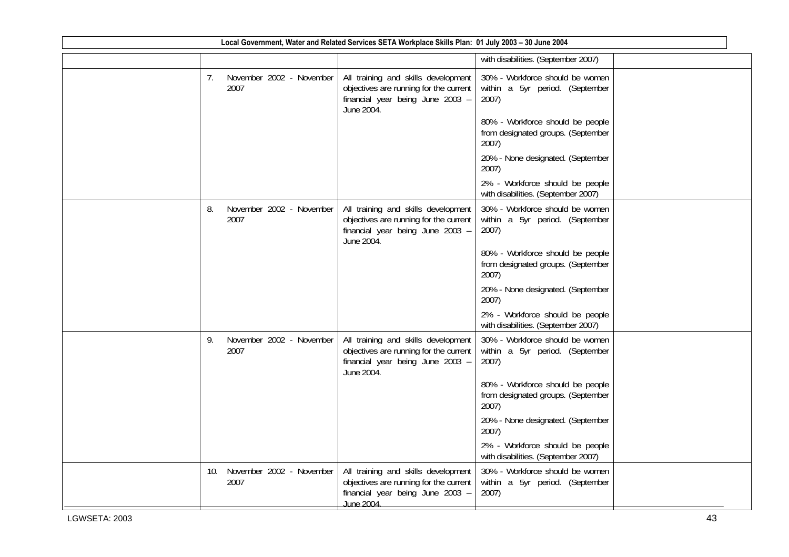| Local Government, Water and Related Services SETA Workplace Skills Plan: 01 July 2003 - 30 June 2004 |     |                                  |                                                                                                                                       |                                                                                 |  |  |  |
|------------------------------------------------------------------------------------------------------|-----|----------------------------------|---------------------------------------------------------------------------------------------------------------------------------------|---------------------------------------------------------------------------------|--|--|--|
|                                                                                                      |     |                                  |                                                                                                                                       | with disabilities. (September 2007)                                             |  |  |  |
|                                                                                                      | 7.  | November 2002 - November<br>2007 | All training and skills development<br>objectives are running for the current<br>financial year being June 2003 -<br>June 2004.       | 30% - Workforce should be women<br>within a 5yr period. (September<br>2007)     |  |  |  |
|                                                                                                      |     |                                  |                                                                                                                                       | 80% - Workforce should be people<br>from designated groups. (September<br>2007) |  |  |  |
|                                                                                                      |     |                                  |                                                                                                                                       | 20% - None designated. (September<br>2007)                                      |  |  |  |
|                                                                                                      |     |                                  |                                                                                                                                       | 2% - Workforce should be people<br>with disabilities. (September 2007)          |  |  |  |
|                                                                                                      | 8.  | November 2002 - November<br>2007 | All training and skills development<br>objectives are running for the current<br>financial year being June 2003 -<br>June 2004.       | 30% - Workforce should be women<br>within a 5yr period. (September<br>2007)     |  |  |  |
|                                                                                                      |     |                                  |                                                                                                                                       | 80% - Workforce should be people<br>from designated groups. (September<br>2007) |  |  |  |
|                                                                                                      |     |                                  |                                                                                                                                       | 20% - None designated. (September<br>2007)                                      |  |  |  |
|                                                                                                      |     |                                  |                                                                                                                                       | 2% - Workforce should be people<br>with disabilities. (September 2007)          |  |  |  |
|                                                                                                      | 9.  | November 2002 - November<br>2007 | All training and skills development<br>objectives are running for the current<br>financial year being June 2003 -<br>June 2004.       | 30% - Workforce should be women<br>within a 5yr period. (September<br>2007)     |  |  |  |
|                                                                                                      |     |                                  |                                                                                                                                       | 80% - Workforce should be people<br>from designated groups. (September<br>2007) |  |  |  |
|                                                                                                      |     |                                  |                                                                                                                                       | 20% - None designated. (September<br>2007)                                      |  |  |  |
|                                                                                                      |     |                                  |                                                                                                                                       | 2% - Workforce should be people<br>with disabilities. (September 2007)          |  |  |  |
|                                                                                                      | 10. | November 2002 - November<br>2007 | All training and skills development<br>objectives are running for the current<br>financial year being June 2003 -<br><b>June 2004</b> | 30% - Workforce should be women<br>within a 5yr period. (September<br>2007)     |  |  |  |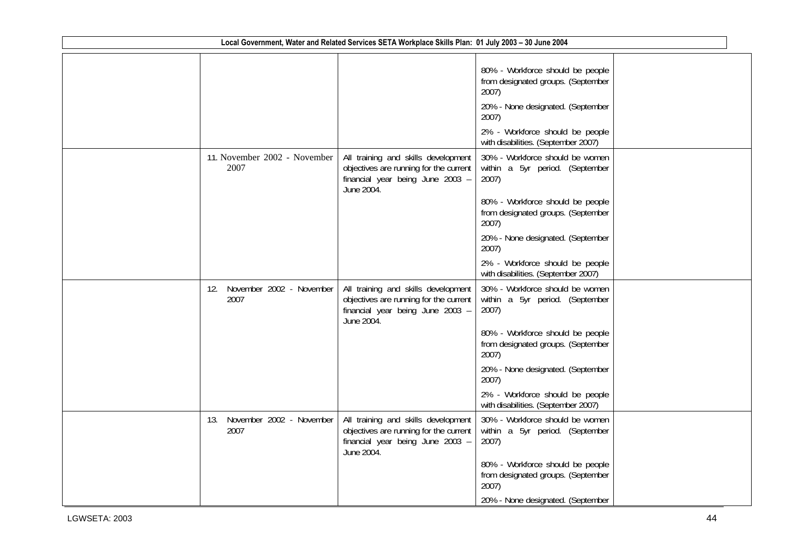| Local Government, Water and Related Services SETA Workplace Skills Plan: 01 July 2003 - 30 June 2004 |                                         |                                                                                                                                 |                                                                                                                                                                                                                                                                                        |  |  |  |
|------------------------------------------------------------------------------------------------------|-----------------------------------------|---------------------------------------------------------------------------------------------------------------------------------|----------------------------------------------------------------------------------------------------------------------------------------------------------------------------------------------------------------------------------------------------------------------------------------|--|--|--|
|                                                                                                      |                                         |                                                                                                                                 | 80% - Workforce should be people<br>from designated groups. (September<br>2007)<br>20% - None designated. (September<br>2007)<br>2% - Workforce should be people<br>with disabilities. (September 2007)                                                                                |  |  |  |
|                                                                                                      | 11. November 2002 - November<br>2007    | All training and skills development<br>objectives are running for the current<br>financial year being June 2003 -<br>June 2004. | 30% - Workforce should be women<br>within a 5yr period. (September<br>2007)<br>80% - Workforce should be people<br>from designated groups. (September<br>2007)<br>20% - None designated. (September<br>2007)<br>2% - Workforce should be people<br>with disabilities. (September 2007) |  |  |  |
|                                                                                                      | November 2002 - November<br>12.<br>2007 | All training and skills development<br>objectives are running for the current<br>financial year being June 2003 -<br>June 2004. | 30% - Workforce should be women<br>within a 5yr period. (September<br>2007)<br>80% - Workforce should be people<br>from designated groups. (September<br>2007)<br>20% - None designated. (September<br>2007)<br>2% - Workforce should be people<br>with disabilities. (September 2007) |  |  |  |
|                                                                                                      | November 2002 - November<br>13.<br>2007 | All training and skills development<br>objectives are running for the current<br>financial year being June 2003 -<br>June 2004. | 30% - Workforce should be women<br>within a 5yr period. (September<br>2007)<br>80% - Workforce should be people<br>from designated groups. (September<br>2007)<br>20% - None designated. (September                                                                                    |  |  |  |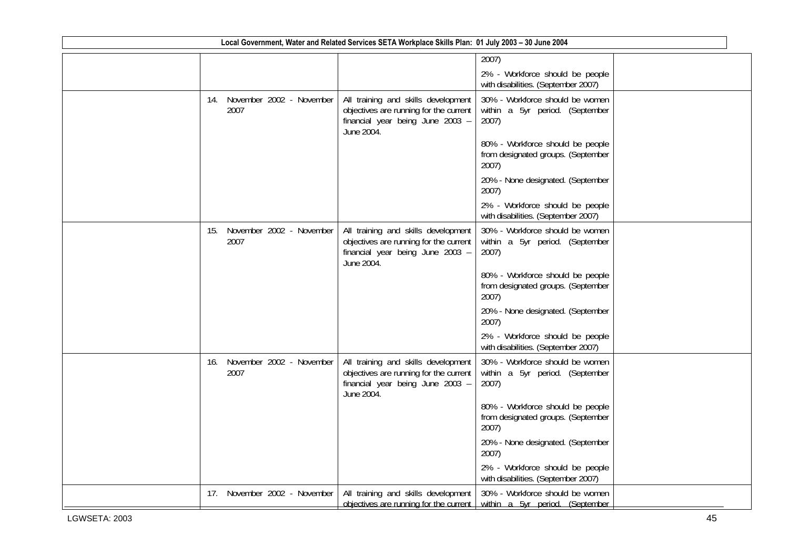| Local Government, Water and Related Services SETA Workplace Skills Plan: 01 July 2003 - 30 June 2004 |     |      |                              |                                                                                                                                 |                                                                                                             |  |
|------------------------------------------------------------------------------------------------------|-----|------|------------------------------|---------------------------------------------------------------------------------------------------------------------------------|-------------------------------------------------------------------------------------------------------------|--|
|                                                                                                      |     |      |                              |                                                                                                                                 | 2007)                                                                                                       |  |
|                                                                                                      |     |      |                              |                                                                                                                                 | 2% - Workforce should be people<br>with disabilities. (September 2007)                                      |  |
|                                                                                                      |     | 2007 | 14. November 2002 - November | All training and skills development<br>objectives are running for the current<br>financial year being June 2003 -<br>June 2004. | 30% - Workforce should be women<br>within a 5yr period. (September<br>2007)                                 |  |
|                                                                                                      |     |      |                              |                                                                                                                                 | 80% - Workforce should be people<br>from designated groups. (September<br>2007)                             |  |
|                                                                                                      |     |      |                              |                                                                                                                                 | 20% - None designated. (September<br>2007)                                                                  |  |
|                                                                                                      |     |      |                              |                                                                                                                                 | 2% - Workforce should be people<br>with disabilities. (September 2007)                                      |  |
|                                                                                                      | 15. | 2007 | November 2002 - November     | All training and skills development<br>objectives are running for the current<br>financial year being June 2003 -<br>June 2004. | 30% - Workforce should be women<br>within a 5yr period. (September<br>2007)                                 |  |
|                                                                                                      |     |      |                              |                                                                                                                                 | 80% - Workforce should be people<br>from designated groups. (September<br>2007)                             |  |
|                                                                                                      |     |      |                              |                                                                                                                                 | 20% - None designated. (September<br>2007)                                                                  |  |
|                                                                                                      |     |      |                              |                                                                                                                                 | 2% - Workforce should be people<br>with disabilities. (September 2007)                                      |  |
|                                                                                                      | 16. | 2007 | November 2002 - November     | All training and skills development<br>objectives are running for the current<br>financial year being June 2003 -<br>June 2004. | 30% - Workforce should be women<br>within a 5yr period. (September<br>2007)                                 |  |
|                                                                                                      |     |      |                              |                                                                                                                                 | 80% - Workforce should be people<br>from designated groups. (September<br>2007)                             |  |
|                                                                                                      |     |      |                              |                                                                                                                                 | 20% - None designated. (September<br>2007)                                                                  |  |
|                                                                                                      |     |      |                              |                                                                                                                                 | 2% - Workforce should be people<br>with disabilities. (September 2007)                                      |  |
|                                                                                                      | 17. |      | November 2002 - November     | All training and skills development                                                                                             | 30% - Workforce should be women<br>objectives are running for the current within $a$ 5yr period. (September |  |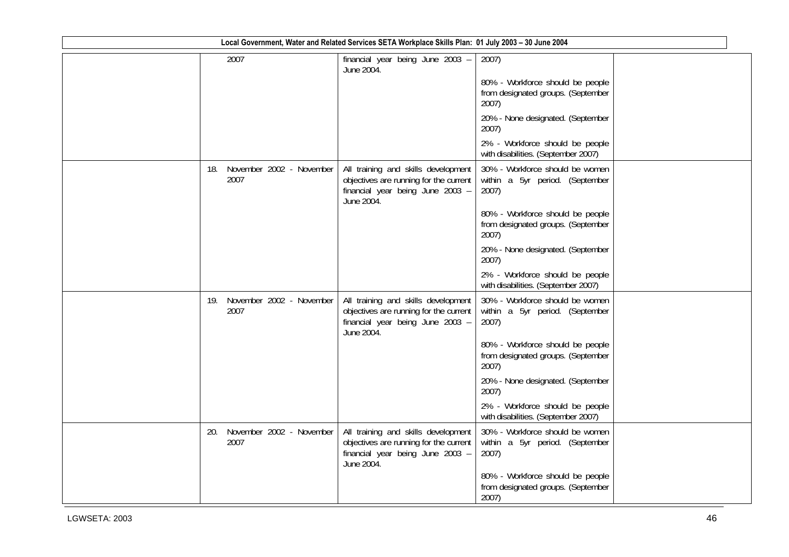| Local Government, Water and Related Services SETA Workplace Skills Plan: 01 July 2003 - 30 June 2004 |                                         |                                                                                                                                 |                                                                                 |  |  |  |  |
|------------------------------------------------------------------------------------------------------|-----------------------------------------|---------------------------------------------------------------------------------------------------------------------------------|---------------------------------------------------------------------------------|--|--|--|--|
|                                                                                                      | 2007                                    | financial year being June 2003 -<br>June 2004.                                                                                  | 2007)                                                                           |  |  |  |  |
|                                                                                                      |                                         |                                                                                                                                 | 80% - Workforce should be people<br>from designated groups. (September<br>2007) |  |  |  |  |
|                                                                                                      |                                         |                                                                                                                                 | 20% - None designated. (September<br>2007)                                      |  |  |  |  |
|                                                                                                      |                                         |                                                                                                                                 | 2% - Workforce should be people<br>with disabilities. (September 2007)          |  |  |  |  |
|                                                                                                      | November 2002 - November<br>18.<br>2007 | All training and skills development<br>objectives are running for the current<br>financial year being June 2003 -<br>June 2004. | 30% - Workforce should be women<br>within a 5yr period. (September<br>2007)     |  |  |  |  |
|                                                                                                      |                                         |                                                                                                                                 | 80% - Workforce should be people<br>from designated groups. (September<br>2007) |  |  |  |  |
|                                                                                                      |                                         |                                                                                                                                 | 20% - None designated. (September<br>2007)                                      |  |  |  |  |
|                                                                                                      |                                         |                                                                                                                                 | 2% - Workforce should be people<br>with disabilities. (September 2007)          |  |  |  |  |
|                                                                                                      | November 2002 - November<br>19.<br>2007 | All training and skills development<br>objectives are running for the current<br>financial year being June 2003 -<br>June 2004. | 30% - Workforce should be women<br>within a 5yr period. (September<br>2007)     |  |  |  |  |
|                                                                                                      |                                         |                                                                                                                                 | 80% - Workforce should be people<br>from designated groups. (September<br>2007) |  |  |  |  |
|                                                                                                      |                                         |                                                                                                                                 | 20% - None designated. (September<br>2007)                                      |  |  |  |  |
|                                                                                                      |                                         |                                                                                                                                 | 2% - Workforce should be people<br>with disabilities. (September 2007)          |  |  |  |  |
|                                                                                                      | November 2002 - November<br>20.<br>2007 | All training and skills development<br>objectives are running for the current<br>financial year being June 2003 -<br>June 2004. | 30% - Workforce should be women<br>within a 5yr period. (September<br>2007)     |  |  |  |  |
|                                                                                                      |                                         |                                                                                                                                 | 80% - Workforce should be people<br>from designated groups. (September<br>2007) |  |  |  |  |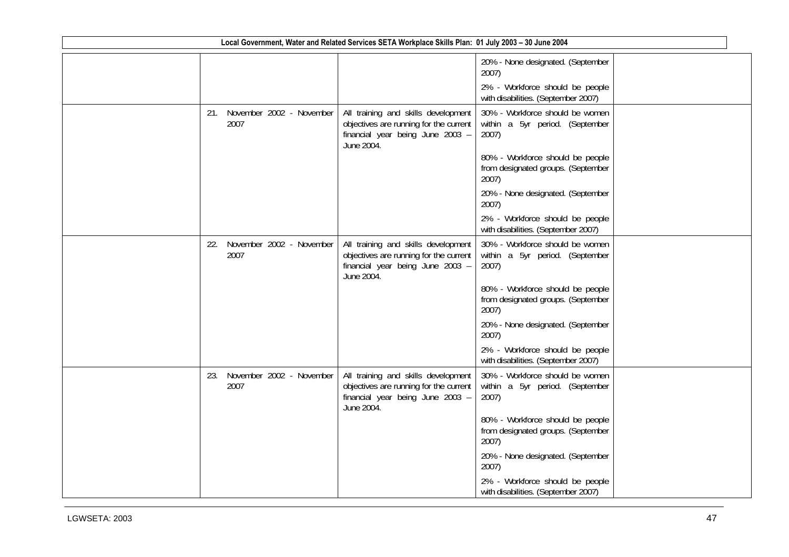|     |                                  | Local Government, Water and Related Services SETA Workplace Skills Plan: 01 July 2003 - 30 June 2004                            |                                                                                 |  |
|-----|----------------------------------|---------------------------------------------------------------------------------------------------------------------------------|---------------------------------------------------------------------------------|--|
|     |                                  |                                                                                                                                 | 20% - None designated. (September<br>2007)                                      |  |
|     |                                  |                                                                                                                                 | 2% - Workforce should be people<br>with disabilities. (September 2007)          |  |
| 21. | November 2002 - November<br>2007 | All training and skills development<br>objectives are running for the current<br>financial year being June 2003 -<br>June 2004. | 30% - Workforce should be women<br>within a 5yr period. (September<br>2007)     |  |
|     |                                  |                                                                                                                                 | 80% - Workforce should be people<br>from designated groups. (September<br>2007) |  |
|     |                                  |                                                                                                                                 | 20% - None designated. (September<br>2007)                                      |  |
|     |                                  |                                                                                                                                 | 2% - Workforce should be people<br>with disabilities. (September 2007)          |  |
| 22. | November 2002 - November<br>2007 | All training and skills development<br>objectives are running for the current<br>financial year being June 2003 -<br>June 2004. | 30% - Workforce should be women<br>within a 5yr period. (September<br>2007)     |  |
|     |                                  |                                                                                                                                 | 80% - Workforce should be people<br>from designated groups. (September<br>2007) |  |
|     |                                  |                                                                                                                                 | 20% - None designated. (September<br>2007)                                      |  |
|     |                                  |                                                                                                                                 | 2% - Workforce should be people<br>with disabilities. (September 2007)          |  |
| 23. | November 2002 - November<br>2007 | All training and skills development<br>objectives are running for the current<br>financial year being June 2003 -<br>June 2004. | 30% - Workforce should be women<br>within a 5yr period. (September<br>2007)     |  |
|     |                                  |                                                                                                                                 | 80% - Workforce should be people<br>from designated groups. (September<br>2007) |  |
|     |                                  |                                                                                                                                 | 20% - None designated. (September<br>2007)                                      |  |
|     |                                  |                                                                                                                                 | 2% - Workforce should be people<br>with disabilities. (September 2007)          |  |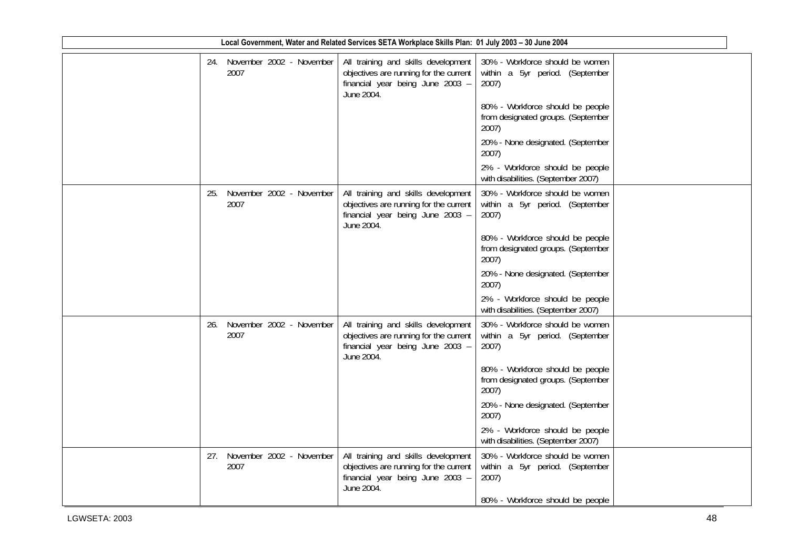| Local Government, Water and Related Services SETA Workplace Skills Plan: 01 July 2003 - 30 June 2004 |     |                                      |  |  |                                                                                                                                 |                                                                                                                 |  |
|------------------------------------------------------------------------------------------------------|-----|--------------------------------------|--|--|---------------------------------------------------------------------------------------------------------------------------------|-----------------------------------------------------------------------------------------------------------------|--|
|                                                                                                      |     | 24. November 2002 - November<br>2007 |  |  | All training and skills development<br>objectives are running for the current<br>financial year being June 2003 -<br>June 2004. | 30% - Workforce should be women<br>within a 5yr period. (September<br>2007)<br>80% - Workforce should be people |  |
|                                                                                                      |     |                                      |  |  |                                                                                                                                 | from designated groups. (September<br>2007)                                                                     |  |
|                                                                                                      |     |                                      |  |  |                                                                                                                                 | 20% - None designated. (September<br>2007)                                                                      |  |
|                                                                                                      |     |                                      |  |  |                                                                                                                                 | 2% - Workforce should be people<br>with disabilities. (September 2007)                                          |  |
|                                                                                                      | 25. | November 2002 - November<br>2007     |  |  | All training and skills development<br>objectives are running for the current<br>financial year being June 2003 -<br>June 2004. | 30% - Workforce should be women<br>within a 5yr period. (September<br>2007)                                     |  |
|                                                                                                      |     |                                      |  |  |                                                                                                                                 | 80% - Workforce should be people<br>from designated groups. (September<br>2007)                                 |  |
|                                                                                                      |     |                                      |  |  |                                                                                                                                 | 20% - None designated. (September<br>2007)                                                                      |  |
|                                                                                                      |     |                                      |  |  |                                                                                                                                 | 2% - Workforce should be people<br>with disabilities. (September 2007)                                          |  |
|                                                                                                      | 26. | November 2002 - November<br>2007     |  |  | All training and skills development<br>objectives are running for the current<br>financial year being June 2003 -<br>June 2004. | 30% - Workforce should be women<br>within a 5yr period. (September<br>2007)                                     |  |
|                                                                                                      |     |                                      |  |  |                                                                                                                                 | 80% - Workforce should be people<br>from designated groups. (September<br>2007)                                 |  |
|                                                                                                      |     |                                      |  |  |                                                                                                                                 | 20% - None designated. (September<br>2007)                                                                      |  |
|                                                                                                      |     |                                      |  |  |                                                                                                                                 | 2% - Workforce should be people<br>with disabilities. (September 2007)                                          |  |
|                                                                                                      |     | 27. November 2002 - November<br>2007 |  |  | All training and skills development<br>objectives are running for the current<br>financial year being June 2003 -<br>June 2004. | 30% - Workforce should be women<br>within a 5yr period. (September<br>2007)                                     |  |
|                                                                                                      |     |                                      |  |  |                                                                                                                                 | 80% - Workforce should be people                                                                                |  |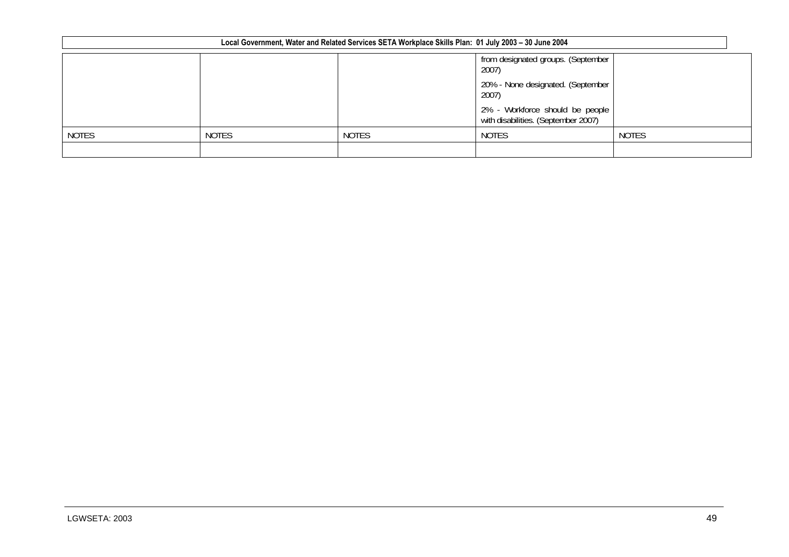|              |              | Local Government, Water and Related Services SETA Workplace Skills Plan: 01 July 2003 - 30 June 2004 |                                                                        |              |
|--------------|--------------|------------------------------------------------------------------------------------------------------|------------------------------------------------------------------------|--------------|
|              |              |                                                                                                      | from designated groups. (September<br>2007)                            |              |
|              |              |                                                                                                      | 20% - None designated. (September<br>2007)                             |              |
|              |              |                                                                                                      | 2% - Workforce should be people<br>with disabilities. (September 2007) |              |
| <b>NOTES</b> | <b>NOTES</b> | <b>NOTES</b>                                                                                         | <b>NOTES</b>                                                           | <b>NOTES</b> |
|              |              |                                                                                                      |                                                                        |              |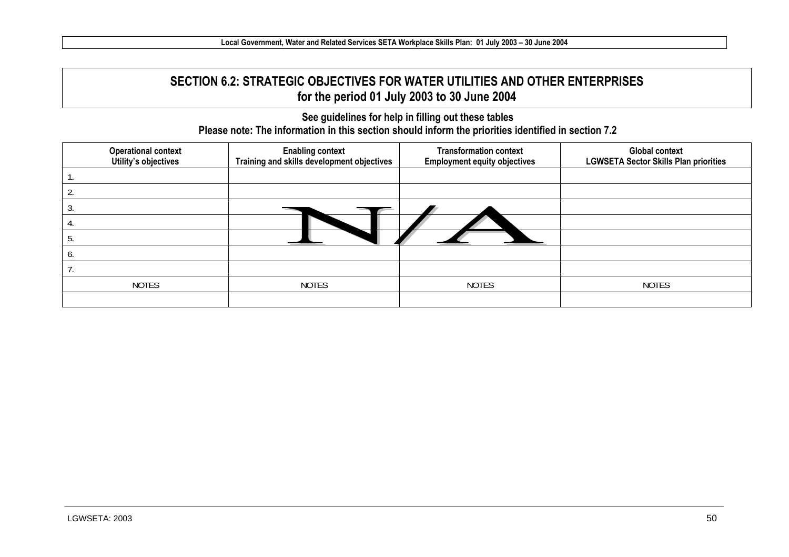# **SECTION 6.2: STRATEGIC OBJECTIVES FOR WATER UTILITIES AND OTHER ENTERPRISES for the period 01 July 2003 to 30 June 2004**

**See guidelines for help in filling out these tables Please note: The information in this section should inform the priorities identified in section 7.2** 

| <b>Operational context</b><br>Utility's objectives | <b>Enabling context</b><br>Training and skills development objectives | <b>Transformation context</b><br><b>Employment equity objectives</b> | <b>Global context</b><br><b>LGWSETA Sector Skills Plan priorities</b> |
|----------------------------------------------------|-----------------------------------------------------------------------|----------------------------------------------------------------------|-----------------------------------------------------------------------|
|                                                    |                                                                       |                                                                      |                                                                       |
|                                                    |                                                                       |                                                                      |                                                                       |
|                                                    |                                                                       |                                                                      |                                                                       |
|                                                    |                                                                       |                                                                      |                                                                       |
|                                                    |                                                                       |                                                                      |                                                                       |
|                                                    |                                                                       |                                                                      |                                                                       |
|                                                    |                                                                       |                                                                      |                                                                       |
| <b>NOTES</b>                                       | <b>NOTES</b>                                                          | <b>NOTES</b>                                                         | <b>NOTES</b>                                                          |
|                                                    |                                                                       |                                                                      |                                                                       |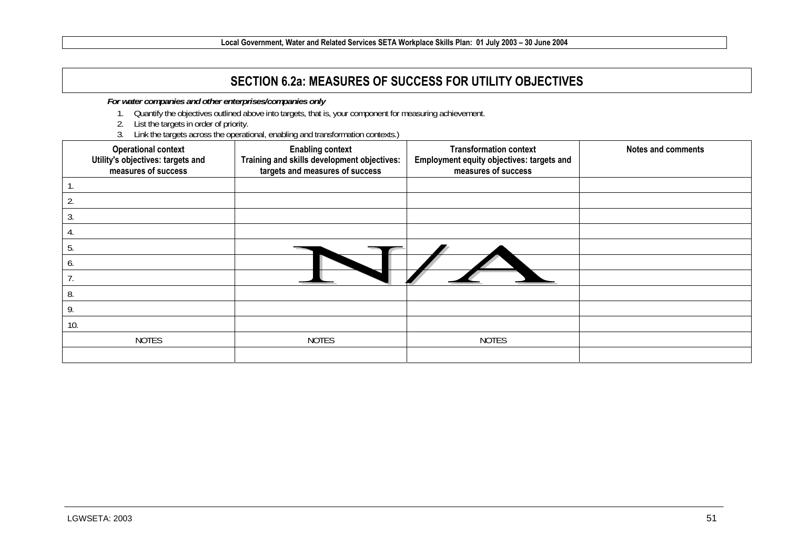# **SECTION 6.2a: MEASURES OF SUCCESS FOR UTILITY OBJECTIVES**

*For water companies and other enterprises/companies only* 

- 1. Quantify the objectives outlined above into targets, that is, your component for measuring achievement.
- 2. List the targets in order of priority.
- 3. Link the targets across the operational, enabling and transformation contexts.)

| <b>Operational context</b><br>Utility's objectives: targets and<br>measures of success | <b>Enabling context</b><br>Training and skills development objectives:<br>targets and measures of success | <b>Transformation context</b><br>Employment equity objectives: targets and<br>measures of success | <b>Notes and comments</b> |
|----------------------------------------------------------------------------------------|-----------------------------------------------------------------------------------------------------------|---------------------------------------------------------------------------------------------------|---------------------------|
|                                                                                        |                                                                                                           |                                                                                                   |                           |
| 2.                                                                                     |                                                                                                           |                                                                                                   |                           |
| 3.                                                                                     |                                                                                                           |                                                                                                   |                           |
| 4.                                                                                     |                                                                                                           |                                                                                                   |                           |
| 5.                                                                                     |                                                                                                           |                                                                                                   |                           |
| o.                                                                                     |                                                                                                           |                                                                                                   |                           |
|                                                                                        |                                                                                                           |                                                                                                   |                           |
| 8.                                                                                     |                                                                                                           |                                                                                                   |                           |
| 9.                                                                                     |                                                                                                           |                                                                                                   |                           |
| 10.                                                                                    |                                                                                                           |                                                                                                   |                           |
| <b>NOTES</b>                                                                           | <b>NOTES</b>                                                                                              | <b>NOTES</b>                                                                                      |                           |
|                                                                                        |                                                                                                           |                                                                                                   |                           |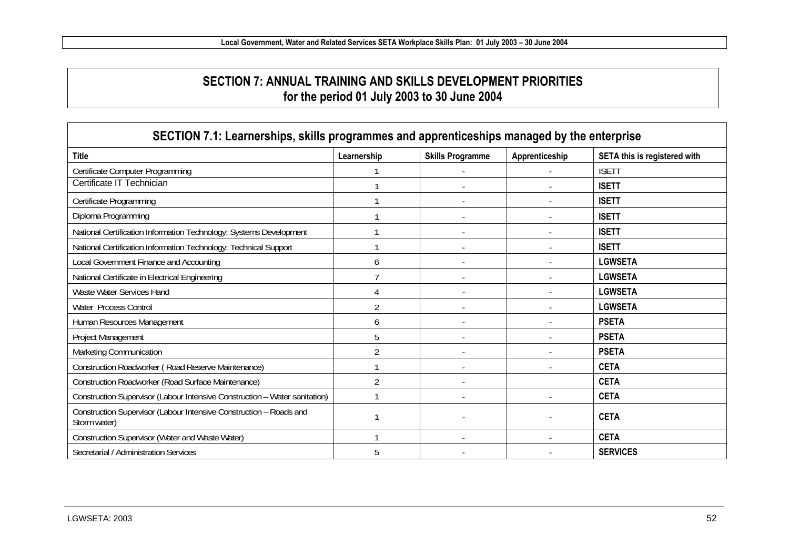### **SECTION 7: ANNUAL TRAINING AND SKILLS DEVELOPMENT PRIORITIES for the period 01 July 2003 to 30 June 2004**

| SECTION 7.1: Learnerships, skills programmes and apprenticeships managed by the enterprise |                |                         |                |                              |
|--------------------------------------------------------------------------------------------|----------------|-------------------------|----------------|------------------------------|
| <b>Title</b>                                                                               | Learnership    | <b>Skills Programme</b> | Apprenticeship | SETA this is registered with |
| Certificate Computer Programming                                                           |                |                         |                | <b>ISETT</b>                 |
| Certificate IT Technician                                                                  |                |                         |                | <b>ISETT</b>                 |
| Certificate Programming                                                                    |                |                         |                | <b>ISETT</b>                 |
| Diploma Programming                                                                        |                |                         |                | <b>ISETT</b>                 |
| National Certification Information Technology: Systems Development                         |                |                         |                | <b>ISETT</b>                 |
| National Certification Information Technology: Technical Support                           |                |                         |                | <b>ISETT</b>                 |
| Local Government Finance and Accounting                                                    | h              |                         |                | <b>LGWSETA</b>               |
| National Certificate in Electrical Engineering                                             |                |                         |                | <b>LGWSETA</b>               |
| Waste Water Services Hand                                                                  |                |                         |                | <b>LGWSETA</b>               |
| Water Process Control                                                                      |                |                         |                | <b>LGWSETA</b>               |
| Human Resources Management                                                                 | b              |                         |                | <b>PSETA</b>                 |
| Project Management                                                                         | 5              |                         |                | <b>PSETA</b>                 |
| Marketing Communication                                                                    | $\mathfrak{D}$ |                         |                | <b>PSETA</b>                 |
| Construction Roadworker (Road Reserve Maintenance)                                         |                |                         |                | <b>CETA</b>                  |
| Construction Roadworker (Road Surface Maintenance)                                         |                |                         |                | <b>CETA</b>                  |
| Construction Supervisor (Labour Intensive Construction - Water sanitation)                 |                |                         |                | <b>CETA</b>                  |
| Construction Supervisor (Labour Intensive Construction - Roads and<br>Storm water)         |                |                         |                | <b>CETA</b>                  |
| Construction Supervisor (Water and Waste Water)                                            |                |                         |                | <b>CETA</b>                  |
| Secretarial / Administration Services                                                      | 5              |                         |                | <b>SERVICES</b>              |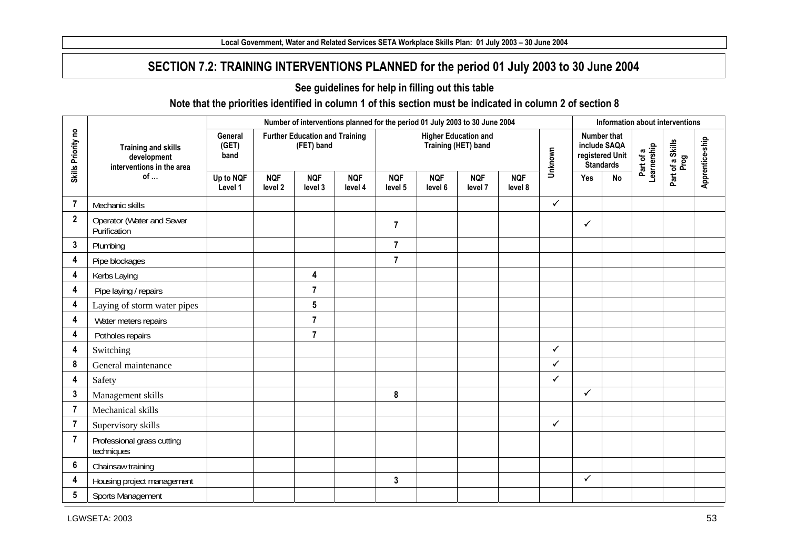### **SECTION 7.2: TRAINING INTERVENTIONS PLANNED for the period 01 July 2003 to 30 June 2004**

#### **See guidelines for help in filling out this table**

#### **Note that the priorities identified in column 1 of this section must be indicated in column 2 of section 8**

|                                                                                                                                             |                                                                        |                          |                       |                                                     | Number of interventions planned for the period 01 July 2003 to 30 June 2004 |                       |                       |                                                    |                       |              |              | Information about interventions                                    |                          |                          |                 |
|---------------------------------------------------------------------------------------------------------------------------------------------|------------------------------------------------------------------------|--------------------------|-----------------------|-----------------------------------------------------|-----------------------------------------------------------------------------|-----------------------|-----------------------|----------------------------------------------------|-----------------------|--------------|--------------|--------------------------------------------------------------------|--------------------------|--------------------------|-----------------|
| Skills Priority no<br>7<br>$\boldsymbol{2}$<br>3<br>4<br>4<br>4<br>4<br>4<br>4<br>4<br>8<br>4<br>3<br>$\overline{7}$<br>7<br>$\overline{7}$ | <b>Training and skills</b><br>development<br>interventions in the area | General<br>(GET)<br>band |                       | <b>Further Education and Training</b><br>(FET) band |                                                                             |                       |                       | <b>Higher Education and</b><br>Training (HET) band |                       | Unknown      |              | Number that<br>include SAQA<br>registered Unit<br><b>Standards</b> | Part of a<br>Learnership | Part of a Skills<br>Prog | Apprentice-ship |
|                                                                                                                                             | of                                                                     | Up to NQF<br>Level 1     | <b>NQF</b><br>level 2 | <b>NQF</b><br>level 3                               | <b>NQF</b><br>level 4                                                       | <b>NQF</b><br>level 5 | <b>NQF</b><br>level 6 | <b>NQF</b><br>level 7                              | <b>NQF</b><br>level 8 |              | Yes          | No                                                                 |                          |                          |                 |
|                                                                                                                                             | Mechanic skills                                                        |                          |                       |                                                     |                                                                             |                       |                       |                                                    |                       | $\checkmark$ |              |                                                                    |                          |                          |                 |
|                                                                                                                                             | Operator (Water and Sewer<br>Purification                              |                          |                       |                                                     |                                                                             | $\overline{7}$        |                       |                                                    |                       |              | ✓            |                                                                    |                          |                          |                 |
|                                                                                                                                             | Plumbing                                                               |                          |                       |                                                     |                                                                             | $\overline{7}$        |                       |                                                    |                       |              |              |                                                                    |                          |                          |                 |
|                                                                                                                                             | Pipe blockages                                                         |                          |                       |                                                     |                                                                             | $\overline{7}$        |                       |                                                    |                       |              |              |                                                                    |                          |                          |                 |
|                                                                                                                                             | Kerbs Laying                                                           |                          |                       | $\overline{\mathbf{4}}$                             |                                                                             |                       |                       |                                                    |                       |              |              |                                                                    |                          |                          |                 |
|                                                                                                                                             | Pipe laying / repairs                                                  |                          |                       | $\overline{7}$                                      |                                                                             |                       |                       |                                                    |                       |              |              |                                                                    |                          |                          |                 |
|                                                                                                                                             | Laying of storm water pipes                                            |                          |                       | $5\phantom{.0}$                                     |                                                                             |                       |                       |                                                    |                       |              |              |                                                                    |                          |                          |                 |
|                                                                                                                                             | Water meters repairs                                                   |                          |                       | $\overline{7}$                                      |                                                                             |                       |                       |                                                    |                       |              |              |                                                                    |                          |                          |                 |
|                                                                                                                                             | Potholes repairs                                                       |                          |                       | $\overline{7}$                                      |                                                                             |                       |                       |                                                    |                       |              |              |                                                                    |                          |                          |                 |
|                                                                                                                                             | Switching                                                              |                          |                       |                                                     |                                                                             |                       |                       |                                                    |                       | $\checkmark$ |              |                                                                    |                          |                          |                 |
|                                                                                                                                             | General maintenance                                                    |                          |                       |                                                     |                                                                             |                       |                       |                                                    |                       | $\checkmark$ |              |                                                                    |                          |                          |                 |
|                                                                                                                                             | Safety                                                                 |                          |                       |                                                     |                                                                             |                       |                       |                                                    |                       | $\checkmark$ |              |                                                                    |                          |                          |                 |
|                                                                                                                                             | Management skills                                                      |                          |                       |                                                     |                                                                             | 8                     |                       |                                                    |                       |              | $\checkmark$ |                                                                    |                          |                          |                 |
|                                                                                                                                             | Mechanical skills                                                      |                          |                       |                                                     |                                                                             |                       |                       |                                                    |                       |              |              |                                                                    |                          |                          |                 |
|                                                                                                                                             | Supervisory skills                                                     |                          |                       |                                                     |                                                                             |                       |                       |                                                    |                       | $\checkmark$ |              |                                                                    |                          |                          |                 |
|                                                                                                                                             | Professional grass cutting<br>techniques                               |                          |                       |                                                     |                                                                             |                       |                       |                                                    |                       |              |              |                                                                    |                          |                          |                 |
| 6                                                                                                                                           | Chainsaw training                                                      |                          |                       |                                                     |                                                                             |                       |                       |                                                    |                       |              |              |                                                                    |                          |                          |                 |
| 4                                                                                                                                           | Housing project management                                             |                          |                       |                                                     |                                                                             | 3                     |                       |                                                    |                       |              | $\checkmark$ |                                                                    |                          |                          |                 |
| 5                                                                                                                                           | Sports Management                                                      |                          |                       |                                                     |                                                                             |                       |                       |                                                    |                       |              |              |                                                                    |                          |                          |                 |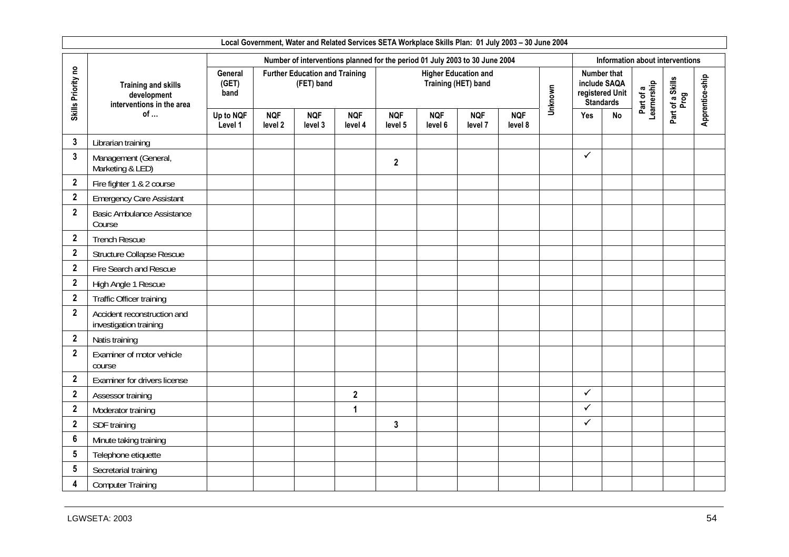|                    |                                                                        |                                 |                       |                                                     |                       |                       |                       | Local Government, Water and Related Services SETA Workplace Skills Plan: 01 July 2003 - 30 June 2004 |                       |         |              |                                                           |                          |                                 |                 |
|--------------------|------------------------------------------------------------------------|---------------------------------|-----------------------|-----------------------------------------------------|-----------------------|-----------------------|-----------------------|------------------------------------------------------------------------------------------------------|-----------------------|---------|--------------|-----------------------------------------------------------|--------------------------|---------------------------------|-----------------|
|                    |                                                                        |                                 |                       |                                                     |                       |                       |                       | Number of interventions planned for the period 01 July 2003 to 30 June 2004                          |                       |         |              |                                                           |                          | Information about interventions |                 |
| Skills Priority no | <b>Training and skills</b><br>development<br>interventions in the area | <b>General</b><br>(GET)<br>band |                       | <b>Further Education and Training</b><br>(FET) band |                       |                       |                       | <b>Higher Education and</b><br>Training (HET) band                                                   |                       | Unknown | include SAQA | <b>Number that</b><br>registered Unit<br><b>Standards</b> | Part of a<br>Learnership | Part of a Skills<br>Prog        | Apprentice-ship |
|                    | of $\dots$                                                             | Up to NQF<br>Level 1            | <b>NQF</b><br>level 2 | <b>NQF</b><br>level 3                               | <b>NQF</b><br>level 4 | <b>NQF</b><br>level 5 | <b>NQF</b><br>level 6 | <b>NQF</b><br>level 7                                                                                | <b>NQF</b><br>level 8 |         | Yes          | <b>No</b>                                                 |                          |                                 |                 |
| 3                  | Librarian training                                                     |                                 |                       |                                                     |                       |                       |                       |                                                                                                      |                       |         |              |                                                           |                          |                                 |                 |
| $\mathbf{3}$       | Management (General,<br>Marketing & LED)                               |                                 |                       |                                                     |                       | $\mathbf{2}$          |                       |                                                                                                      |                       |         | $\checkmark$ |                                                           |                          |                                 |                 |
| $\boldsymbol{2}$   | Fire fighter 1 & 2 course                                              |                                 |                       |                                                     |                       |                       |                       |                                                                                                      |                       |         |              |                                                           |                          |                                 |                 |
| $\mathbf{2}$       | <b>Emergency Care Assistant</b>                                        |                                 |                       |                                                     |                       |                       |                       |                                                                                                      |                       |         |              |                                                           |                          |                                 |                 |
| $\mathbf{2}$       | <b>Basic Ambulance Assistance</b><br>Course                            |                                 |                       |                                                     |                       |                       |                       |                                                                                                      |                       |         |              |                                                           |                          |                                 |                 |
| $\boldsymbol{2}$   | <b>Trench Rescue</b>                                                   |                                 |                       |                                                     |                       |                       |                       |                                                                                                      |                       |         |              |                                                           |                          |                                 |                 |
| $\mathbf{2}$       | Structure Collapse Rescue                                              |                                 |                       |                                                     |                       |                       |                       |                                                                                                      |                       |         |              |                                                           |                          |                                 |                 |
| $\mathbf{2}$       | Fire Search and Rescue                                                 |                                 |                       |                                                     |                       |                       |                       |                                                                                                      |                       |         |              |                                                           |                          |                                 |                 |
| $\mathbf{2}$       | High Angle 1 Rescue                                                    |                                 |                       |                                                     |                       |                       |                       |                                                                                                      |                       |         |              |                                                           |                          |                                 |                 |
| $\mathbf{2}$       | Traffic Officer training                                               |                                 |                       |                                                     |                       |                       |                       |                                                                                                      |                       |         |              |                                                           |                          |                                 |                 |
| $\overline{2}$     | Accident reconstruction and<br>investigation training                  |                                 |                       |                                                     |                       |                       |                       |                                                                                                      |                       |         |              |                                                           |                          |                                 |                 |
| $\mathbf{2}$       | Natis training                                                         |                                 |                       |                                                     |                       |                       |                       |                                                                                                      |                       |         |              |                                                           |                          |                                 |                 |
| $\mathbf{2}$       | Examiner of motor vehicle<br>course                                    |                                 |                       |                                                     |                       |                       |                       |                                                                                                      |                       |         |              |                                                           |                          |                                 |                 |
| $\mathbf{2}$       | Examiner for drivers license                                           |                                 |                       |                                                     |                       |                       |                       |                                                                                                      |                       |         |              |                                                           |                          |                                 |                 |
| $\mathbf{2}$       | Assessor training                                                      |                                 |                       |                                                     | $\mathbf{2}$          |                       |                       |                                                                                                      |                       |         | $\checkmark$ |                                                           |                          |                                 |                 |
| $\mathbf{2}$       | Moderator training                                                     |                                 |                       |                                                     | 1                     |                       |                       |                                                                                                      |                       |         | $\checkmark$ |                                                           |                          |                                 |                 |
| $\mathbf{2}$       | SDF training                                                           |                                 |                       |                                                     |                       | 3                     |                       |                                                                                                      |                       |         | ✓            |                                                           |                          |                                 |                 |
| $6\phantom{1}6$    | Minute taking training                                                 |                                 |                       |                                                     |                       |                       |                       |                                                                                                      |                       |         |              |                                                           |                          |                                 |                 |
| $5\phantom{.0}$    | Telephone etiquette                                                    |                                 |                       |                                                     |                       |                       |                       |                                                                                                      |                       |         |              |                                                           |                          |                                 |                 |
| 5                  | Secretarial training                                                   |                                 |                       |                                                     |                       |                       |                       |                                                                                                      |                       |         |              |                                                           |                          |                                 |                 |
| 4                  | <b>Computer Training</b>                                               |                                 |                       |                                                     |                       |                       |                       |                                                                                                      |                       |         |              |                                                           |                          |                                 |                 |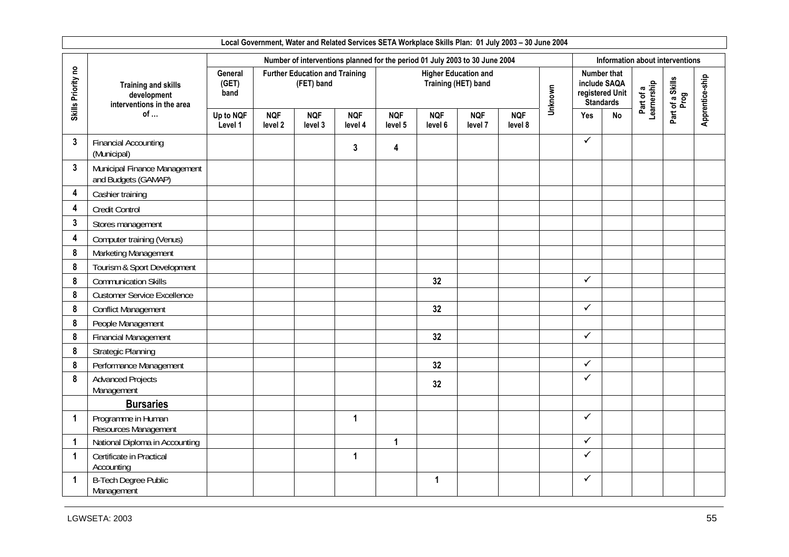|                    |                                                                        |                                 |                       |                                                     |                       |                       |                       | Local Government, Water and Related Services SETA Workplace Skills Plan: 01 July 2003 - 30 June 2004 |                       |         |              |                                                           |                          |                                 |                 |
|--------------------|------------------------------------------------------------------------|---------------------------------|-----------------------|-----------------------------------------------------|-----------------------|-----------------------|-----------------------|------------------------------------------------------------------------------------------------------|-----------------------|---------|--------------|-----------------------------------------------------------|--------------------------|---------------------------------|-----------------|
|                    |                                                                        |                                 |                       |                                                     |                       |                       |                       | Number of interventions planned for the period 01 July 2003 to 30 June 2004                          |                       |         |              |                                                           |                          | Information about interventions |                 |
| Skills Priority no | <b>Training and skills</b><br>development<br>interventions in the area | <b>General</b><br>(GET)<br>band |                       | <b>Further Education and Training</b><br>(FET) band |                       |                       |                       | <b>Higher Education and</b><br>Training (HET) band                                                   |                       | Unknown | include SAQA | <b>Number that</b><br>registered Unit<br><b>Standards</b> | Part of a<br>Learnership | Part of a Skills<br>Prog        | Apprentice-ship |
|                    | of                                                                     | Up to NQF<br>Level 1            | <b>NQF</b><br>level 2 | <b>NQF</b><br>level 3                               | <b>NQF</b><br>level 4 | <b>NQF</b><br>level 5 | <b>NQF</b><br>level 6 | <b>NQF</b><br>level 7                                                                                | <b>NQF</b><br>level 8 |         | Yes          | <b>No</b>                                                 |                          |                                 |                 |
| $\mathbf{3}$       | <b>Financial Accounting</b><br>(Municipal)                             |                                 |                       |                                                     | $\mathbf{3}$          | 4                     |                       |                                                                                                      |                       |         | $\checkmark$ |                                                           |                          |                                 |                 |
| $\mathbf{3}$       | Municipal Finance Management<br>and Budgets (GAMAP)                    |                                 |                       |                                                     |                       |                       |                       |                                                                                                      |                       |         |              |                                                           |                          |                                 |                 |
| 4                  | Cashier training                                                       |                                 |                       |                                                     |                       |                       |                       |                                                                                                      |                       |         |              |                                                           |                          |                                 |                 |
| 4                  | Credit Control                                                         |                                 |                       |                                                     |                       |                       |                       |                                                                                                      |                       |         |              |                                                           |                          |                                 |                 |
| $\mathbf{3}$       | Stores management                                                      |                                 |                       |                                                     |                       |                       |                       |                                                                                                      |                       |         |              |                                                           |                          |                                 |                 |
| 4                  | Computer training (Venus)                                              |                                 |                       |                                                     |                       |                       |                       |                                                                                                      |                       |         |              |                                                           |                          |                                 |                 |
| 8                  | Marketing Management                                                   |                                 |                       |                                                     |                       |                       |                       |                                                                                                      |                       |         |              |                                                           |                          |                                 |                 |
| 8                  | Tourism & Sport Development                                            |                                 |                       |                                                     |                       |                       |                       |                                                                                                      |                       |         |              |                                                           |                          |                                 |                 |
| 8                  | <b>Communication Skills</b>                                            |                                 |                       |                                                     |                       |                       | 32                    |                                                                                                      |                       |         | $\checkmark$ |                                                           |                          |                                 |                 |
| 8                  | <b>Customer Service Excellence</b>                                     |                                 |                       |                                                     |                       |                       |                       |                                                                                                      |                       |         |              |                                                           |                          |                                 |                 |
| 8                  | <b>Conflict Management</b>                                             |                                 |                       |                                                     |                       |                       | 32                    |                                                                                                      |                       |         | $\checkmark$ |                                                           |                          |                                 |                 |
| 8                  | People Management                                                      |                                 |                       |                                                     |                       |                       |                       |                                                                                                      |                       |         |              |                                                           |                          |                                 |                 |
| 8                  | <b>Financial Management</b>                                            |                                 |                       |                                                     |                       |                       | 32                    |                                                                                                      |                       |         | $\checkmark$ |                                                           |                          |                                 |                 |
| 8                  | <b>Strategic Planning</b>                                              |                                 |                       |                                                     |                       |                       |                       |                                                                                                      |                       |         |              |                                                           |                          |                                 |                 |
| 8                  | Performance Management                                                 |                                 |                       |                                                     |                       |                       | 32                    |                                                                                                      |                       |         | ✓            |                                                           |                          |                                 |                 |
| 8                  | <b>Advanced Projects</b><br>Management                                 |                                 |                       |                                                     |                       |                       | 32                    |                                                                                                      |                       |         | ✓            |                                                           |                          |                                 |                 |
|                    | <b>Bursaries</b>                                                       |                                 |                       |                                                     |                       |                       |                       |                                                                                                      |                       |         |              |                                                           |                          |                                 |                 |
| 1                  | Programme in Human<br>Resources Management                             |                                 |                       |                                                     | 1                     |                       |                       |                                                                                                      |                       |         | ✓            |                                                           |                          |                                 |                 |
| 1                  | National Diploma in Accounting                                         |                                 |                       |                                                     |                       | $\mathbf{1}$          |                       |                                                                                                      |                       |         | $\checkmark$ |                                                           |                          |                                 |                 |
| 1                  | Certificate in Practical<br>Accounting                                 |                                 |                       |                                                     | $\mathbf{1}$          |                       |                       |                                                                                                      |                       |         | $\checkmark$ |                                                           |                          |                                 |                 |
| 1                  | <b>B-Tech Degree Public</b><br>Management                              |                                 |                       |                                                     |                       |                       | 1                     |                                                                                                      |                       |         | ✓            |                                                           |                          |                                 |                 |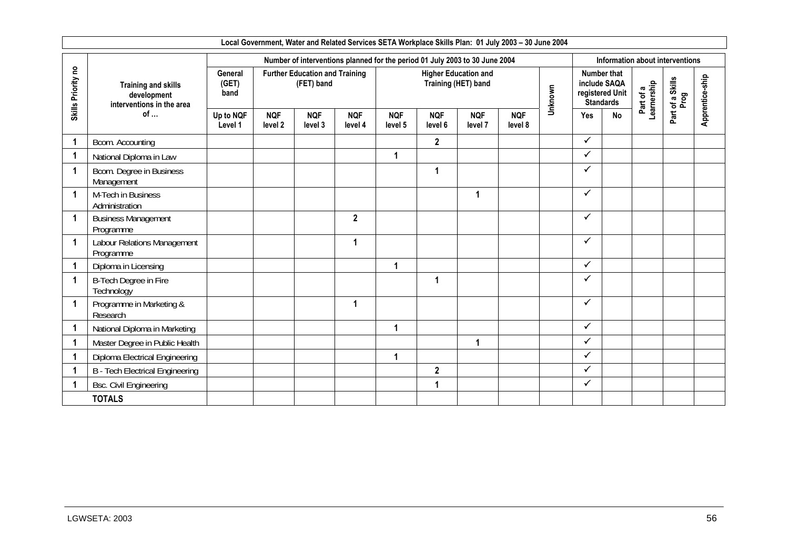|                    | Local Government, Water and Related Services SETA Workplace Skills Plan: 01 July 2003 - 30 June 2004<br>Number of interventions planned for the period 01 July 2003 to 30 June 2004<br>Information about interventions |                          |                       |                                                     |                       |                       |                       |                                                    |                       |         |              |                                                                           |                          |                       |                 |
|--------------------|------------------------------------------------------------------------------------------------------------------------------------------------------------------------------------------------------------------------|--------------------------|-----------------------|-----------------------------------------------------|-----------------------|-----------------------|-----------------------|----------------------------------------------------|-----------------------|---------|--------------|---------------------------------------------------------------------------|--------------------------|-----------------------|-----------------|
|                    |                                                                                                                                                                                                                        |                          |                       |                                                     |                       |                       |                       |                                                    |                       |         |              |                                                                           |                          |                       |                 |
| Skills Priority no | <b>Training and skills</b><br>development<br>interventions in the area                                                                                                                                                 | General<br>(GET)<br>band |                       | <b>Further Education and Training</b><br>(FET) band |                       |                       |                       | <b>Higher Education and</b><br>Training (HET) band |                       | Unknown |              | <b>Number that</b><br>include SAQA<br>registered Unit<br><b>Standards</b> | Part of a<br>Learnership | a Skills<br>Prog<br>đ | Apprentice-ship |
|                    | of                                                                                                                                                                                                                     | Up to NQF<br>Level 1     | <b>NQF</b><br>level 2 | <b>NQF</b><br>level 3                               | <b>NQF</b><br>level 4 | <b>NQF</b><br>level 5 | <b>NQF</b><br>level 6 | <b>NQF</b><br>level 7                              | <b>NQF</b><br>level 8 |         | Yes          | No                                                                        |                          | Part                  |                 |
|                    | Bcom. Accounting                                                                                                                                                                                                       |                          |                       |                                                     |                       |                       | $\mathbf{2}$          |                                                    |                       |         | $\checkmark$ |                                                                           |                          |                       |                 |
|                    | National Diploma in Law                                                                                                                                                                                                |                          |                       |                                                     |                       | 1                     |                       |                                                    |                       |         | $\checkmark$ |                                                                           |                          |                       |                 |
|                    | Bcom. Degree in Business<br>Management                                                                                                                                                                                 |                          |                       |                                                     |                       |                       | 1                     |                                                    |                       |         | $\checkmark$ |                                                                           |                          |                       |                 |
|                    | M-Tech in Business<br>Administration                                                                                                                                                                                   |                          |                       |                                                     |                       |                       |                       | $\overline{\mathbf{1}}$                            |                       |         | ✓            |                                                                           |                          |                       |                 |
|                    | <b>Business Management</b><br>Programme                                                                                                                                                                                |                          |                       |                                                     | $\overline{2}$        |                       |                       |                                                    |                       |         | $\checkmark$ |                                                                           |                          |                       |                 |
|                    | Labour Relations Management<br>Programme                                                                                                                                                                               |                          |                       |                                                     | 1                     |                       |                       |                                                    |                       |         | ✓            |                                                                           |                          |                       |                 |
|                    | Diploma in Licensing                                                                                                                                                                                                   |                          |                       |                                                     |                       | 1                     |                       |                                                    |                       |         | $\checkmark$ |                                                                           |                          |                       |                 |
|                    | B-Tech Degree in Fire<br>Technology                                                                                                                                                                                    |                          |                       |                                                     |                       |                       | 1                     |                                                    |                       |         | ✓            |                                                                           |                          |                       |                 |
|                    | Programme in Marketing &<br>Research                                                                                                                                                                                   |                          |                       |                                                     | 1                     |                       |                       |                                                    |                       |         | $\checkmark$ |                                                                           |                          |                       |                 |
|                    | National Diploma in Marketing                                                                                                                                                                                          |                          |                       |                                                     |                       | $\blacktriangleleft$  |                       |                                                    |                       |         | $\checkmark$ |                                                                           |                          |                       |                 |
|                    | Master Degree in Public Health                                                                                                                                                                                         |                          |                       |                                                     |                       |                       |                       | 1                                                  |                       |         | $\checkmark$ |                                                                           |                          |                       |                 |
|                    | Diploma Electrical Engineering                                                                                                                                                                                         |                          |                       |                                                     |                       | 1                     |                       |                                                    |                       |         | $\checkmark$ |                                                                           |                          |                       |                 |
|                    | <b>B</b> - Tech Electrical Engineering                                                                                                                                                                                 |                          |                       |                                                     |                       |                       | $\overline{2}$        |                                                    |                       |         | $\checkmark$ |                                                                           |                          |                       |                 |
|                    | <b>Bsc. Civil Engineering</b>                                                                                                                                                                                          |                          |                       |                                                     |                       |                       | 1                     |                                                    |                       |         | ✓            |                                                                           |                          |                       |                 |
|                    | <b>TOTALS</b>                                                                                                                                                                                                          |                          |                       |                                                     |                       |                       |                       |                                                    |                       |         |              |                                                                           |                          |                       |                 |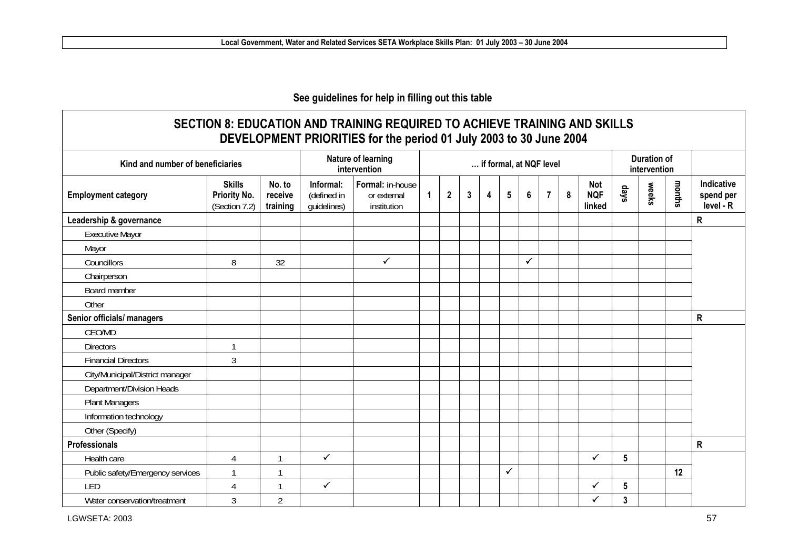### **See guidelines for help in filling out this table**

| Kind and number of beneficiaries |                                                       |                               |                                         | Nature of learning<br>intervention             |              |              |              |                         | if formal, at NQF level |                |                |                  |                             |      | <b>Duration of</b><br>intervention |        |                                      |
|----------------------------------|-------------------------------------------------------|-------------------------------|-----------------------------------------|------------------------------------------------|--------------|--------------|--------------|-------------------------|-------------------------|----------------|----------------|------------------|-----------------------------|------|------------------------------------|--------|--------------------------------------|
| <b>Employment category</b>       | <b>Skills</b><br><b>Priority No.</b><br>(Section 7.2) | No. to<br>receive<br>training | Informal:<br>(defined in<br>guidelines) | Formal: in-house<br>or external<br>institution | $\mathbf{1}$ | $\mathbf{2}$ | $\mathbf{3}$ | $\overline{\mathbf{4}}$ | $5\phantom{.0}$         | $6\phantom{a}$ | $\overline{7}$ | $\boldsymbol{8}$ | Not<br><b>NQF</b><br>linked | days | weeks                              | months | Indicative<br>spend per<br>level - R |
| Leadership & governance          |                                                       |                               |                                         |                                                |              |              |              |                         |                         |                |                |                  |                             |      |                                    |        | $\mathsf{R}$                         |
| <b>Executive Mayor</b>           |                                                       |                               |                                         |                                                |              |              |              |                         |                         |                |                |                  |                             |      |                                    |        |                                      |
| Mayor                            |                                                       |                               |                                         |                                                |              |              |              |                         |                         |                |                |                  |                             |      |                                    |        |                                      |
| Councillors                      | 8                                                     | 32                            |                                         | $\checkmark$                                   |              |              |              |                         |                         | $\checkmark$   |                |                  |                             |      |                                    |        |                                      |
| Chairperson                      |                                                       |                               |                                         |                                                |              |              |              |                         |                         |                |                |                  |                             |      |                                    |        |                                      |
| Board member                     |                                                       |                               |                                         |                                                |              |              |              |                         |                         |                |                |                  |                             |      |                                    |        |                                      |
| Other                            |                                                       |                               |                                         |                                                |              |              |              |                         |                         |                |                |                  |                             |      |                                    |        |                                      |
| Senior officials/ managers       |                                                       |                               |                                         |                                                |              |              |              |                         |                         |                |                |                  |                             |      |                                    |        | $\mathsf{R}$                         |
| CEO/MD                           |                                                       |                               |                                         |                                                |              |              |              |                         |                         |                |                |                  |                             |      |                                    |        |                                      |
| <b>Directors</b>                 |                                                       |                               |                                         |                                                |              |              |              |                         |                         |                |                |                  |                             |      |                                    |        |                                      |
| <b>Financial Directors</b>       | $\mathfrak{Z}$                                        |                               |                                         |                                                |              |              |              |                         |                         |                |                |                  |                             |      |                                    |        |                                      |
| City/Municipal/District manager  |                                                       |                               |                                         |                                                |              |              |              |                         |                         |                |                |                  |                             |      |                                    |        |                                      |
| Department/Division Heads        |                                                       |                               |                                         |                                                |              |              |              |                         |                         |                |                |                  |                             |      |                                    |        |                                      |
| <b>Plant Managers</b>            |                                                       |                               |                                         |                                                |              |              |              |                         |                         |                |                |                  |                             |      |                                    |        |                                      |
| Information technology           |                                                       |                               |                                         |                                                |              |              |              |                         |                         |                |                |                  |                             |      |                                    |        |                                      |
| Other (Specify)                  |                                                       |                               |                                         |                                                |              |              |              |                         |                         |                |                |                  |                             |      |                                    |        |                                      |
| Professionals                    |                                                       |                               |                                         |                                                |              |              |              |                         |                         |                |                |                  |                             |      |                                    |        | $\mathsf{R}$                         |
| Health care                      | $\overline{4}$                                        | $\mathbf{A}$                  | $\checkmark$                            |                                                |              |              |              |                         |                         |                |                |                  | ✓                           | 5    |                                    |        |                                      |
| Public safety/Emergency services |                                                       |                               |                                         |                                                |              |              |              |                         | ✓                       |                |                |                  |                             |      |                                    | 12     |                                      |
| LED                              | 4                                                     |                               | $\checkmark$                            |                                                |              |              |              |                         |                         |                |                |                  | ✓                           | 5    |                                    |        |                                      |
| Water conservation/treatment     | $\mathfrak{Z}$                                        | $\overline{2}$                |                                         |                                                |              |              |              |                         |                         |                |                |                  | ✓                           | 3    |                                    |        |                                      |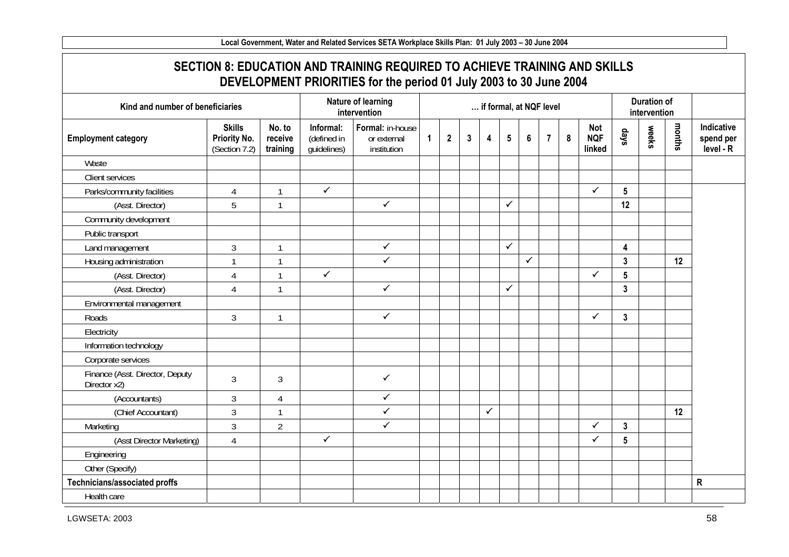**Local Government, Water and Related Services SETA Workplace Skills Plan: 01 July 2003 – 30 June 2004 SECTION 8: EDUCATION AND TRAINING REQUIRED TO ACHIEVE TRAINING AND SKILLS DEVELOPMENT PRIORITIES for the period 01 July 2003 to 30 June 2004 Kind and number of beneficiaries Nature of learning intervention intervention intervention intervention intervention intervention Employment category Skills Priority No.**  (Section 7.2) **No. to receive training Informal:**(defined in guidelines) **Formal:** in-house or external institution **1 2 3 4 5 6 7 8 Not NQF linked days weeks months Indicative spend per level - R Waste** Client services Parks/community facilities | 4 | 1  $\checkmark$  $\checkmark$  **5**  (Asst. Director) 5 1  $\checkmark$ 3 **12** Community development Public transport Land management 1 3 1  $\checkmark$ 3 **4** Housing administration 1 1 1 1  $\overline{\checkmark}$ 3 **3 12** (Asst. Director) 4 1  $\checkmark$  $\checkmark$  **5**  (Asst. Director) 4 1  $\checkmark$ 3 **3** Environmental management Roads  $\begin{array}{ccc} 3 & 1 \\ 1 & 3 \end{array}$  $\checkmark$  $\checkmark$  **3 Electricity** Information technology Corporate services Finance (Asst. Director, Deputy Primarice (ASSL Director, Deputy<br>Director x2) 3  $\checkmark$ (Accountants) 3 4  $\checkmark$ (Chief Accountant) 3 1  $\checkmark$ 3 **12** Marketing and 1 3 2  $\checkmark$  $\checkmark$  **3**  (Asst Director Marketing) 4  $\checkmark$  $\checkmark$  **5** Engineering Other (Specify) **Technicians/associated proffs R**  Health care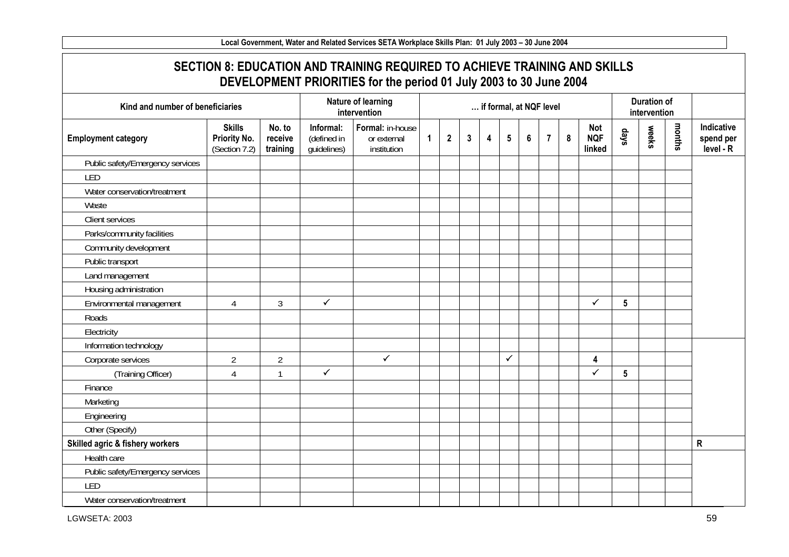### **SECTION 8: EDUCATION AND TRAINING REQUIRED TO ACHIEVE TRAINING AND SKILLS DEVELOPMENT PRIORITIES for the period 01 July 2003 to 30 June 2004**

| Kind and number of beneficiaries |                                                |                               |                                         | Nature of learning<br>intervention             |              |                |              |   |              |                | if formal, at NQF level |   |                                    |                 | <b>Duration of</b><br>intervention |        |                                      |
|----------------------------------|------------------------------------------------|-------------------------------|-----------------------------------------|------------------------------------------------|--------------|----------------|--------------|---|--------------|----------------|-------------------------|---|------------------------------------|-----------------|------------------------------------|--------|--------------------------------------|
| <b>Employment category</b>       | <b>Skills</b><br>Priority No.<br>(Section 7.2) | No. to<br>receive<br>training | Informal:<br>(defined in<br>guidelines) | Formal: in-house<br>or external<br>institution | $\mathbf{1}$ | $\overline{2}$ | $\mathbf{3}$ | 4 | 5            | $6\phantom{a}$ | $\overline{7}$          | 8 | <b>Not</b><br><b>NQF</b><br>linked | days            | weeks                              | months | Indicative<br>spend per<br>level - R |
| Public safety/Emergency services |                                                |                               |                                         |                                                |              |                |              |   |              |                |                         |   |                                    |                 |                                    |        |                                      |
| LED                              |                                                |                               |                                         |                                                |              |                |              |   |              |                |                         |   |                                    |                 |                                    |        |                                      |
| Water conservation/treatment     |                                                |                               |                                         |                                                |              |                |              |   |              |                |                         |   |                                    |                 |                                    |        |                                      |
| Waste                            |                                                |                               |                                         |                                                |              |                |              |   |              |                |                         |   |                                    |                 |                                    |        |                                      |
| Client services                  |                                                |                               |                                         |                                                |              |                |              |   |              |                |                         |   |                                    |                 |                                    |        |                                      |
| Parks/community facilities       |                                                |                               |                                         |                                                |              |                |              |   |              |                |                         |   |                                    |                 |                                    |        |                                      |
| Community development            |                                                |                               |                                         |                                                |              |                |              |   |              |                |                         |   |                                    |                 |                                    |        |                                      |
| Public transport                 |                                                |                               |                                         |                                                |              |                |              |   |              |                |                         |   |                                    |                 |                                    |        |                                      |
| Land management                  |                                                |                               |                                         |                                                |              |                |              |   |              |                |                         |   |                                    |                 |                                    |        |                                      |
| Housing administration           |                                                |                               |                                         |                                                |              |                |              |   |              |                |                         |   |                                    |                 |                                    |        |                                      |
| Environmental management         | $\overline{4}$                                 | $\overline{3}$                | $\checkmark$                            |                                                |              |                |              |   |              |                |                         |   | $\checkmark$                       | $5\phantom{.0}$ |                                    |        |                                      |
| Roads                            |                                                |                               |                                         |                                                |              |                |              |   |              |                |                         |   |                                    |                 |                                    |        |                                      |
| Electricity                      |                                                |                               |                                         |                                                |              |                |              |   |              |                |                         |   |                                    |                 |                                    |        |                                      |
| Information technology           |                                                |                               |                                         |                                                |              |                |              |   |              |                |                         |   |                                    |                 |                                    |        |                                      |
| Corporate services               | $\overline{2}$                                 | $\overline{2}$                |                                         | $\checkmark$                                   |              |                |              |   | $\checkmark$ |                |                         |   | $\overline{\mathbf{4}}$            |                 |                                    |        |                                      |
| (Training Officer)               | 4                                              | 1                             | $\checkmark$                            |                                                |              |                |              |   |              |                |                         |   | $\checkmark$                       | $5\phantom{.0}$ |                                    |        |                                      |
| Finance                          |                                                |                               |                                         |                                                |              |                |              |   |              |                |                         |   |                                    |                 |                                    |        |                                      |
| Marketing                        |                                                |                               |                                         |                                                |              |                |              |   |              |                |                         |   |                                    |                 |                                    |        |                                      |
| Engineering                      |                                                |                               |                                         |                                                |              |                |              |   |              |                |                         |   |                                    |                 |                                    |        |                                      |
| Other (Specify)                  |                                                |                               |                                         |                                                |              |                |              |   |              |                |                         |   |                                    |                 |                                    |        |                                      |
| Skilled agric & fishery workers  |                                                |                               |                                         |                                                |              |                |              |   |              |                |                         |   |                                    |                 |                                    |        | ${\sf R}$                            |
| Health care                      |                                                |                               |                                         |                                                |              |                |              |   |              |                |                         |   |                                    |                 |                                    |        |                                      |
| Public safety/Emergency services |                                                |                               |                                         |                                                |              |                |              |   |              |                |                         |   |                                    |                 |                                    |        |                                      |
| LED                              |                                                |                               |                                         |                                                |              |                |              |   |              |                |                         |   |                                    |                 |                                    |        |                                      |
| Water conservation/treatment     |                                                |                               |                                         |                                                |              |                |              |   |              |                |                         |   |                                    |                 |                                    |        |                                      |

LGWSETA: 2003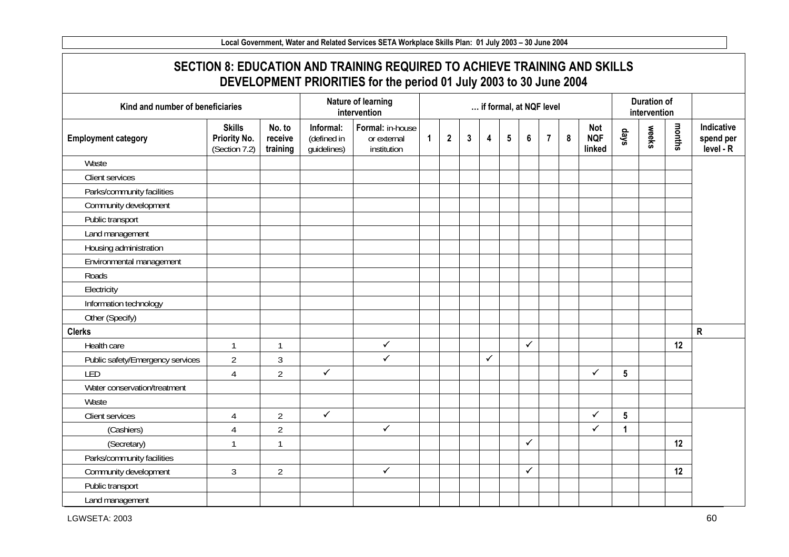| Kind and number of beneficiaries |                                                |                               |                                         | Nature of learning<br>intervention             |              |              |              |   |                 | if formal, at NQF level |                |   |                                    |                 | <b>Duration of</b><br>intervention |        |                                      |
|----------------------------------|------------------------------------------------|-------------------------------|-----------------------------------------|------------------------------------------------|--------------|--------------|--------------|---|-----------------|-------------------------|----------------|---|------------------------------------|-----------------|------------------------------------|--------|--------------------------------------|
| <b>Employment category</b>       | <b>Skills</b><br>Priority No.<br>(Section 7.2) | No. to<br>receive<br>training | Informal:<br>(defined in<br>guidelines) | Formal: in-house<br>or external<br>institution | $\mathbf{1}$ | $\mathbf{2}$ | $\mathbf{3}$ | 4 | $5\phantom{.0}$ | $6\phantom{a}$          | $\overline{7}$ | 8 | <b>Not</b><br><b>NQF</b><br>linked | days            | weeks                              | months | Indicative<br>spend per<br>level - R |
| Waste                            |                                                |                               |                                         |                                                |              |              |              |   |                 |                         |                |   |                                    |                 |                                    |        |                                      |
| Client services                  |                                                |                               |                                         |                                                |              |              |              |   |                 |                         |                |   |                                    |                 |                                    |        |                                      |
| Parks/community facilities       |                                                |                               |                                         |                                                |              |              |              |   |                 |                         |                |   |                                    |                 |                                    |        |                                      |
| Community development            |                                                |                               |                                         |                                                |              |              |              |   |                 |                         |                |   |                                    |                 |                                    |        |                                      |
| Public transport                 |                                                |                               |                                         |                                                |              |              |              |   |                 |                         |                |   |                                    |                 |                                    |        |                                      |
| Land management                  |                                                |                               |                                         |                                                |              |              |              |   |                 |                         |                |   |                                    |                 |                                    |        |                                      |
| Housing administration           |                                                |                               |                                         |                                                |              |              |              |   |                 |                         |                |   |                                    |                 |                                    |        |                                      |
| Environmental management         |                                                |                               |                                         |                                                |              |              |              |   |                 |                         |                |   |                                    |                 |                                    |        |                                      |
| Roads                            |                                                |                               |                                         |                                                |              |              |              |   |                 |                         |                |   |                                    |                 |                                    |        |                                      |
| Electricity                      |                                                |                               |                                         |                                                |              |              |              |   |                 |                         |                |   |                                    |                 |                                    |        |                                      |
| Information technology           |                                                |                               |                                         |                                                |              |              |              |   |                 |                         |                |   |                                    |                 |                                    |        |                                      |
| Other (Specify)                  |                                                |                               |                                         |                                                |              |              |              |   |                 |                         |                |   |                                    |                 |                                    |        |                                      |
| <b>Clerks</b>                    |                                                |                               |                                         |                                                |              |              |              |   |                 |                         |                |   |                                    |                 |                                    |        | $\mathsf{R}$                         |
| Health care                      | $\mathbf{1}$                                   | $\mathbf{1}$                  |                                         | $\checkmark$                                   |              |              |              |   |                 | $\checkmark$            |                |   |                                    |                 |                                    | 12     |                                      |
| Public safety/Emergency services | $\overline{2}$                                 | $\mathfrak{Z}$                |                                         | $\checkmark$                                   |              |              |              | ✓ |                 |                         |                |   |                                    |                 |                                    |        |                                      |
| LED                              | $\overline{4}$                                 | $\overline{2}$                | $\checkmark$                            |                                                |              |              |              |   |                 |                         |                |   | $\checkmark$                       | $5\phantom{.0}$ |                                    |        |                                      |
| Water conservation/treatment     |                                                |                               |                                         |                                                |              |              |              |   |                 |                         |                |   |                                    |                 |                                    |        |                                      |
| Waste                            |                                                |                               |                                         |                                                |              |              |              |   |                 |                         |                |   |                                    |                 |                                    |        |                                      |
| Client services                  | $\overline{4}$                                 | $\overline{2}$                | $\checkmark$                            |                                                |              |              |              |   |                 |                         |                |   | ✓                                  | $5\phantom{.0}$ |                                    |        |                                      |
| (Cashiers)                       | $\overline{4}$                                 | $\overline{2}$                |                                         | $\checkmark$                                   |              |              |              |   |                 |                         |                |   | $\checkmark$                       | 1               |                                    |        |                                      |
| (Secretary)                      | $\mathbf{1}$                                   | $\mathbf{1}$                  |                                         |                                                |              |              |              |   |                 | ✓                       |                |   |                                    |                 |                                    | 12     |                                      |
| Parks/community facilities       |                                                |                               |                                         |                                                |              |              |              |   |                 |                         |                |   |                                    |                 |                                    |        |                                      |
| Community development            | $\mathfrak{Z}$                                 | $\overline{2}$                |                                         | $\checkmark$                                   |              |              |              |   |                 | $\checkmark$            |                |   |                                    |                 |                                    | 12     |                                      |
| Public transport                 |                                                |                               |                                         |                                                |              |              |              |   |                 |                         |                |   |                                    |                 |                                    |        |                                      |
| Land management                  |                                                |                               |                                         |                                                |              |              |              |   |                 |                         |                |   |                                    |                 |                                    |        |                                      |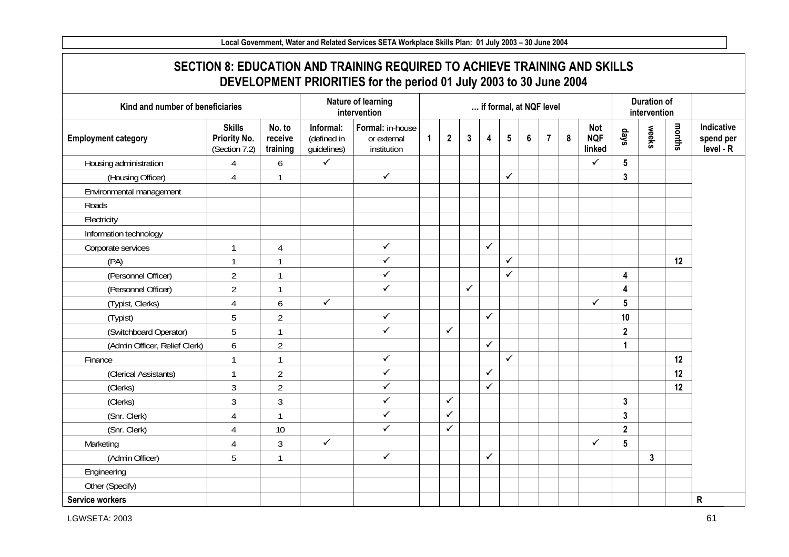| Kind and number of beneficiaries |                                                |                               |                                         | Nature of learning<br>intervention             |   |              |              |              | if formal, at NQF level |   |                |   |                                    |                 | <b>Duration of</b><br>intervention |        |                                      |
|----------------------------------|------------------------------------------------|-------------------------------|-----------------------------------------|------------------------------------------------|---|--------------|--------------|--------------|-------------------------|---|----------------|---|------------------------------------|-----------------|------------------------------------|--------|--------------------------------------|
| <b>Employment category</b>       | <b>Skills</b><br>Priority No.<br>(Section 7.2) | No. to<br>receive<br>training | Informal:<br>(defined in<br>guidelines) | Formal: in-house<br>or external<br>institution | 1 | $\mathbf{2}$ | $\mathbf{3}$ | 4            | $5\phantom{.0}$         | 6 | $\overline{7}$ | 8 | <b>Not</b><br><b>NQF</b><br>linked | days            | weeks                              | months | Indicative<br>spend per<br>level - R |
| Housing administration           | 4                                              | 6                             | $\checkmark$                            |                                                |   |              |              |              |                         |   |                |   | ✓                                  | $5\phantom{.0}$ |                                    |        |                                      |
| (Housing Officer)                | $\overline{4}$                                 | 1                             |                                         | $\checkmark$                                   |   |              |              |              | $\checkmark$            |   |                |   |                                    | $\mathbf{3}$    |                                    |        |                                      |
| Environmental management         |                                                |                               |                                         |                                                |   |              |              |              |                         |   |                |   |                                    |                 |                                    |        |                                      |
| Roads                            |                                                |                               |                                         |                                                |   |              |              |              |                         |   |                |   |                                    |                 |                                    |        |                                      |
| Electricity                      |                                                |                               |                                         |                                                |   |              |              |              |                         |   |                |   |                                    |                 |                                    |        |                                      |
| Information technology           |                                                |                               |                                         |                                                |   |              |              |              |                         |   |                |   |                                    |                 |                                    |        |                                      |
| Corporate services               | $\mathbf{1}$                                   | $\overline{4}$                |                                         | $\checkmark$                                   |   |              |              | $\checkmark$ |                         |   |                |   |                                    |                 |                                    |        |                                      |
| (PA)                             | $\mathbf{1}$                                   | 1                             |                                         | $\checkmark$                                   |   |              |              |              | $\checkmark$            |   |                |   |                                    |                 |                                    | 12     |                                      |
| (Personnel Officer)              | $\overline{2}$                                 |                               |                                         | $\checkmark$                                   |   |              |              |              | ✓                       |   |                |   |                                    | 4               |                                    |        |                                      |
| (Personnel Officer)              | $\overline{2}$                                 |                               |                                         | $\checkmark$                                   |   |              | $\checkmark$ |              |                         |   |                |   |                                    | 4               |                                    |        |                                      |
| (Typist, Clerks)                 | $\overline{4}$                                 | 6                             | $\checkmark$                            |                                                |   |              |              |              |                         |   |                |   | $\checkmark$                       | $5\phantom{.0}$ |                                    |        |                                      |
| (Typist)                         | 5                                              | $\overline{2}$                |                                         | $\checkmark$                                   |   |              |              | $\checkmark$ |                         |   |                |   |                                    | 10              |                                    |        |                                      |
| (Switchboard Operator)           | 5                                              | 1                             |                                         | $\checkmark$                                   |   | $\checkmark$ |              |              |                         |   |                |   |                                    | $\mathbf{2}$    |                                    |        |                                      |
| (Admin Officer, Relief Clerk)    | 6                                              | $\overline{2}$                |                                         |                                                |   |              |              | $\checkmark$ |                         |   |                |   |                                    | 1               |                                    |        |                                      |
| Finance                          | $\mathbf{1}$                                   | $\mathbf{1}$                  |                                         | $\checkmark$                                   |   |              |              |              | $\checkmark$            |   |                |   |                                    |                 |                                    | 12     |                                      |
| (Clerical Assistants)            | $\mathbf{1}$                                   | $\overline{2}$                |                                         | $\checkmark$                                   |   |              |              | $\checkmark$ |                         |   |                |   |                                    |                 |                                    | 12     |                                      |
| (Clerks)                         | $\mathfrak{Z}$                                 | $\overline{2}$                |                                         | $\checkmark$                                   |   |              |              | $\checkmark$ |                         |   |                |   |                                    |                 |                                    | 12     |                                      |
| (Clerks)                         | 3                                              | 3                             |                                         | $\checkmark$                                   |   | $\checkmark$ |              |              |                         |   |                |   |                                    | $\mathbf{3}$    |                                    |        |                                      |
| (Snr. Clerk)                     | $\overline{4}$                                 | $\mathbf{1}$                  |                                         | $\checkmark$                                   |   | $\checkmark$ |              |              |                         |   |                |   |                                    | $\mathbf{3}$    |                                    |        |                                      |
| (Snr. Clerk)                     | 4                                              | 10                            |                                         | $\checkmark$                                   |   | $\checkmark$ |              |              |                         |   |                |   |                                    | $\mathbf{2}$    |                                    |        |                                      |
| Marketing                        | 4                                              | 3                             | $\checkmark$                            |                                                |   |              |              |              |                         |   |                |   | ✓                                  | $5\phantom{.0}$ |                                    |        |                                      |
| (Admin Officer)                  | 5                                              | $\mathbf{1}$                  |                                         | $\checkmark$                                   |   |              |              | $\checkmark$ |                         |   |                |   |                                    |                 | $\mathbf{3}$                       |        |                                      |
| Engineering                      |                                                |                               |                                         |                                                |   |              |              |              |                         |   |                |   |                                    |                 |                                    |        |                                      |
| Other (Specify)                  |                                                |                               |                                         |                                                |   |              |              |              |                         |   |                |   |                                    |                 |                                    |        |                                      |
| Service workers                  |                                                |                               |                                         |                                                |   |              |              |              |                         |   |                |   |                                    |                 |                                    |        | ${\sf R}$                            |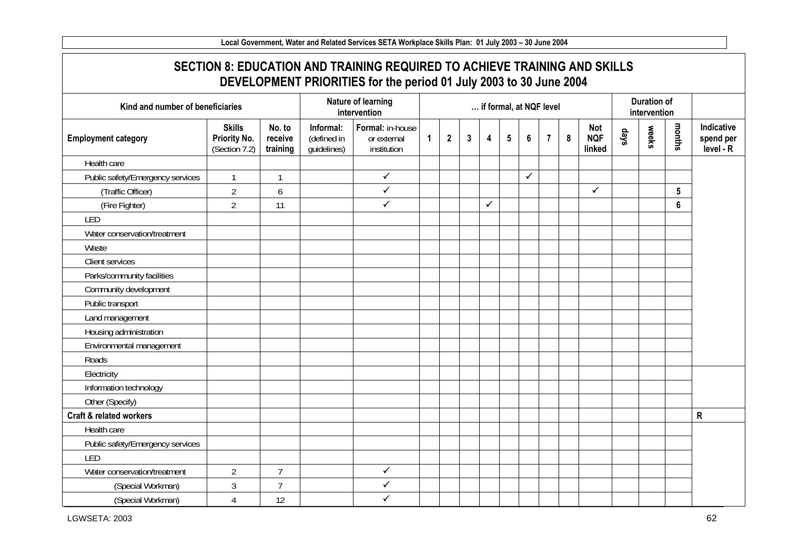| Kind and number of beneficiaries |                                                |                               |                                         | Nature of learning<br>intervention             |              |                |              | if formal, at NQF level |                 |                |                |                  |                             |      | <b>Duration of</b><br>intervention |        |                                      |
|----------------------------------|------------------------------------------------|-------------------------------|-----------------------------------------|------------------------------------------------|--------------|----------------|--------------|-------------------------|-----------------|----------------|----------------|------------------|-----------------------------|------|------------------------------------|--------|--------------------------------------|
| <b>Employment category</b>       | <b>Skills</b><br>Priority No.<br>(Section 7.2) | No. to<br>receive<br>training | Informal:<br>(defined in<br>guidelines) | Formal: in-house<br>or external<br>institution | $\mathbf{1}$ | $\overline{2}$ | $\mathbf{3}$ | 4                       | $5\phantom{.0}$ | $6\phantom{a}$ | $\overline{7}$ | $\boldsymbol{8}$ | Not<br><b>NQF</b><br>linked | days | weeks                              | months | Indicative<br>spend per<br>level - R |
| Health care                      |                                                |                               |                                         |                                                |              |                |              |                         |                 |                |                |                  |                             |      |                                    |        |                                      |
| Public safety/Emergency services | $\mathbf{1}$                                   | $\mathbf{1}$                  |                                         | $\checkmark$                                   |              |                |              |                         |                 | $\checkmark$   |                |                  |                             |      |                                    |        |                                      |
| (Traffic Officer)                | $\overline{2}$                                 | 6                             |                                         | $\checkmark$                                   |              |                |              |                         |                 |                |                |                  | $\checkmark$                |      |                                    | 5      |                                      |
| (Fire Fighter)                   | $\overline{2}$                                 | 11                            |                                         | $\checkmark$                                   |              |                |              | ✓                       |                 |                |                |                  |                             |      |                                    | 6      |                                      |
| LED                              |                                                |                               |                                         |                                                |              |                |              |                         |                 |                |                |                  |                             |      |                                    |        |                                      |
| Water conservation/treatment     |                                                |                               |                                         |                                                |              |                |              |                         |                 |                |                |                  |                             |      |                                    |        |                                      |
| Waste                            |                                                |                               |                                         |                                                |              |                |              |                         |                 |                |                |                  |                             |      |                                    |        |                                      |
| Client services                  |                                                |                               |                                         |                                                |              |                |              |                         |                 |                |                |                  |                             |      |                                    |        |                                      |
| Parks/community facilities       |                                                |                               |                                         |                                                |              |                |              |                         |                 |                |                |                  |                             |      |                                    |        |                                      |
| Community development            |                                                |                               |                                         |                                                |              |                |              |                         |                 |                |                |                  |                             |      |                                    |        |                                      |
| Public transport                 |                                                |                               |                                         |                                                |              |                |              |                         |                 |                |                |                  |                             |      |                                    |        |                                      |
| Land management                  |                                                |                               |                                         |                                                |              |                |              |                         |                 |                |                |                  |                             |      |                                    |        |                                      |
| Housing administration           |                                                |                               |                                         |                                                |              |                |              |                         |                 |                |                |                  |                             |      |                                    |        |                                      |
| Environmental management         |                                                |                               |                                         |                                                |              |                |              |                         |                 |                |                |                  |                             |      |                                    |        |                                      |
| Roads                            |                                                |                               |                                         |                                                |              |                |              |                         |                 |                |                |                  |                             |      |                                    |        |                                      |
| Electricity                      |                                                |                               |                                         |                                                |              |                |              |                         |                 |                |                |                  |                             |      |                                    |        |                                      |
| Information technology           |                                                |                               |                                         |                                                |              |                |              |                         |                 |                |                |                  |                             |      |                                    |        |                                      |
| Other (Specify)                  |                                                |                               |                                         |                                                |              |                |              |                         |                 |                |                |                  |                             |      |                                    |        |                                      |
| Craft & related workers          |                                                |                               |                                         |                                                |              |                |              |                         |                 |                |                |                  |                             |      |                                    |        | ${\sf R}$                            |
| Health care                      |                                                |                               |                                         |                                                |              |                |              |                         |                 |                |                |                  |                             |      |                                    |        |                                      |
| Public safety/Emergency services |                                                |                               |                                         |                                                |              |                |              |                         |                 |                |                |                  |                             |      |                                    |        |                                      |
| LED                              |                                                |                               |                                         |                                                |              |                |              |                         |                 |                |                |                  |                             |      |                                    |        |                                      |
| Water conservation/treatment     | $\overline{2}$                                 | $\overline{7}$                |                                         | $\checkmark$                                   |              |                |              |                         |                 |                |                |                  |                             |      |                                    |        |                                      |
| (Special Workman)                | $\overline{3}$                                 | $\overline{7}$                |                                         | $\checkmark$                                   |              |                |              |                         |                 |                |                |                  |                             |      |                                    |        |                                      |
| (Special Workman)                | $\overline{4}$                                 | 12                            |                                         | $\checkmark$                                   |              |                |              |                         |                 |                |                |                  |                             |      |                                    |        |                                      |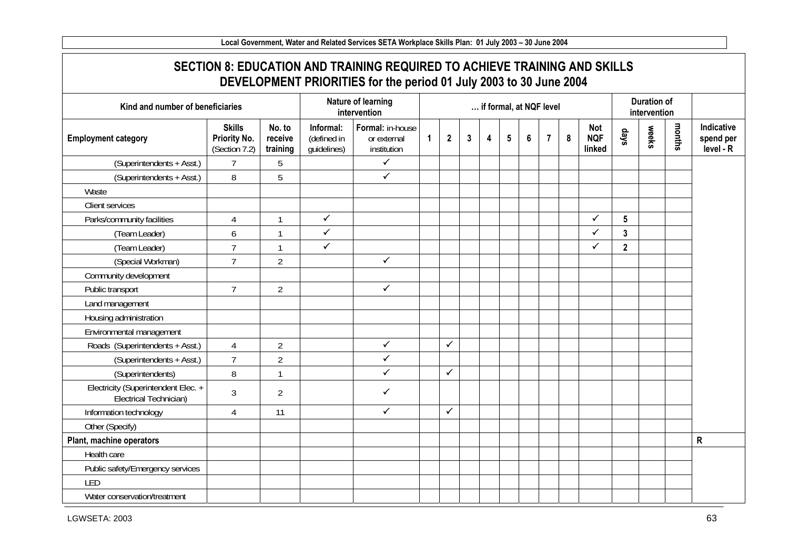**SECTION 8: EDUCATION AND TRAINING REQUIRED TO ACHIEVE TRAINING AND SKILLS DEVELOPMENT PRIORITIES for the period 01 July 2003 to 30 June 2004 Kind and number of beneficiaries Nature of learning intervention … if formal, at NQF level Duration of intervention Employment category Skills Priority No.**  (Section 7.2) **No. to receive training Informal:**(defined in guidelines) **Formal:** in-house or external institution **1 2 3 4 5 6 7 8 Not NQF linked days weeks months Indicative spend per level - R**   $(Superintendents + Asst.)$  7 5  $\checkmark$  $(Superintendents + Asst.)$  8  $\vert$  5  $\checkmark$ **Waste** Client services Parks/community facilities | 4 | 1  $\checkmark$  $\checkmark$  **5** (Team Leader) 6 1  $\checkmark$  $\checkmark$  **3**  (Team Leader) 7 1  $\checkmark$  $\checkmark$  **2**  (Special Workman) 7 2  $\checkmark$ Community development Public transport 2  $\checkmark$ Land management Housing administration Environmental management Roads (Superintendents + Asst.) 4 4 2  $\checkmark$  $\checkmark$  $(Superintendents + Asst.)$  7 2  $\checkmark$ (Superintendents) 8 1  $\checkmark$  $\checkmark$ Electricity (Superintendent Elec. + Electrical Technician) 3 2  $\checkmark$ Information technology [4 11  $\checkmark$  $\checkmark$ Other (Specify) **Plant, machine operators R**  Health care Public safety/Emergency services LED Water conservation/treatment

**Local Government, Water and Related Services SETA Workplace Skills Plan: 01 July 2003 – 30 June 2004**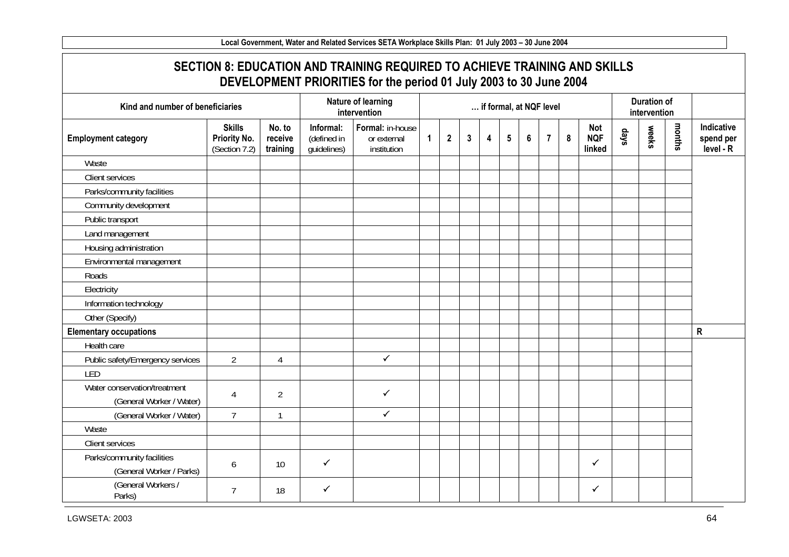**Local Government, Water and Related Services SETA Workplace Skills Plan: 01 July 2003 – 30 June 2004 SECTION 8: EDUCATION AND TRAINING REQUIRED TO ACHIEVE TRAINING AND SKILLS DEVELOPMENT PRIORITIES for the period 01 July 2003 to 30 June 2004 Kind and number of beneficiaries Nature of learning intervention intervention intervention intervention intervention intervention Employment category Skills Priority No.**  (Section 7.2) **No. to receive training Informal:**(defined in guidelines) **Formal:** in-house or external institution **1 2 3 4 5 6 7 8 Not NQF linked days weeks months Indicative spend per level - R Waste** Client services Parks/community facilities Community development Public transport Land management Housing administration Environmental management Roads **Electricity** Information technology Other (Specify) **Elementary occupations R**  Health care Public safety/Emergency services 2 4  $\checkmark$ LED Water conservation/treatment onservation/ricatment<br>
(General Worker / Water) 4 2  $\checkmark$  $(General Worker / Water)$  7 1  $\checkmark$ Waste Client services Parks/community facilities (General Worker / Parks) 6 10  $\checkmark$  $\checkmark$ (General Workers /  $Parks$ ) arks) and  $\frac{1}{8}$  arks)  $\checkmark$  $\checkmark$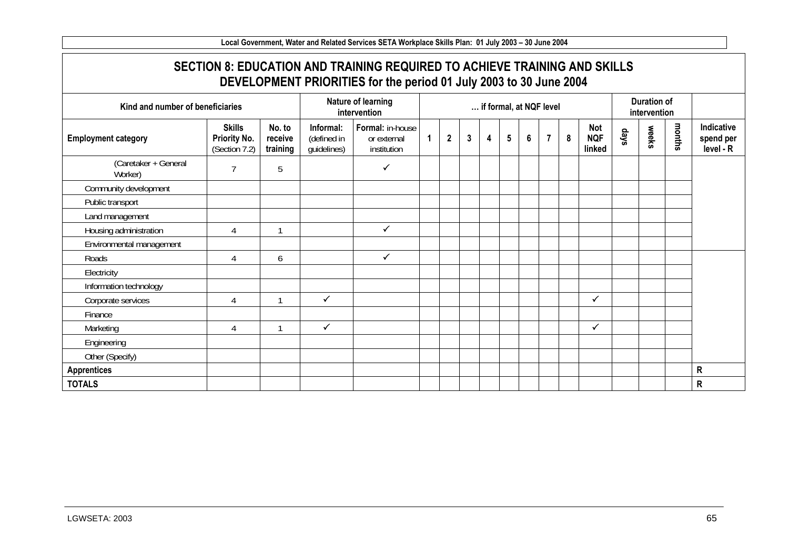**SECTION 8: EDUCATION AND TRAINING REQUIRED TO ACHIEVE TRAINING AND SKILLS DEVELOPMENT PRIORITIES for the period 01 July 2003 to 30 June 2004 Kind and number of beneficiaries Nature of learning intervention intervention intervention intervention intervention intervention Employment category Skills Priority No.**  (Section 7.2) **No. to receive training Informal:**(defined in guidelines) **Formal:** in-house or external institution **1 2 3 4 5 6 7 8 Not NQF linked days weeks months Indicative spend per level - R**  (Caretaker + General Varetaker + General (Caretaker) 5  $\checkmark$ Community development Public transport Land management Housing administration 1 4 1  $\checkmark$ Environmental management Roads  $\begin{array}{ccc} 4 & 6 \\ 4 & 6 \end{array}$  $\checkmark$ **Electricity** Information technology Corporate services 4 1  $\checkmark$  $\checkmark$ Finance Marketing 1 4 1  $\checkmark$  $\checkmark$ Engineering Other (Specify) **Apprentices R TOTALS R**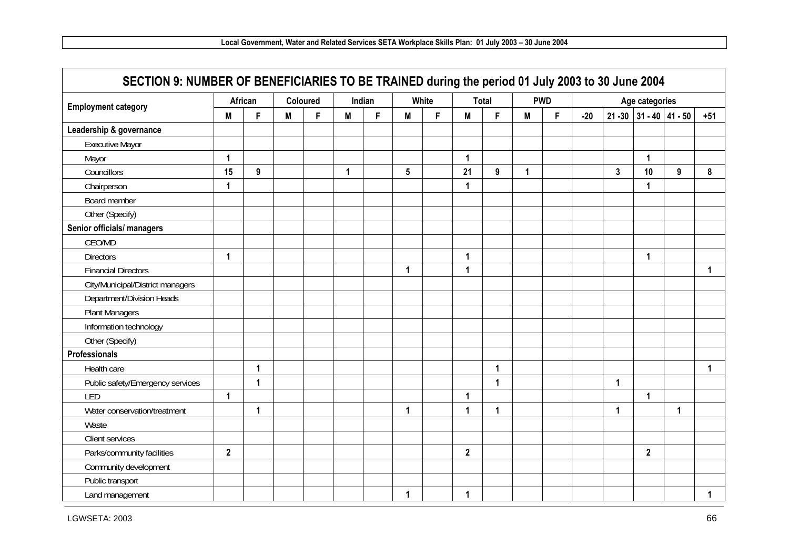| <b>Employment category</b>       |                | African      |   | Coloured |   | Indian |              | White |                | <b>Total</b> |   | <b>PWD</b> |       |                | Age categories |                         |             |
|----------------------------------|----------------|--------------|---|----------|---|--------|--------------|-------|----------------|--------------|---|------------|-------|----------------|----------------|-------------------------|-------------|
|                                  | M              | F            | M | F.       | M | F      | M            | F     | M              | F            | M | F.         | $-20$ |                |                | 21 - 30 31 - 40 41 - 50 | $+51$       |
| Leadership & governance          |                |              |   |          |   |        |              |       |                |              |   |            |       |                |                |                         |             |
| <b>Executive Mayor</b>           |                |              |   |          |   |        |              |       |                |              |   |            |       |                |                |                         |             |
| Mayor                            | 1              |              |   |          |   |        |              |       | $\overline{1}$ |              |   |            |       |                | 1              |                         |             |
| Councillors                      | 15             | 9            |   |          | 1 |        | 5            |       | 21             | 9            | 1 |            |       | $\overline{3}$ | 10             | 9                       | 8           |
| Chairperson                      | $\mathbf{1}$   |              |   |          |   |        |              |       | $\mathbf 1$    |              |   |            |       |                | $\mathbf{1}$   |                         |             |
| Board member                     |                |              |   |          |   |        |              |       |                |              |   |            |       |                |                |                         |             |
| Other (Specify)                  |                |              |   |          |   |        |              |       |                |              |   |            |       |                |                |                         |             |
| Senior officials/ managers       |                |              |   |          |   |        |              |       |                |              |   |            |       |                |                |                         |             |
| CEO/MD                           |                |              |   |          |   |        |              |       |                |              |   |            |       |                |                |                         |             |
| <b>Directors</b>                 | 1              |              |   |          |   |        |              |       | 1              |              |   |            |       |                | 1              |                         |             |
| <b>Financial Directors</b>       |                |              |   |          |   |        | 1            |       | 1              |              |   |            |       |                |                |                         | $\mathbf 1$ |
| City/Municipal/District managers |                |              |   |          |   |        |              |       |                |              |   |            |       |                |                |                         |             |
| Department/Division Heads        |                |              |   |          |   |        |              |       |                |              |   |            |       |                |                |                         |             |
| <b>Plant Managers</b>            |                |              |   |          |   |        |              |       |                |              |   |            |       |                |                |                         |             |
| Information technology           |                |              |   |          |   |        |              |       |                |              |   |            |       |                |                |                         |             |
| Other (Specify)                  |                |              |   |          |   |        |              |       |                |              |   |            |       |                |                |                         |             |
| Professionals                    |                |              |   |          |   |        |              |       |                |              |   |            |       |                |                |                         |             |
| Health care                      |                | 1            |   |          |   |        |              |       |                | 1            |   |            |       |                |                |                         | $\mathbf 1$ |
| Public safety/Emergency services |                | $\mathbf{1}$ |   |          |   |        |              |       |                | $\mathbf{1}$ |   |            |       | $\mathbf{1}$   |                |                         |             |
| LED                              | 1              |              |   |          |   |        |              |       | -1             |              |   |            |       |                | 1              |                         |             |
| Water conservation/treatment     |                | $\mathbf{1}$ |   |          |   |        | $\mathbf{1}$ |       | 1              | $\mathbf{1}$ |   |            |       | 1              |                | 1                       |             |
| Waste                            |                |              |   |          |   |        |              |       |                |              |   |            |       |                |                |                         |             |
| Client services                  |                |              |   |          |   |        |              |       |                |              |   |            |       |                |                |                         |             |
| Parks/community facilities       | $\overline{2}$ |              |   |          |   |        |              |       | $\overline{2}$ |              |   |            |       |                | $\overline{2}$ |                         |             |
| Community development            |                |              |   |          |   |        |              |       |                |              |   |            |       |                |                |                         |             |
| Public transport                 |                |              |   |          |   |        |              |       |                |              |   |            |       |                |                |                         |             |
| Land management                  |                |              |   |          |   |        | 1            |       | 1              |              |   |            |       |                |                |                         | 1.          |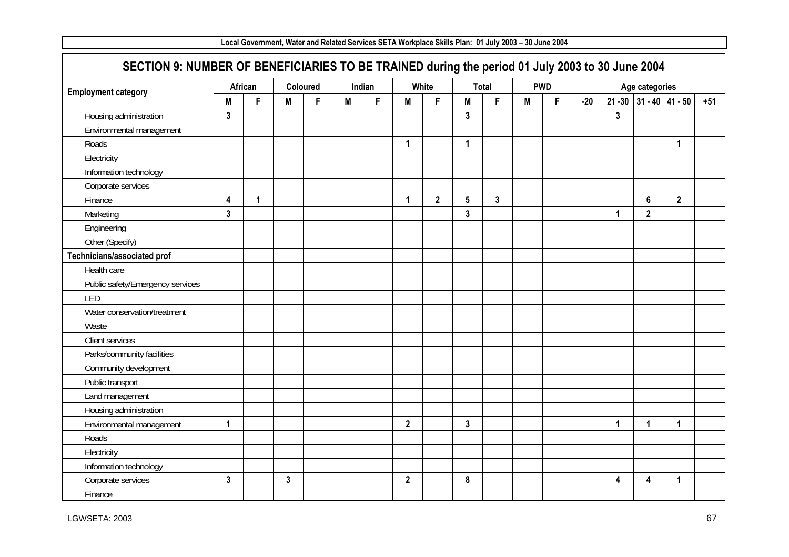| SECTION 9: NUMBER OF BENEFICIARIES TO BE TRAINED during the period 01 July 2003 to 30 June 2004 |                         |              |   |          |   |        |                |                |                 |                |   |            |       |                         |                           |                |       |
|-------------------------------------------------------------------------------------------------|-------------------------|--------------|---|----------|---|--------|----------------|----------------|-----------------|----------------|---|------------|-------|-------------------------|---------------------------|----------------|-------|
|                                                                                                 |                         | African      |   | Coloured |   | Indian |                | White          |                 | Total          |   | <b>PWD</b> |       |                         | Age categories            |                |       |
| <b>Employment category</b>                                                                      | M                       | F            | M | F.       | M | F      | M              | F              | M               | F.             | M | F          | $-20$ |                         | $21 - 30$ 31 - 40 41 - 50 |                | $+51$ |
| Housing administration                                                                          | 3                       |              |   |          |   |        |                |                | $\mathbf{3}$    |                |   |            |       | 3                       |                           |                |       |
| Environmental management                                                                        |                         |              |   |          |   |        |                |                |                 |                |   |            |       |                         |                           |                |       |
| Roads                                                                                           |                         |              |   |          |   |        | $\mathbf 1$    |                | $\mathbf{1}$    |                |   |            |       |                         |                           | 1              |       |
| Electricity                                                                                     |                         |              |   |          |   |        |                |                |                 |                |   |            |       |                         |                           |                |       |
| Information technology                                                                          |                         |              |   |          |   |        |                |                |                 |                |   |            |       |                         |                           |                |       |
| Corporate services                                                                              |                         |              |   |          |   |        |                |                |                 |                |   |            |       |                         |                           |                |       |
| Finance                                                                                         | $\overline{\mathbf{4}}$ | $\mathbf{1}$ |   |          |   |        | $\mathbf{1}$   | $\overline{2}$ | $5\phantom{.0}$ | $\overline{3}$ |   |            |       |                         | $6\phantom{a}$            | $\overline{2}$ |       |
| Marketing                                                                                       | $\mathbf{3}$            |              |   |          |   |        |                |                | $\mathbf{3}$    |                |   |            |       | 1                       | $\overline{\mathbf{2}}$   |                |       |
| Engineering                                                                                     |                         |              |   |          |   |        |                |                |                 |                |   |            |       |                         |                           |                |       |
| Other (Specify)                                                                                 |                         |              |   |          |   |        |                |                |                 |                |   |            |       |                         |                           |                |       |
| Technicians/associated prof                                                                     |                         |              |   |          |   |        |                |                |                 |                |   |            |       |                         |                           |                |       |
| Health care                                                                                     |                         |              |   |          |   |        |                |                |                 |                |   |            |       |                         |                           |                |       |
| Public safety/Emergency services                                                                |                         |              |   |          |   |        |                |                |                 |                |   |            |       |                         |                           |                |       |
| LED                                                                                             |                         |              |   |          |   |        |                |                |                 |                |   |            |       |                         |                           |                |       |
| Water conservation/treatment                                                                    |                         |              |   |          |   |        |                |                |                 |                |   |            |       |                         |                           |                |       |
| Waste                                                                                           |                         |              |   |          |   |        |                |                |                 |                |   |            |       |                         |                           |                |       |
| Client services                                                                                 |                         |              |   |          |   |        |                |                |                 |                |   |            |       |                         |                           |                |       |
| Parks/community facilities                                                                      |                         |              |   |          |   |        |                |                |                 |                |   |            |       |                         |                           |                |       |
| Community development                                                                           |                         |              |   |          |   |        |                |                |                 |                |   |            |       |                         |                           |                |       |
| Public transport                                                                                |                         |              |   |          |   |        |                |                |                 |                |   |            |       |                         |                           |                |       |
| Land management                                                                                 |                         |              |   |          |   |        |                |                |                 |                |   |            |       |                         |                           |                |       |
| Housing administration                                                                          |                         |              |   |          |   |        |                |                |                 |                |   |            |       |                         |                           |                |       |
| Environmental management                                                                        | $\mathbf{1}$            |              |   |          |   |        | $\overline{2}$ |                | $\mathbf{3}$    |                |   |            |       | 1                       | 1                         | 1              |       |
| Roads                                                                                           |                         |              |   |          |   |        |                |                |                 |                |   |            |       |                         |                           |                |       |
| Electricity                                                                                     |                         |              |   |          |   |        |                |                |                 |                |   |            |       |                         |                           |                |       |
| Information technology                                                                          |                         |              |   |          |   |        |                |                |                 |                |   |            |       |                         |                           |                |       |
| Corporate services                                                                              | $\overline{3}$          |              | 3 |          |   |        | $\mathbf{2}$   |                | 8               |                |   |            |       | $\overline{\mathbf{4}}$ | $\overline{\mathbf{4}}$   | 1              |       |
| Finance                                                                                         |                         |              |   |          |   |        |                |                |                 |                |   |            |       |                         |                           |                |       |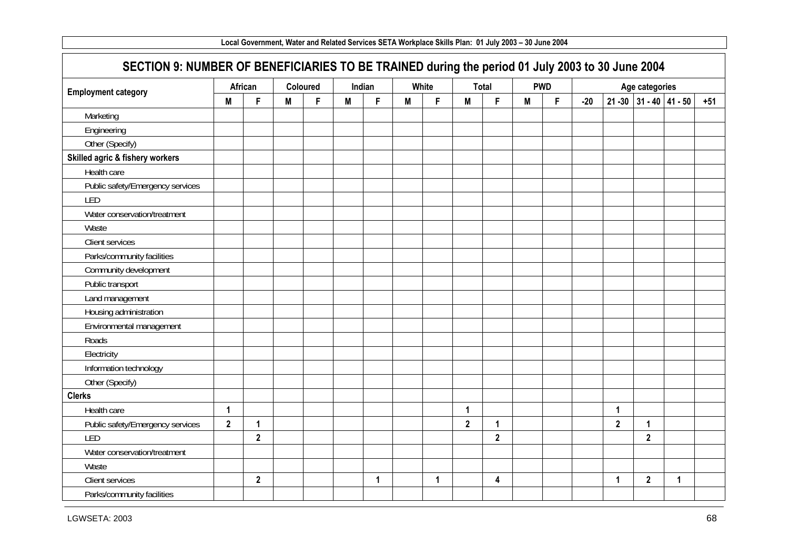| Local Government, Water and Related Services SETA Workplace Skills Plan: 01 July 2003 - 30 June 2004<br>SECTION 9: NUMBER OF BENEFICIARIES TO BE TRAINED during the period 01 July 2003 to 30 June 2004 |              |              |   |          |   |             |   |             |                |                |   |            |       |              |                           |   |       |
|---------------------------------------------------------------------------------------------------------------------------------------------------------------------------------------------------------|--------------|--------------|---|----------|---|-------------|---|-------------|----------------|----------------|---|------------|-------|--------------|---------------------------|---|-------|
|                                                                                                                                                                                                         |              |              |   |          |   |             |   |             |                |                |   |            |       |              |                           |   |       |
| <b>Employment category</b>                                                                                                                                                                              |              | African      |   | Coloured |   | Indian      |   | White       |                | Total          |   | <b>PWD</b> |       |              | Age categories            |   |       |
|                                                                                                                                                                                                         | M            | F            | M | F        | M | F           | M | F           | M              | F              | M | F          | $-20$ |              | $21 - 30$ 31 - 40 41 - 50 |   | $+51$ |
| Marketing                                                                                                                                                                                               |              |              |   |          |   |             |   |             |                |                |   |            |       |              |                           |   |       |
| Engineering                                                                                                                                                                                             |              |              |   |          |   |             |   |             |                |                |   |            |       |              |                           |   |       |
| Other (Specify)                                                                                                                                                                                         |              |              |   |          |   |             |   |             |                |                |   |            |       |              |                           |   |       |
| Skilled agric & fishery workers                                                                                                                                                                         |              |              |   |          |   |             |   |             |                |                |   |            |       |              |                           |   |       |
| Health care                                                                                                                                                                                             |              |              |   |          |   |             |   |             |                |                |   |            |       |              |                           |   |       |
| Public safety/Emergency services                                                                                                                                                                        |              |              |   |          |   |             |   |             |                |                |   |            |       |              |                           |   |       |
| LED                                                                                                                                                                                                     |              |              |   |          |   |             |   |             |                |                |   |            |       |              |                           |   |       |
| Water conservation/treatment                                                                                                                                                                            |              |              |   |          |   |             |   |             |                |                |   |            |       |              |                           |   |       |
| Waste                                                                                                                                                                                                   |              |              |   |          |   |             |   |             |                |                |   |            |       |              |                           |   |       |
| Client services                                                                                                                                                                                         |              |              |   |          |   |             |   |             |                |                |   |            |       |              |                           |   |       |
| Parks/community facilities                                                                                                                                                                              |              |              |   |          |   |             |   |             |                |                |   |            |       |              |                           |   |       |
| Community development                                                                                                                                                                                   |              |              |   |          |   |             |   |             |                |                |   |            |       |              |                           |   |       |
| Public transport                                                                                                                                                                                        |              |              |   |          |   |             |   |             |                |                |   |            |       |              |                           |   |       |
| Land management                                                                                                                                                                                         |              |              |   |          |   |             |   |             |                |                |   |            |       |              |                           |   |       |
| Housing administration                                                                                                                                                                                  |              |              |   |          |   |             |   |             |                |                |   |            |       |              |                           |   |       |
| Environmental management                                                                                                                                                                                |              |              |   |          |   |             |   |             |                |                |   |            |       |              |                           |   |       |
| Roads                                                                                                                                                                                                   |              |              |   |          |   |             |   |             |                |                |   |            |       |              |                           |   |       |
| Electricity                                                                                                                                                                                             |              |              |   |          |   |             |   |             |                |                |   |            |       |              |                           |   |       |
| Information technology                                                                                                                                                                                  |              |              |   |          |   |             |   |             |                |                |   |            |       |              |                           |   |       |
| Other (Specify)                                                                                                                                                                                         |              |              |   |          |   |             |   |             |                |                |   |            |       |              |                           |   |       |
| <b>Clerks</b>                                                                                                                                                                                           |              |              |   |          |   |             |   |             |                |                |   |            |       |              |                           |   |       |
| Health care                                                                                                                                                                                             | 1            |              |   |          |   |             |   |             | $\mathbf{1}$   |                |   |            |       | $\mathbf{1}$ |                           |   |       |
| Public safety/Emergency services                                                                                                                                                                        | $\mathbf{2}$ | 1            |   |          |   |             |   |             | $\overline{2}$ | 1              |   |            |       | $\mathbf{2}$ | 1                         |   |       |
| LED                                                                                                                                                                                                     |              | $\mathbf{2}$ |   |          |   |             |   |             |                | $\overline{2}$ |   |            |       |              | $\overline{2}$            |   |       |
| Water conservation/treatment                                                                                                                                                                            |              |              |   |          |   |             |   |             |                |                |   |            |       |              |                           |   |       |
| Waste                                                                                                                                                                                                   |              |              |   |          |   |             |   |             |                |                |   |            |       |              |                           |   |       |
| Client services                                                                                                                                                                                         |              | $\mathbf{2}$ |   |          |   | $\mathbf 1$ |   | $\mathbf 1$ |                | 4              |   |            |       | $\mathbf 1$  | $\overline{\mathbf{2}}$   | 1 |       |
| Parks/community facilities                                                                                                                                                                              |              |              |   |          |   |             |   |             |                |                |   |            |       |              |                           |   |       |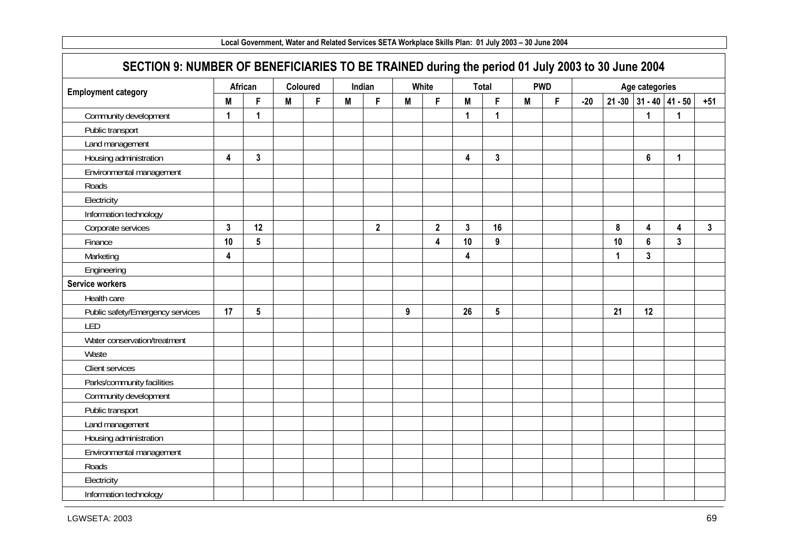| SECTION 9: NUMBER OF BENEFICIARIES TO BE TRAINED during the period 01 July 2003 to 30 June 2004 |                         |                |          |   |   |              |   |              |                         |              |   |            |       |             |                         |                |              |
|-------------------------------------------------------------------------------------------------|-------------------------|----------------|----------|---|---|--------------|---|--------------|-------------------------|--------------|---|------------|-------|-------------|-------------------------|----------------|--------------|
|                                                                                                 |                         | African        | Coloured |   |   | Indian       |   | White        |                         | <b>Total</b> |   | <b>PWD</b> |       |             | Age categories          |                |              |
| <b>Employment category</b>                                                                      | M                       | F              | M        | F | M | F            | M | F            | M                       | F.           | M | F          | $-20$ |             | 21 - 30 31 - 40 41 - 50 |                | $+51$        |
| Community development                                                                           | $\blacktriangleleft$    | $\mathbf{1}$   |          |   |   |              |   |              | 1                       | 1            |   |            |       |             | 1                       | 1              |              |
| Public transport                                                                                |                         |                |          |   |   |              |   |              |                         |              |   |            |       |             |                         |                |              |
| Land management                                                                                 |                         |                |          |   |   |              |   |              |                         |              |   |            |       |             |                         |                |              |
| Housing administration                                                                          | $\overline{\mathbf{4}}$ | $\mathbf{3}$   |          |   |   |              |   |              | $\overline{\mathbf{4}}$ | $\mathbf{3}$ |   |            |       |             | $6\phantom{a}$          | $\mathbf{1}$   |              |
| Environmental management                                                                        |                         |                |          |   |   |              |   |              |                         |              |   |            |       |             |                         |                |              |
| Roads                                                                                           |                         |                |          |   |   |              |   |              |                         |              |   |            |       |             |                         |                |              |
| Electricity                                                                                     |                         |                |          |   |   |              |   |              |                         |              |   |            |       |             |                         |                |              |
| Information technology                                                                          |                         |                |          |   |   |              |   |              |                         |              |   |            |       |             |                         |                |              |
| Corporate services                                                                              | $\mathbf{3}$            | 12             |          |   |   | $\mathbf{2}$ |   | $\mathbf{2}$ | $\mathbf{3}$            | 16           |   |            |       | $\pmb{8}$   | 4                       | 4              | $\mathbf{3}$ |
| Finance                                                                                         | 10                      | $5\phantom{a}$ |          |   |   |              |   | 4            | 10                      | 9            |   |            |       | 10          | $6\phantom{a}$          | $\overline{3}$ |              |
| Marketing                                                                                       | 4                       |                |          |   |   |              |   |              | 4                       |              |   |            |       | $\mathbf 1$ | $\mathbf{3}$            |                |              |
| Engineering                                                                                     |                         |                |          |   |   |              |   |              |                         |              |   |            |       |             |                         |                |              |
| <b>Service workers</b>                                                                          |                         |                |          |   |   |              |   |              |                         |              |   |            |       |             |                         |                |              |
| Health care                                                                                     |                         |                |          |   |   |              |   |              |                         |              |   |            |       |             |                         |                |              |
| Public safety/Emergency services                                                                | 17                      | 5              |          |   |   |              | 9 |              | 26                      | 5            |   |            |       | 21          | 12                      |                |              |
| LED                                                                                             |                         |                |          |   |   |              |   |              |                         |              |   |            |       |             |                         |                |              |
| Water conservation/treatment                                                                    |                         |                |          |   |   |              |   |              |                         |              |   |            |       |             |                         |                |              |
| Waste                                                                                           |                         |                |          |   |   |              |   |              |                         |              |   |            |       |             |                         |                |              |
| Client services                                                                                 |                         |                |          |   |   |              |   |              |                         |              |   |            |       |             |                         |                |              |
| Parks/community facilities                                                                      |                         |                |          |   |   |              |   |              |                         |              |   |            |       |             |                         |                |              |
| Community development                                                                           |                         |                |          |   |   |              |   |              |                         |              |   |            |       |             |                         |                |              |
| Public transport                                                                                |                         |                |          |   |   |              |   |              |                         |              |   |            |       |             |                         |                |              |
| Land management                                                                                 |                         |                |          |   |   |              |   |              |                         |              |   |            |       |             |                         |                |              |
| Housing administration                                                                          |                         |                |          |   |   |              |   |              |                         |              |   |            |       |             |                         |                |              |
| Environmental management                                                                        |                         |                |          |   |   |              |   |              |                         |              |   |            |       |             |                         |                |              |
| Roads                                                                                           |                         |                |          |   |   |              |   |              |                         |              |   |            |       |             |                         |                |              |
| Electricity                                                                                     |                         |                |          |   |   |              |   |              |                         |              |   |            |       |             |                         |                |              |
| Information technology                                                                          |                         |                |          |   |   |              |   |              |                         |              |   |            |       |             |                         |                |              |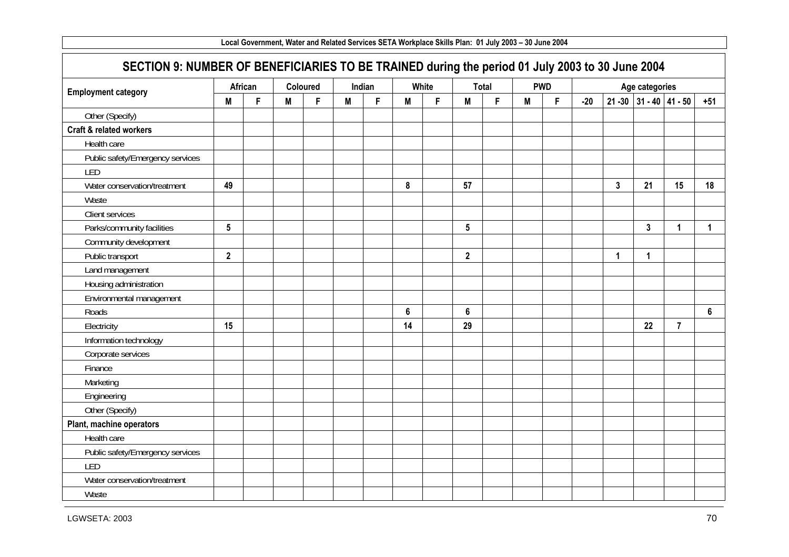|                                                                                                 |                 |   |   |          |   |        | Local Government, Water and Related Services SETA Workplace Skills Plan: 01 July 2003 - 30 June 2004 |       |                 |       |   |            |       |              |                           |                |                |
|-------------------------------------------------------------------------------------------------|-----------------|---|---|----------|---|--------|------------------------------------------------------------------------------------------------------|-------|-----------------|-------|---|------------|-------|--------------|---------------------------|----------------|----------------|
| SECTION 9: NUMBER OF BENEFICIARIES TO BE TRAINED during the period 01 July 2003 to 30 June 2004 |                 |   |   |          |   |        |                                                                                                      |       |                 |       |   |            |       |              |                           |                |                |
| <b>Employment category</b>                                                                      | African         |   |   | Coloured |   | Indian |                                                                                                      | White |                 | Total |   | <b>PWD</b> |       |              | Age categories            |                |                |
|                                                                                                 | M               | F | M | F        | M | F      | M                                                                                                    | F     | M               | F     | M | F          | $-20$ |              | $21 - 30$ 31 - 40 41 - 50 |                | $+51$          |
| Other (Specify)                                                                                 |                 |   |   |          |   |        |                                                                                                      |       |                 |       |   |            |       |              |                           |                |                |
| <b>Craft &amp; related workers</b>                                                              |                 |   |   |          |   |        |                                                                                                      |       |                 |       |   |            |       |              |                           |                |                |
| Health care                                                                                     |                 |   |   |          |   |        |                                                                                                      |       |                 |       |   |            |       |              |                           |                |                |
| Public safety/Emergency services                                                                |                 |   |   |          |   |        |                                                                                                      |       |                 |       |   |            |       |              |                           |                |                |
| LED                                                                                             |                 |   |   |          |   |        |                                                                                                      |       |                 |       |   |            |       |              |                           |                |                |
| Water conservation/treatment                                                                    | 49              |   |   |          |   |        | 8                                                                                                    |       | 57              |       |   |            |       | $\mathbf{3}$ | 21                        | 15             | 18             |
| Waste                                                                                           |                 |   |   |          |   |        |                                                                                                      |       |                 |       |   |            |       |              |                           |                |                |
| Client services                                                                                 |                 |   |   |          |   |        |                                                                                                      |       |                 |       |   |            |       |              |                           |                |                |
| Parks/community facilities                                                                      | $5\phantom{.0}$ |   |   |          |   |        |                                                                                                      |       | $5\phantom{.0}$ |       |   |            |       |              | $\mathbf{3}$              | 1              | $\mathbf{1}$   |
| Community development                                                                           |                 |   |   |          |   |        |                                                                                                      |       |                 |       |   |            |       |              |                           |                |                |
| Public transport                                                                                | $\mathbf{2}$    |   |   |          |   |        |                                                                                                      |       | $\mathbf{2}$    |       |   |            |       | $\mathbf 1$  | 1                         |                |                |
| Land management                                                                                 |                 |   |   |          |   |        |                                                                                                      |       |                 |       |   |            |       |              |                           |                |                |
| Housing administration                                                                          |                 |   |   |          |   |        |                                                                                                      |       |                 |       |   |            |       |              |                           |                |                |
| Environmental management                                                                        |                 |   |   |          |   |        |                                                                                                      |       |                 |       |   |            |       |              |                           |                |                |
| Roads                                                                                           |                 |   |   |          |   |        | 6                                                                                                    |       | $6\phantom{1}$  |       |   |            |       |              |                           |                | $6\phantom{1}$ |
| Electricity                                                                                     | 15              |   |   |          |   |        | 14                                                                                                   |       | 29              |       |   |            |       |              | 22                        | $\overline{7}$ |                |
| Information technology                                                                          |                 |   |   |          |   |        |                                                                                                      |       |                 |       |   |            |       |              |                           |                |                |
| Corporate services                                                                              |                 |   |   |          |   |        |                                                                                                      |       |                 |       |   |            |       |              |                           |                |                |
| Finance                                                                                         |                 |   |   |          |   |        |                                                                                                      |       |                 |       |   |            |       |              |                           |                |                |
| Marketing                                                                                       |                 |   |   |          |   |        |                                                                                                      |       |                 |       |   |            |       |              |                           |                |                |
| Engineering                                                                                     |                 |   |   |          |   |        |                                                                                                      |       |                 |       |   |            |       |              |                           |                |                |
| Other (Specify)                                                                                 |                 |   |   |          |   |        |                                                                                                      |       |                 |       |   |            |       |              |                           |                |                |
| Plant, machine operators                                                                        |                 |   |   |          |   |        |                                                                                                      |       |                 |       |   |            |       |              |                           |                |                |
| Health care                                                                                     |                 |   |   |          |   |        |                                                                                                      |       |                 |       |   |            |       |              |                           |                |                |
| Public safety/Emergency services                                                                |                 |   |   |          |   |        |                                                                                                      |       |                 |       |   |            |       |              |                           |                |                |
| LED                                                                                             |                 |   |   |          |   |        |                                                                                                      |       |                 |       |   |            |       |              |                           |                |                |
| Water conservation/treatment                                                                    |                 |   |   |          |   |        |                                                                                                      |       |                 |       |   |            |       |              |                           |                |                |
| Waste                                                                                           |                 |   |   |          |   |        |                                                                                                      |       |                 |       |   |            |       |              |                           |                |                |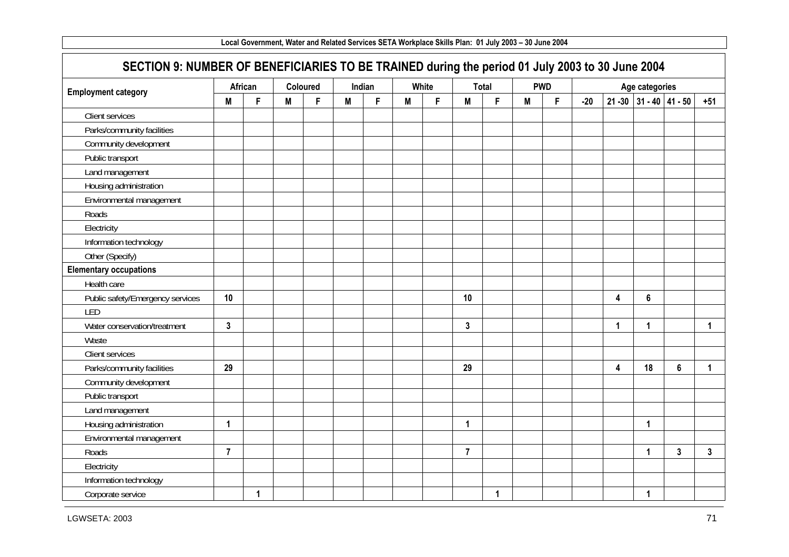|                                                                                                 |                |              |          |    |   |        | Local Government, Water and Related Services SETA Workplace Skills Plan: 01 July 2003 - 30 June 2004 |       |                |             |   |            |       |             |                           |   |                      |
|-------------------------------------------------------------------------------------------------|----------------|--------------|----------|----|---|--------|------------------------------------------------------------------------------------------------------|-------|----------------|-------------|---|------------|-------|-------------|---------------------------|---|----------------------|
| SECTION 9: NUMBER OF BENEFICIARIES TO BE TRAINED during the period 01 July 2003 to 30 June 2004 |                |              |          |    |   |        |                                                                                                      |       |                |             |   |            |       |             |                           |   |                      |
| <b>Employment category</b>                                                                      |                | African      | Coloured |    |   | Indian |                                                                                                      | White |                | Total       |   | <b>PWD</b> |       |             | Age categories            |   |                      |
|                                                                                                 | M              | F            | M        | F. | M | F      | M                                                                                                    | F     | M              | F           | M | F.         | $-20$ |             | $21 - 30$ 31 - 40 41 - 50 |   | $+51$                |
| <b>Client services</b>                                                                          |                |              |          |    |   |        |                                                                                                      |       |                |             |   |            |       |             |                           |   |                      |
| Parks/community facilities                                                                      |                |              |          |    |   |        |                                                                                                      |       |                |             |   |            |       |             |                           |   |                      |
| Community development                                                                           |                |              |          |    |   |        |                                                                                                      |       |                |             |   |            |       |             |                           |   |                      |
| Public transport                                                                                |                |              |          |    |   |        |                                                                                                      |       |                |             |   |            |       |             |                           |   |                      |
| Land management                                                                                 |                |              |          |    |   |        |                                                                                                      |       |                |             |   |            |       |             |                           |   |                      |
| Housing administration                                                                          |                |              |          |    |   |        |                                                                                                      |       |                |             |   |            |       |             |                           |   |                      |
| Environmental management                                                                        |                |              |          |    |   |        |                                                                                                      |       |                |             |   |            |       |             |                           |   |                      |
| Roads                                                                                           |                |              |          |    |   |        |                                                                                                      |       |                |             |   |            |       |             |                           |   |                      |
| Electricity                                                                                     |                |              |          |    |   |        |                                                                                                      |       |                |             |   |            |       |             |                           |   |                      |
| Information technology                                                                          |                |              |          |    |   |        |                                                                                                      |       |                |             |   |            |       |             |                           |   |                      |
| Other (Specify)                                                                                 |                |              |          |    |   |        |                                                                                                      |       |                |             |   |            |       |             |                           |   |                      |
| <b>Elementary occupations</b>                                                                   |                |              |          |    |   |        |                                                                                                      |       |                |             |   |            |       |             |                           |   |                      |
| Health care                                                                                     |                |              |          |    |   |        |                                                                                                      |       |                |             |   |            |       |             |                           |   |                      |
| Public safety/Emergency services                                                                | 10             |              |          |    |   |        |                                                                                                      |       | 10             |             |   |            |       | 4           | 6                         |   |                      |
| LED                                                                                             |                |              |          |    |   |        |                                                                                                      |       |                |             |   |            |       |             |                           |   |                      |
| Water conservation/treatment                                                                    | $\overline{3}$ |              |          |    |   |        |                                                                                                      |       | $\mathbf{3}$   |             |   |            |       | $\mathbf 1$ | 1                         |   | $\blacktriangleleft$ |
| Waste                                                                                           |                |              |          |    |   |        |                                                                                                      |       |                |             |   |            |       |             |                           |   |                      |
| Client services                                                                                 |                |              |          |    |   |        |                                                                                                      |       |                |             |   |            |       |             |                           |   |                      |
| Parks/community facilities                                                                      | 29             |              |          |    |   |        |                                                                                                      |       | 29             |             |   |            |       | 4           | 18                        | 6 | $\mathbf{1}$         |
| Community development                                                                           |                |              |          |    |   |        |                                                                                                      |       |                |             |   |            |       |             |                           |   |                      |
| Public transport                                                                                |                |              |          |    |   |        |                                                                                                      |       |                |             |   |            |       |             |                           |   |                      |
| Land management                                                                                 |                |              |          |    |   |        |                                                                                                      |       |                |             |   |            |       |             |                           |   |                      |
| Housing administration                                                                          | 1              |              |          |    |   |        |                                                                                                      |       | 1              |             |   |            |       |             | 1                         |   |                      |
| Environmental management                                                                        |                |              |          |    |   |        |                                                                                                      |       |                |             |   |            |       |             |                           |   |                      |
| Roads                                                                                           | $\overline{7}$ |              |          |    |   |        |                                                                                                      |       | $\overline{7}$ |             |   |            |       |             | 1                         | 3 | 3                    |
| Electricity                                                                                     |                |              |          |    |   |        |                                                                                                      |       |                |             |   |            |       |             |                           |   |                      |
| Information technology                                                                          |                |              |          |    |   |        |                                                                                                      |       |                |             |   |            |       |             |                           |   |                      |
| Corporate service                                                                               |                | $\mathbf{1}$ |          |    |   |        |                                                                                                      |       |                | $\mathbf 1$ |   |            |       |             | $\mathbf{1}$              |   |                      |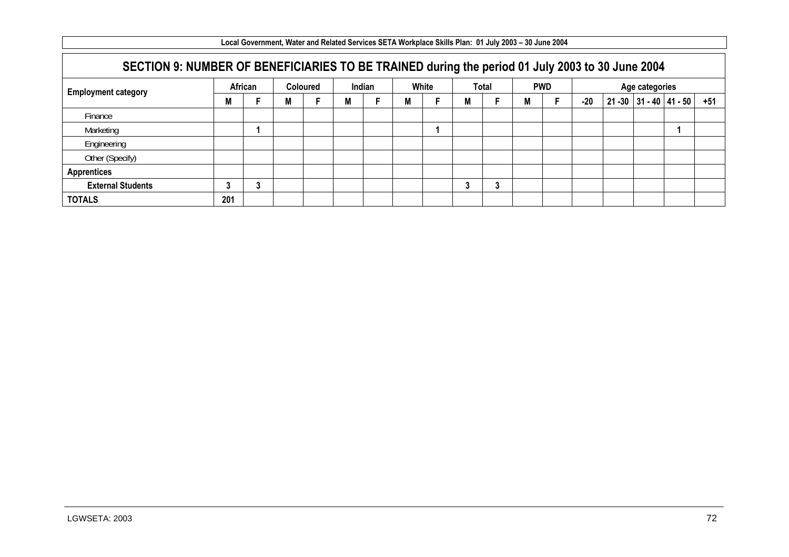|                                                                                                 |         |   |   |                 |   |        | Local Government, Water and Related Services SETA Workplace Skills Plan: 01 July 2003 – 30 June 2004 |       |   |         |   |            |       |                |                           |       |
|-------------------------------------------------------------------------------------------------|---------|---|---|-----------------|---|--------|------------------------------------------------------------------------------------------------------|-------|---|---------|---|------------|-------|----------------|---------------------------|-------|
| SECTION 9: NUMBER OF BENEFICIARIES TO BE TRAINED during the period 01 July 2003 to 30 June 2004 |         |   |   |                 |   |        |                                                                                                      |       |   |         |   |            |       |                |                           |       |
| <b>Employment category</b>                                                                      | African |   |   | <b>Coloured</b> |   | Indian |                                                                                                      | White |   | Total   |   | <b>PWD</b> |       | Age categories |                           |       |
|                                                                                                 | M       |   | М |                 | М |        | M                                                                                                    |       | м |         | M |            | $-20$ |                | $21 - 30$ 31 - 40 41 - 50 | $+51$ |
| Finance                                                                                         |         |   |   |                 |   |        |                                                                                                      |       |   |         |   |            |       |                |                           |       |
| Marketing                                                                                       |         |   |   |                 |   |        |                                                                                                      |       |   |         |   |            |       |                |                           |       |
| Engineering                                                                                     |         |   |   |                 |   |        |                                                                                                      |       |   |         |   |            |       |                |                           |       |
| Other (Specify)                                                                                 |         |   |   |                 |   |        |                                                                                                      |       |   |         |   |            |       |                |                           |       |
| <b>Apprentices</b>                                                                              |         |   |   |                 |   |        |                                                                                                      |       |   |         |   |            |       |                |                           |       |
| <b>External Students</b>                                                                        |         | 3 |   |                 |   |        |                                                                                                      |       |   | ◠<br>J. |   |            |       |                |                           |       |
| <b>TOTALS</b>                                                                                   | 201     |   |   |                 |   |        |                                                                                                      |       |   |         |   |            |       |                |                           |       |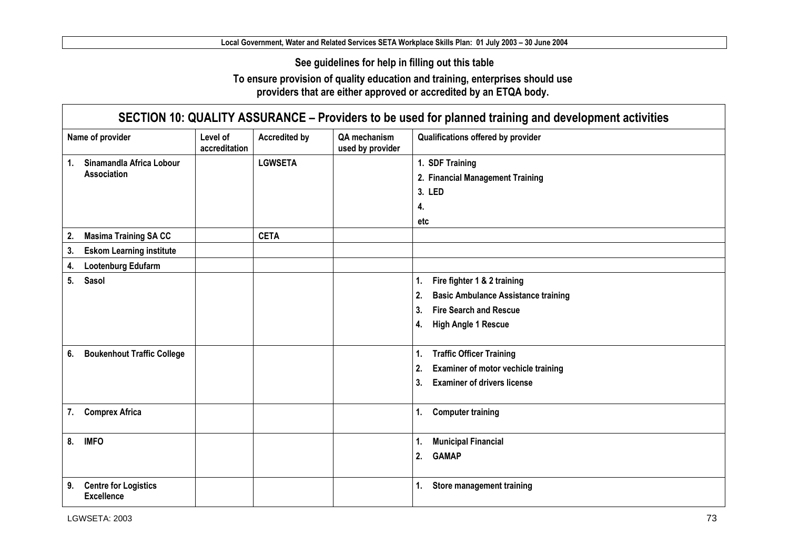**See guidelines for help in filling out this table** 

**To ensure provision of quality education and training, enterprises should use providers that are either approved or accredited by an ETQA body.** 

| SECTION 10: QUALITY ASSURANCE - Providers to be used for planned training and development activities |                           |                      |                                  |                                                  |  |  |
|------------------------------------------------------------------------------------------------------|---------------------------|----------------------|----------------------------------|--------------------------------------------------|--|--|
| Name of provider                                                                                     | Level of<br>accreditation | <b>Accredited by</b> | QA mechanism<br>used by provider | Qualifications offered by provider               |  |  |
| Sinamandla Africa Lobour<br>1.                                                                       |                           | <b>LGWSETA</b>       |                                  | 1. SDF Training                                  |  |  |
| <b>Association</b>                                                                                   |                           |                      |                                  | 2. Financial Management Training                 |  |  |
|                                                                                                      |                           |                      |                                  | 3. LED                                           |  |  |
|                                                                                                      |                           |                      |                                  | 4.                                               |  |  |
|                                                                                                      |                           |                      |                                  | etc                                              |  |  |
| <b>Masima Training SA CC</b><br>2.                                                                   |                           | <b>CETA</b>          |                                  |                                                  |  |  |
| 3.<br><b>Eskom Learning institute</b>                                                                |                           |                      |                                  |                                                  |  |  |
| Lootenburg Edufarm<br>4.                                                                             |                           |                      |                                  |                                                  |  |  |
| 5.<br>Sasol                                                                                          |                           |                      |                                  | Fire fighter 1 & 2 training<br>1.                |  |  |
|                                                                                                      |                           |                      |                                  | <b>Basic Ambulance Assistance training</b><br>2. |  |  |
|                                                                                                      |                           |                      |                                  | 3.<br><b>Fire Search and Rescue</b>              |  |  |
|                                                                                                      |                           |                      |                                  | <b>High Angle 1 Rescue</b><br>4.                 |  |  |
|                                                                                                      |                           |                      |                                  |                                                  |  |  |
| 6.<br><b>Boukenhout Traffic College</b>                                                              |                           |                      |                                  | <b>Traffic Officer Training</b><br>1.            |  |  |
|                                                                                                      |                           |                      |                                  | 2.<br>Examiner of motor vechicle training        |  |  |
|                                                                                                      |                           |                      |                                  | 3.<br><b>Examiner of drivers license</b>         |  |  |
|                                                                                                      |                           |                      |                                  |                                                  |  |  |
| <b>Comprex Africa</b><br>7.                                                                          |                           |                      |                                  | 1.<br><b>Computer training</b>                   |  |  |
|                                                                                                      |                           |                      |                                  |                                                  |  |  |
| 8.<br><b>IMFO</b>                                                                                    |                           |                      |                                  | <b>Municipal Financial</b><br>1.                 |  |  |
|                                                                                                      |                           |                      |                                  | <b>GAMAP</b><br>2.                               |  |  |
|                                                                                                      |                           |                      |                                  |                                                  |  |  |
| <b>Centre for Logistics</b><br>9.<br><b>Excellence</b>                                               |                           |                      |                                  | <b>Store management training</b><br>1.           |  |  |